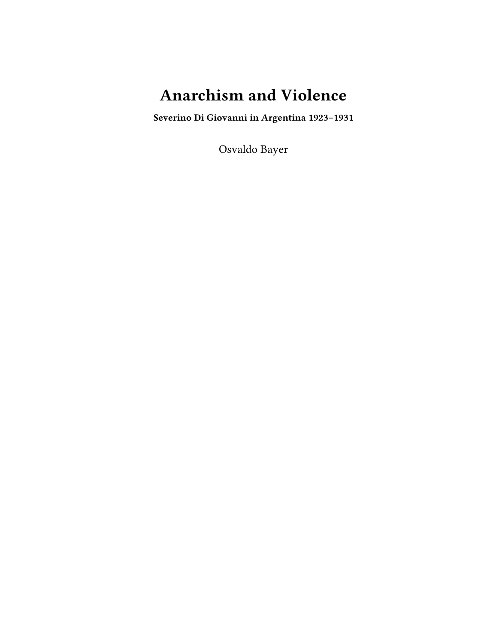# **Anarchism and Violence**

**Severino Di Giovanni in Argentina 1923–1931**

Osvaldo Bayer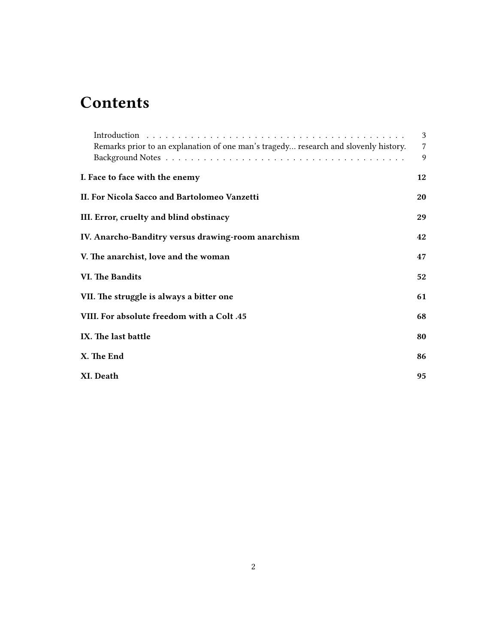## **Contents**

|                                                                                     | 3              |
|-------------------------------------------------------------------------------------|----------------|
| Remarks prior to an explanation of one man's tragedy research and slovenly history. | $\overline{7}$ |
|                                                                                     | 9              |
| I. Face to face with the enemy                                                      | 12             |
| II. For Nicola Sacco and Bartolomeo Vanzetti                                        | 20             |
| III. Error, cruelty and blind obstinacy                                             | 29             |
| IV. Anarcho-Banditry versus drawing-room anarchism                                  | 42             |
| V. The anarchist, love and the woman                                                | 47             |
| VI. The Bandits                                                                     | 52             |
| VII. The struggle is always a bitter one                                            | 61             |
| VIII. For absolute freedom with a Colt .45                                          | 68             |
| IX. The last battle                                                                 | 80             |
| X. The End                                                                          | 86             |
| <b>XI.</b> Death                                                                    | 95             |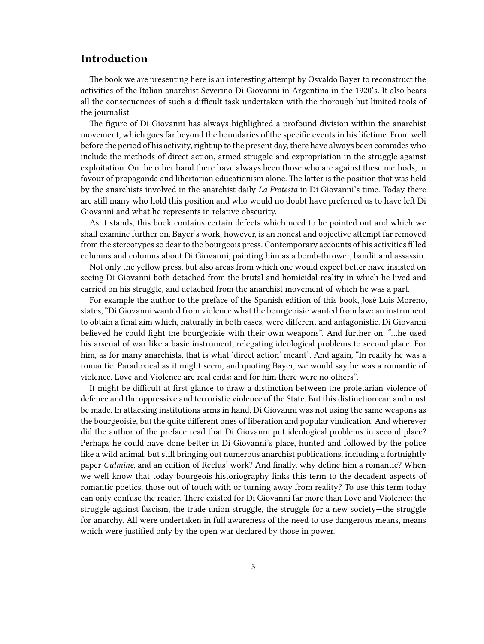#### <span id="page-2-0"></span>**Introduction**

The book we are presenting here is an interesting attempt by Osvaldo Bayer to reconstruct the activities of the Italian anarchist Severino Di Giovanni in Argentina in the 1920's. It also bears all the consequences of such a difficult task undertaken with the thorough but limited tools of the journalist.

The figure of Di Giovanni has always highlighted a profound division within the anarchist movement, which goes far beyond the boundaries of the specific events in his lifetime. From well before the period of his activity, right up to the present day, there have always been comrades who include the methods of direct action, armed struggle and expropriation in the struggle against exploitation. On the other hand there have always been those who are against these methods, in favour of propaganda and libertarian educationism alone. The latter is the position that was held by the anarchists involved in the anarchist daily *La Protesta* in Di Giovanni's time. Today there are still many who hold this position and who would no doubt have preferred us to have left Di Giovanni and what he represents in relative obscurity.

As it stands, this book contains certain defects which need to be pointed out and which we shall examine further on. Bayer's work, however, is an honest and objective attempt far removed from the stereotypes so dear to the bourgeois press. Contemporary accounts of his activities filled columns and columns about Di Giovanni, painting him as a bomb-thrower, bandit and assassin.

Not only the yellow press, but also areas from which one would expect better have insisted on seeing Di Giovanni both detached from the brutal and homicidal reality in which he lived and carried on his struggle, and detached from the anarchist movement of which he was a part.

For example the author to the preface of the Spanish edition of this book, José Luis Moreno, states, "Di Giovanni wanted from violence what the bourgeoisie wanted from law: an instrument to obtain a final aim which, naturally in both cases, were different and antagonistic. Di Giovanni believed he could fight the bourgeoisie with their own weapons". And further on, "…he used his arsenal of war like a basic instrument, relegating ideological problems to second place. For him, as for many anarchists, that is what 'direct action' meant". And again, "In reality he was a romantic. Paradoxical as it might seem, and quoting Bayer, we would say he was a romantic of violence. Love and Violence are real ends: and for him there were no others".

It might be difficult at first glance to draw a distinction between the proletarian violence of defence and the oppressive and terroristic violence of the State. But this distinction can and must be made. In attacking institutions arms in hand, Di Giovanni was not using the same weapons as the bourgeoisie, but the quite different ones of liberation and popular vindication. And wherever did the author of the preface read that Di Giovanni put ideological problems in second place? Perhaps he could have done better in Di Giovanni's place, hunted and followed by the police like a wild animal, but still bringing out numerous anarchist publications, including a fortnightly paper *Culmine*, and an edition of Reclus' work? And finally, why define him a romantic? When we well know that today bourgeois historiography links this term to the decadent aspects of romantic poetics, those out of touch with or turning away from reality? To use this term today can only confuse the reader. There existed for Di Giovanni far more than Love and Violence: the struggle against fascism, the trade union struggle, the struggle for a new society—the struggle for anarchy. All were undertaken in full awareness of the need to use dangerous means, means which were justified only by the open war declared by those in power.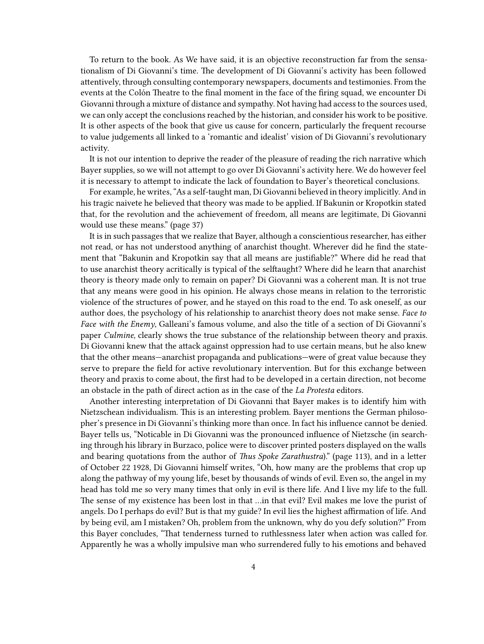To return to the book. As We have said, it is an objective reconstruction far from the sensationalism of Di Giovanni's time. The development of Di Giovanni's activity has been followed attentively, through consulting contemporary newspapers, documents and testimonies. From the events at the Colón Theatre to the final moment in the face of the firing squad, we encounter Di Giovanni through a mixture of distance and sympathy. Not having had access to the sources used, we can only accept the conclusions reached by the historian, and consider his work to be positive. It is other aspects of the book that give us cause for concern, particularly the frequent recourse to value judgements all linked to a 'romantic and idealist' vision of Di Giovanni's revolutionary activity.

It is not our intention to deprive the reader of the pleasure of reading the rich narrative which Bayer supplies, so we will not attempt to go over Di Giovanni's activity here. We do however feel it is necessary to attempt to indicate the lack of foundation to Bayer's theoretical conclusions.

For example, he writes, "As a self-taught man, Di Giovanni believed in theory implicitly. And in his tragic naivete he believed that theory was made to be applied. If Bakunin or Kropotkin stated that, for the revolution and the achievement of freedom, all means are legitimate, Di Giovanni would use these means." (page 37)

It is in such passages that we realize that Bayer, although a conscientious researcher, has either not read, or has not understood anything of anarchist thought. Wherever did he find the statement that "Bakunin and Kropotkin say that all means are justifiable?" Where did he read that to use anarchist theory acritically is typical of the selftaught? Where did he learn that anarchist theory is theory made only to remain on paper? Di Giovanni was a coherent man. It is not true that any means were good in his opinion. He always chose means in relation to the terroristic violence of the structures of power, and he stayed on this road to the end. To ask oneself, as our author does, the psychology of his relationship to anarchist theory does not make sense. *Face to Face with the Enemy*, Galleani's famous volume, and also the title of a section of Di Giovanni's paper *Culmine*, clearly shows the true substance of the relationship between theory and praxis. Di Giovanni knew that the attack against oppression had to use certain means, but he also knew that the other means—anarchist propaganda and publications—were of great value because they serve to prepare the field for active revolutionary intervention. But for this exchange between theory and praxis to come about, the first had to be developed in a certain direction, not become an obstacle in the path of direct action as in the case of the *La Protesta* editors.

Another interesting interpretation of Di Giovanni that Bayer makes is to identify him with Nietzschean individualism. This is an interesting problem. Bayer mentions the German philosopher's presence in Di Giovanni's thinking more than once. In fact his influence cannot be denied. Bayer tells us, "Noticable in Di Giovanni was the pronounced influence of Nietzsche (in searching through his library in Burzaco, police were to discover printed posters displayed on the walls and bearing quotations from the author of *Thus Spoke Zarathustra*)." (page 113), and in a letter of October 22 1928, Di Giovanni himself writes, "Oh, how many are the problems that crop up along the pathway of my young life, beset by thousands of winds of evil. Even so, the angel in my head has told me so very many times that only in evil is there life. And I live my life to the full. The sense of my existence has been lost in that …in that evil? Evil makes me love the purist of angels. Do I perhaps do evil? But is that my guide? In evil lies the highest affirmation of life. And by being evil, am I mistaken? Oh, problem from the unknown, why do you defy solution?" From this Bayer concludes, "That tenderness turned to ruthlessness later when action was called for. Apparently he was a wholly impulsive man who surrendered fully to his emotions and behaved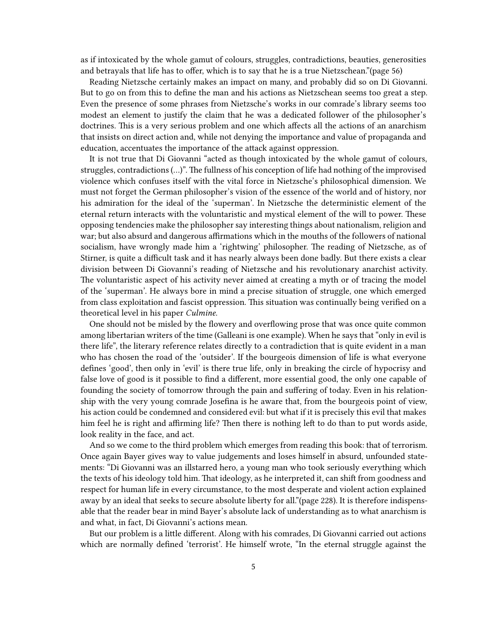as if intoxicated by the whole gamut of colours, struggles, contradictions, beauties, generosities and betrayals that life has to offer, which is to say that he is a true Nietzschean."(page 56)

Reading Nietzsche certainly makes an impact on many, and probably did so on Di Giovanni. But to go on from this to define the man and his actions as Nietzschean seems too great a step. Even the presence of some phrases from Nietzsche's works in our comrade's library seems too modest an element to justify the claim that he was a dedicated follower of the philosopher's doctrines. This is a very serious problem and one which affects all the actions of an anarchism that insists on direct action and, while not denying the importance and value of propaganda and education, accentuates the importance of the attack against oppression.

It is not true that Di Giovanni "acted as though intoxicated by the whole gamut of colours, struggles, contradictions (…)". The fullness of his conception of life had nothing of the improvised violence which confuses itself with the vital force in Nietzsche's philosophical dimension. We must not forget the German philosopher's vision of the essence of the world and of history, nor his admiration for the ideal of the 'superman'. In Nietzsche the deterministic element of the eternal return interacts with the voluntaristic and mystical element of the will to power. These opposing tendencies make the philosopher say interesting things about nationalism, religion and war; but also absurd and dangerous affirmations which in the mouths of the followers of national socialism, have wrongly made him a 'rightwing' philosopher. The reading of Nietzsche, as of Stirner, is quite a difficult task and it has nearly always been done badly. But there exists a clear division between Di Giovanni's reading of Nietzsche and his revolutionary anarchist activity. The voluntaristic aspect of his activity never aimed at creating a myth or of tracing the model of the 'superman'. He always bore in mind a precise situation of struggle, one which emerged from class exploitation and fascist oppression. This situation was continually being verified on a theoretical level in his paper *Culmine*.

One should not be misled by the flowery and overflowing prose that was once quite common among libertarian writers of the time (Galleani is one example). When he says that "only in evil is there life", the literary reference relates directly to a contradiction that is quite evident in a man who has chosen the road of the 'outsider'. If the bourgeois dimension of life is what everyone defines 'good', then only in 'evil' is there true life, only in breaking the circle of hypocrisy and false love of good is it possible to find a different, more essential good, the only one capable of founding the society of tomorrow through the pain and suffering of today. Even in his relationship with the very young comrade Josefina is he aware that, from the bourgeois point of view, his action could be condemned and considered evil: but what if it is precisely this evil that makes him feel he is right and affirming life? Then there is nothing left to do than to put words aside, look reality in the face, and act.

And so we come to the third problem which emerges from reading this book: that of terrorism. Once again Bayer gives way to value judgements and loses himself in absurd, unfounded statements: "Di Giovanni was an illstarred hero, a young man who took seriously everything which the texts of his ideology told him. That ideology, as he interpreted it, can shift from goodness and respect for human life in every circumstance, to the most desperate and violent action explained away by an ideal that seeks to secure absolute liberty for all."(page 228). It is therefore indispensable that the reader bear in mind Bayer's absolute lack of understanding as to what anarchism is and what, in fact, Di Giovanni's actions mean.

But our problem is a little different. Along with his comrades, Di Giovanni carried out actions which are normally defined 'terrorist'. He himself wrote, "In the eternal struggle against the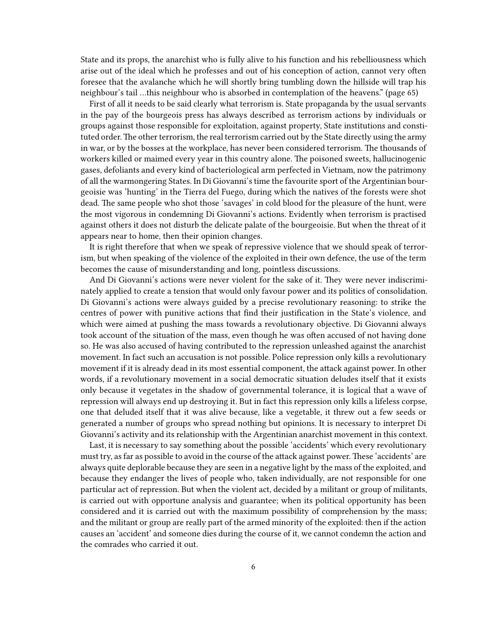State and its props, the anarchist who is fully alive to his function and his rebelliousness which arise out of the ideal which he professes and out of his conception of action, cannot very often foresee that the avalanche which he will shortly bring tumbling down the hillside will trap his neighbour's tail …this neighbour who is absorbed in contemplation of the heavens." (page 65)

First of all it needs to be said clearly what terrorism is. State propaganda by the usual servants in the pay of the bourgeois press has always described as terrorism actions by individuals or groups against those responsible for exploitation, against property, State institutions and constituted order. The other terrorism, the real terrorism carried out by the State directly using the army in war, or by the bosses at the workplace, has never been considered terrorism. The thousands of workers killed or maimed every year in this country alone. The poisoned sweets, hallucinogenic gases, defoliants and every kind of bacteriological arm perfected in Vietnam, now the patrimony of all the warmongering States. In Di Giovanni's time the favourite sport of the Argentinian bourgeoisie was 'hunting' in the Tierra del Fuego, during which the natives of the forests were shot dead. The same people who shot those 'savages' in cold blood for the pleasure of the hunt, were the most vigorous in condemning Di Giovanni's actions. Evidently when terrorism is practised against others it does not disturb the delicate palate of the bourgeoisie. But when the threat of it appears near to home, then their opinion changes.

It is right therefore that when we speak of repressive violence that we should speak of terrorism, but when speaking of the violence of the exploited in their own defence, the use of the term becomes the cause of misunderstanding and long, pointless discussions.

And Di Giovanni's actions were never violent for the sake of it. They were never indiscriminately applied to create a tension that would only favour power and its politics of consolidation. Di Giovanni's actions were always guided by a precise revolutionary reasoning: to strike the centres of power with punitive actions that find their justification in the State's violence, and which were aimed at pushing the mass towards a revolutionary objective. Di Giovanni always took account of the situation of the mass, even though he was often accused of not having done so. He was also accused of having contributed to the repression unleashed against the anarchist movement. In fact such an accusation is not possible. Police repression only kills a revolutionary movement if it is already dead in its most essential component, the attack against power. In other words, if a revolutionary movement in a social democratic situation deludes itself that it exists only because it vegetates in the shadow of governmental tolerance, it is logical that a wave of repression will always end up destroying it. But in fact this repression only kills a lifeless corpse, one that deluded itself that it was alive because, like a vegetable, it threw out a few seeds or generated a number of groups who spread nothing but opinions. It is necessary to interpret Di Giovanni's activity and its relationship with the Argentinian anarchist movement in this context.

Last, it is necessary to say something about the possible 'accidents' which every revolutionary must try, as far as possible to avoid in the course of the attack against power. These 'accidents' are always quite deplorable because they are seen in a negative light by the mass of the exploited, and because they endanger the lives of people who, taken individually, are not responsible for one particular act of repression. But when the violent act, decided by a militant or group of militants, is carried out with opportune analysis and guarantee; when its political opportunity has been considered and it is carried out with the maximum possibility of comprehension by the mass; and the militant or group are really part of the armed minority of the exploited: then if the action causes an 'accident' and someone dies during the course of it, we cannot condemn the action and the comrades who carried it out.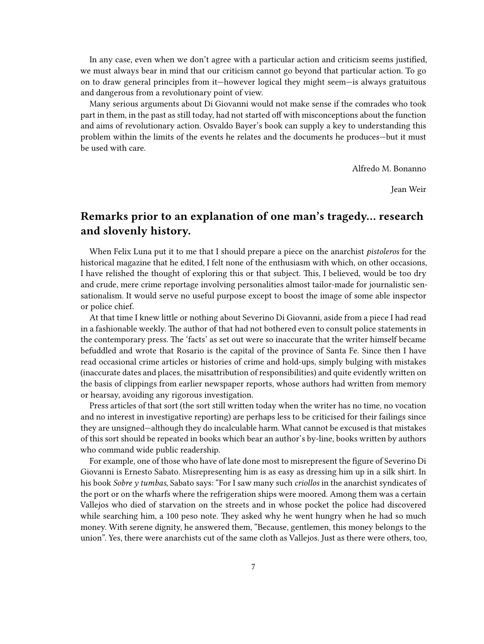In any case, even when we don't agree with a particular action and criticism seems justified, we must always bear in mind that our criticism cannot go beyond that particular action. To go on to draw general principles from it—however logical they might seem—is always gratuitous and dangerous from a revolutionary point of view.

Many serious arguments about Di Giovanni would not make sense if the comrades who took part in them, in the past as still today, had not started off with misconceptions about the function and aims of revolutionary action. Osvaldo Bayer's book can supply a key to understanding this problem within the limits of the events he relates and the documents he produces—but it must be used with care.

Alfredo M. Bonanno

Jean Weir

### <span id="page-6-0"></span>**Remarks prior to an explanation of one man's tragedy… research and slovenly history.**

When Felix Luna put it to me that I should prepare a piece on the anarchist *pistoleros* for the historical magazine that he edited, I felt none of the enthusiasm with which, on other occasions, I have relished the thought of exploring this or that subject. This, I believed, would be too dry and crude, mere crime reportage involving personalities almost tailor-made for journalistic sensationalism. It would serve no useful purpose except to boost the image of some able inspector or police chief.

At that time I knew little or nothing about Severino Di Giovanni, aside from a piece I had read in a fashionable weekly. The author of that had not bothered even to consult police statements in the contemporary press. The 'facts' as set out were so inaccurate that the writer himself became befuddled and wrote that Rosario is the capital of the province of Santa Fe. Since then I have read occasional crime articles or histories of crime and hold-ups, simply bulging with mistakes (inaccurate dates and places, the misattribution of responsibilities) and quite evidently written on the basis of clippings from earlier newspaper reports, whose authors had written from memory or hearsay, avoiding any rigorous investigation.

Press articles of that sort (the sort still written today when the writer has no time, no vocation and no interest in investigative reporting) are perhaps less to be criticised for their failings since they are unsigned—although they do incalculable harm. What cannot be excused is that mistakes of this sort should be repeated in books which bear an author's by-line, books written by authors who command wide public readership.

For example, one of those who have of late done most to misrepresent the figure of Severino Di Giovanni is Ernesto Sabato. Misrepresenting him is as easy as dressing him up in a silk shirt. In his book *Sobre y tumbas*, Sabato says: "For I saw many such *criollos* in the anarchist syndicates of the port or on the wharfs where the refrigeration ships were moored. Among them was a certain Vallejos who died of starvation on the streets and in whose pocket the police had discovered while searching him, a 100 peso note. They asked why he went hungry when he had so much money. With serene dignity, he answered them, "Because, gentlemen, this money belongs to the union". Yes, there were anarchists cut of the same cloth as Vallejos. Just as there were others, too,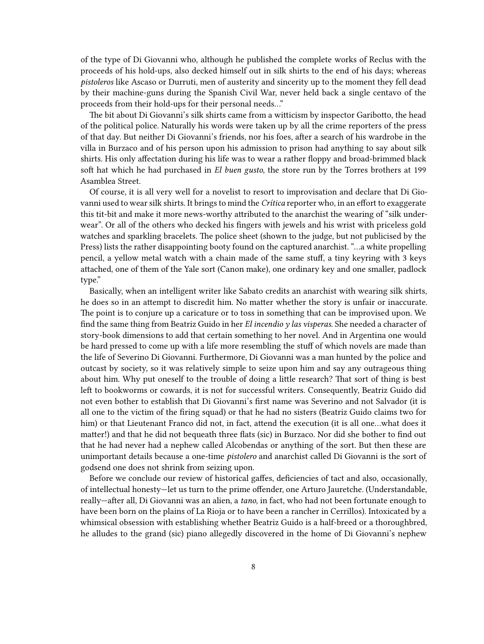of the type of Di Giovanni who, although he published the complete works of Reclus with the proceeds of his hold-ups, also decked himself out in silk shirts to the end of his days; whereas *pistoleros* like Ascaso or Durruti, men of austerity and sincerity up to the moment they fell dead by their machine-guns during the Spanish Civil War, never held back a single centavo of the proceeds from their hold-ups for their personal needs…"

The bit about Di Giovanni's silk shirts came from a witticism by inspector Garibotto, the head of the political police. Naturally his words were taken up by all the crime reporters of the press of that day. But neither Di Giovanni's friends, nor his foes, after a search of his wardrobe in the villa in Burzaco and of his person upon his admission to prison had anything to say about silk shirts. His only affectation during his life was to wear a rather floppy and broad-brimmed black soft hat which he had purchased in *El buen gusto*, the store run by the Torres brothers at 199 Asamblea Street.

Of course, it is all very well for a novelist to resort to improvisation and declare that Di Giovanni used to wear silk shirts. It brings to mind the *Crítica* reporter who, in an effort to exaggerate this tit-bit and make it more news-worthy attributed to the anarchist the wearing of "silk underwear". Or all of the others who decked his fingers with jewels and his wrist with priceless gold watches and sparkling bracelets. The police sheet (shown to the judge, but not publicised by the Press) lists the rather disappointing booty found on the captured anarchist. "…a white propelling pencil, a yellow metal watch with a chain made of the same stuff, a tiny keyring with 3 keys attached, one of them of the Yale sort (Canon make), one ordinary key and one smaller, padlock type."

Basically, when an intelligent writer like Sabato credits an anarchist with wearing silk shirts, he does so in an attempt to discredit him. No matter whether the story is unfair or inaccurate. The point is to conjure up a caricature or to toss in something that can be improvised upon. We find the same thing from Beatriz Guido in her *El incendio y las visperas*. She needed a character of story-book dimensions to add that certain something to her novel. And in Argentina one would be hard pressed to come up with a life more resembling the stuff of which novels are made than the life of Severino Di Giovanni. Furthermore, Di Giovanni was a man hunted by the police and outcast by society, so it was relatively simple to seize upon him and say any outrageous thing about him. Why put oneself to the trouble of doing a little research? That sort of thing is best left to bookworms or cowards, it is not for successful writers. Consequently, Beatriz Guido did not even bother to establish that Di Giovanni's first name was Severino and not Salvador (it is all one to the victim of the firing squad) or that he had no sisters (Beatriz Guido claims two for him) or that Lieutenant Franco did not, in fact, attend the execution (it is all one…what does it matter!) and that he did not bequeath three flats (sic) in Burzaco. Nor did she bother to find out that he had never had a nephew called Alcobendas or anything of the sort. But then these are unimportant details because a one-time *pistolero* and anarchist called Di Giovanni is the sort of godsend one does not shrink from seizing upon.

Before we conclude our review of historical gaffes, deficiencies of tact and also, occasionally, of intellectual honesty—let us turn to the prime offender, one Arturo Jauretche. (Understandable, really—after all, Di Giovanni was an alien, a *tano*, in fact, who had not been fortunate enough to have been born on the plains of La Rioja or to have been a rancher in Cerrillos). Intoxicated by a whimsical obsession with establishing whether Beatriz Guido is a half-breed or a thoroughbred, he alludes to the grand (sic) piano allegedly discovered in the home of Di Giovanni's nephew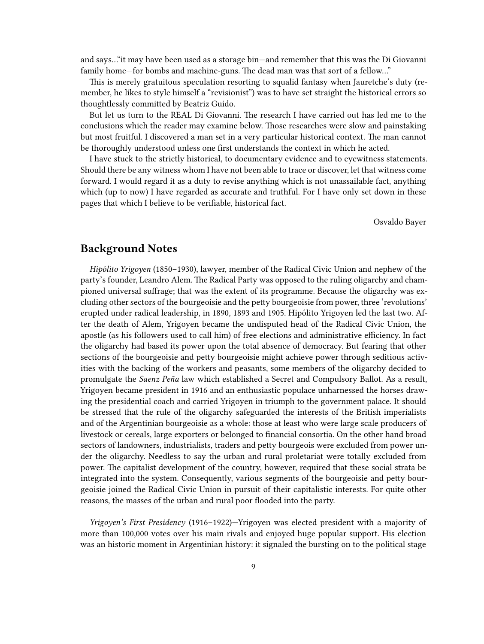and says…"it may have been used as a storage bin—and remember that this was the Di Giovanni family home—for bombs and machine-guns. The dead man was that sort of a fellow…"

This is merely gratuitous speculation resorting to squalid fantasy when Jauretche's duty (remember, he likes to style himself a "revisionist") was to have set straight the historical errors so thoughtlessly committed by Beatriz Guido.

But let us turn to the REAL Di Giovanni. The research I have carried out has led me to the conclusions which the reader may examine below. Those researches were slow and painstaking but most fruitful. I discovered a man set in a very particular historical context. The man cannot be thoroughly understood unless one first understands the context in which he acted.

I have stuck to the strictly historical, to documentary evidence and to eyewitness statements. Should there be any witness whom I have not been able to trace or discover, let that witness come forward. I would regard it as a duty to revise anything which is not unassailable fact, anything which (up to now) I have regarded as accurate and truthful. For I have only set down in these pages that which I believe to be verifiable, historical fact.

Osvaldo Bayer

#### <span id="page-8-0"></span>**Background Notes**

*Hipólito Yrigoyen* (1850–1930), lawyer, member of the Radical Civic Union and nephew of the party's founder, Leandro Alem. The Radical Party was opposed to the ruling oligarchy and championed universal suffrage; that was the extent of its programme. Because the oligarchy was excluding other sectors of the bourgeoisie and the petty bourgeoisie from power, three 'revolutions' erupted under radical leadership, in 1890, 1893 and 1905. Hipólito Yrigoyen led the last two. After the death of Alem, Yrigoyen became the undisputed head of the Radical Civic Union, the apostle (as his followers used to call him) of free elections and administrative efficiency. In fact the oligarchy had based its power upon the total absence of democracy. But fearing that other sections of the bourgeoisie and petty bourgeoisie might achieve power through seditious activities with the backing of the workers and peasants, some members of the oligarchy decided to promulgate the *Saenz Peña* law which established a Secret and Compulsory Ballot. As a result, Yrigoyen became president in 1916 and an enthusiastic populace unharnessed the horses drawing the presidential coach and carried Yrigoyen in triumph to the government palace. It should be stressed that the rule of the oligarchy safeguarded the interests of the British imperialists and of the Argentinian bourgeoisie as a whole: those at least who were large scale producers of livestock or cereals, large exporters or belonged to financial consortia. On the other hand broad sectors of landowners, industrialists, traders and petty bourgeois were excluded from power under the oligarchy. Needless to say the urban and rural proletariat were totally excluded from power. The capitalist development of the country, however, required that these social strata be integrated into the system. Consequently, various segments of the bourgeoisie and petty bourgeoisie joined the Radical Civic Union in pursuit of their capitalistic interests. For quite other reasons, the masses of the urban and rural poor flooded into the party.

*Yrigoyen's First Presidency* (1916–1922)—Yrigoyen was elected president with a majority of more than 100,000 votes over his main rivals and enjoyed huge popular support. His election was an historic moment in Argentinian history: it signaled the bursting on to the political stage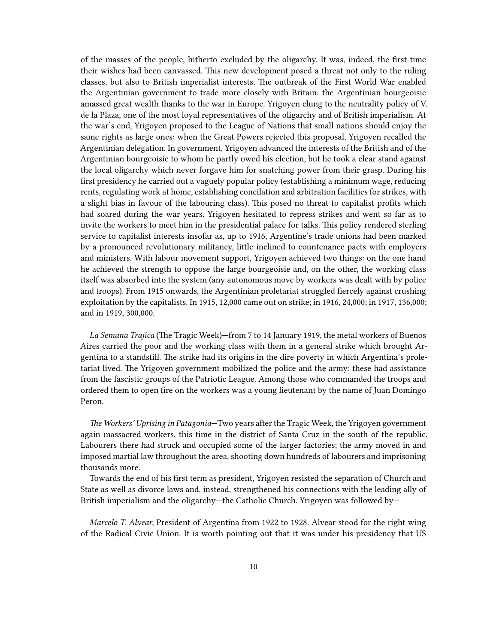of the masses of the people, hitherto excluded by the oligarchy. It was, indeed, the first time their wishes had been canvassed. This new development posed a threat not only to the ruling classes, but also to British imperialist interests. The outbreak of the First World War enabled the Argentinian government to trade more closely with Britain: the Argentinian bourgeoisie amassed great wealth thanks to the war in Europe. Yrigoyen clung to the neutrality policy of V. de la Plaza, one of the most loyal representatives of the oligarchy and of British imperialism. At the war's end, Yrigoyen proposed to the League of Nations that small nations should enjoy the same rights as large ones: when the Great Powers rejected this proposal, Yrigoyen recalled the Argentinian delegation. In government, Yrigoyen advanced the interests of the British and of the Argentinian bourgeoisie to whom he partly owed his election, but he took a clear stand against the local oligarchy which never forgave him for snatching power from their grasp. During his first presidency he carried out a vaguely popular policy (establishing a minimum wage, reducing rents, regulating work at home, establishing concilation and arbitration facilities for strikes, with a slight bias in favour of the labouring class). This posed no threat to capitalist profits which had soared during the war years. Yrigoyen hesitated to repress strikes and went so far as to invite the workers to meet him in the presidential palace for talks. This policy rendered sterling service to capitalist interests insofar as, up to 1916, Argentine's trade unions had been marked by a pronounced revolutionary militancy, little inclined to countenance pacts with employers and ministers. With labour movement support, Yrigoyen achieved two things: on the one hand he achieved the strength to oppose the large bourgeoisie and, on the other, the working class itself was absorbed into the system (any autonomous move by workers was dealt with by police and troops). From 1915 onwards, the Argentinian proletariat struggled fiercely against crushing exploitation by the capitalists. In 1915, 12,000 came out on strike; in 1916, 24,000; in 1917, 136,000; and in 1919, 300,000.

*La Semana Trajica* (The Tragic Week)—from 7 to 14 January 1919, the metal workers of Buenos Aires carried the poor and the working class with them in a general strike which brought Argentina to a standstill. The strike had its origins in the dire poverty in which Argentina's proletariat lived. The Yrigoyen government mobilized the police and the army: these had assistance from the fascistic groups of the Patriotic League. Among those who commanded the troops and ordered them to open fire on the workers was a young lieutenant by the name of Juan Domingo Peron.

*The Workers' Uprising in Patagonia*—Two years after the Tragic Week, the Yrigoyen government again massacred workers, this time in the district of Santa Cruz in the south of the republic. Labourers there had struck and occupied some of the larger factories; the army moved in and imposed martial law throughout the area, shooting down hundreds of labourers and imprisoning thousands more.

Towards the end of his first term as president, Yrigoyen resisted the separation of Church and State as well as divorce laws and, instead, strengthened his connections with the leading ally of British imperialism and the oligarchy—the Catholic Church. Yrigoyen was followed by—

*Marcelo T. Alvear*, President of Argentina from 1922 to 1928. Alvear stood for the right wing of the Radical Civic Union. It is worth pointing out that it was under his presidency that US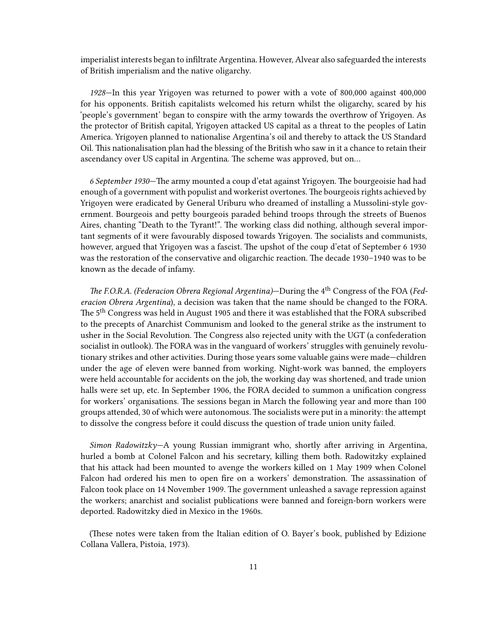imperialist interests began to infiltrate Argentina. However, Alvear also safeguarded the interests of British imperialism and the native oligarchy.

*1928*—In this year Yrigoyen was returned to power with a vote of 800,000 against 400,000 for his opponents. British capitalists welcomed his return whilst the oligarchy, scared by his 'people's government' began to conspire with the army towards the overthrow of Yrigoyen. As the protector of British capital, Yrigoyen attacked US capital as a threat to the peoples of Latin America. Yrigoyen planned to nationalise Argentina's oil and thereby to attack the US Standard Oil. This nationalisation plan had the blessing of the British who saw in it a chance to retain their ascendancy over US capital in Argentina. The scheme was approved, but on…

*6 September 1930*—The army mounted a coup d'etat against Yrigoyen. The bourgeoisie had had enough of a government with populist and workerist overtones. The bourgeois rights achieved by Yrigoyen were eradicated by General Uriburu who dreamed of installing a Mussolini-style government. Bourgeois and petty bourgeois paraded behind troops through the streets of Buenos Aires, chanting "Death to the Tyrant!". The working class did nothing, although several important segments of it were favourably disposed towards Yrigoyen. The socialists and communists, however, argued that Yrigoyen was a fascist. The upshot of the coup d'etat of September 6 1930 was the restoration of the conservative and oligarchic reaction. The decade 1930–1940 was to be known as the decade of infamy.

The F.O.R.A. (Federacion Obrera Regional Argentina)—During the 4<sup>th</sup> Congress of the FOA (Fed*eracion Obrera Argentina*), a decision was taken that the name should be changed to the FORA. The 5<sup>th</sup> Congress was held in August 1905 and there it was established that the FORA subscribed to the precepts of Anarchist Communism and looked to the general strike as the instrument to usher in the Social Revolution. The Congress also rejected unity with the UGT (a confederation socialist in outlook). The FORA was in the vanguard of workers' struggles with genuinely revolutionary strikes and other activities. During those years some valuable gains were made—children under the age of eleven were banned from working. Night-work was banned, the employers were held accountable for accidents on the job, the working day was shortened, and trade union halls were set up, etc. In September 1906, the FORA decided to summon a unification congress for workers' organisations. The sessions began in March the following year and more than 100 groups attended, 30 of which were autonomous. The socialists were put in a minority: the attempt to dissolve the congress before it could discuss the question of trade union unity failed.

*Simon Radowitzky*—A young Russian immigrant who, shortly after arriving in Argentina, hurled a bomb at Colonel Falcon and his secretary, killing them both. Radowitzky explained that his attack had been mounted to avenge the workers killed on 1 May 1909 when Colonel Falcon had ordered his men to open fire on a workers' demonstration. The assassination of Falcon took place on 14 November 1909. The government unleashed a savage repression against the workers; anarchist and socialist publications were banned and foreign-born workers were deported. Radowitzky died in Mexico in the 1960s.

(These notes were taken from the Italian edition of O. Bayer's book, published by Edizione Collana Vallera, Pistoia, 1973).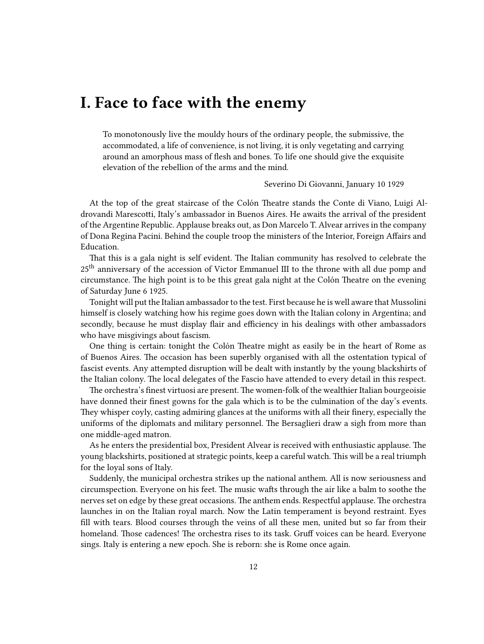## <span id="page-11-0"></span>**I. Face to face with the enemy**

To monotonously live the mouldy hours of the ordinary people, the submissive, the accommodated, a life of convenience, is not living, it is only vegetating and carrying around an amorphous mass of flesh and bones. To life one should give the exquisite elevation of the rebellion of the arms and the mind.

#### Severino Di Giovanni, January 10 1929

At the top of the great staircase of the Colón Theatre stands the Conte di Viano, Luigi Aldrovandi Marescotti, Italy's ambassador in Buenos Aires. He awaits the arrival of the president of the Argentine Republic. Applause breaks out, as Don Marcelo T. Alvear arrives in the company of Dona Regina Pacini. Behind the couple troop the ministers of the Interior, Foreign Affairs and Education.

That this is a gala night is self evident. The Italian community has resolved to celebrate the 25<sup>th</sup> anniversary of the accession of Victor Emmanuel III to the throne with all due pomp and circumstance. The high point is to be this great gala night at the Colón Theatre on the evening of Saturday June 6 1925.

Tonight will put the Italian ambassador to the test. First because he is well aware that Mussolini himself is closely watching how his regime goes down with the Italian colony in Argentina; and secondly, because he must display flair and efficiency in his dealings with other ambassadors who have misgivings about fascism.

One thing is certain: tonight the Colón Theatre might as easily be in the heart of Rome as of Buenos Aires. The occasion has been superbly organised with all the ostentation typical of fascist events. Any attempted disruption will be dealt with instantly by the young blackshirts of the Italian colony. The local delegates of the Fascio have attended to every detail in this respect.

The orchestra's finest virtuosi are present. The women-folk of the wealthier Italian bourgeoisie have donned their finest gowns for the gala which is to be the culmination of the day's events. They whisper coyly, casting admiring glances at the uniforms with all their finery, especially the uniforms of the diplomats and military personnel. The Bersaglieri draw a sigh from more than one middle-aged matron.

As he enters the presidential box, President Alvear is received with enthusiastic applause. The young blackshirts, positioned at strategic points, keep a careful watch. This will be a real triumph for the loyal sons of Italy.

Suddenly, the municipal orchestra strikes up the national anthem. All is now seriousness and circumspection. Everyone on his feet. The music wafts through the air like a balm to soothe the nerves set on edge by these great occasions. The anthem ends. Respectful applause. The orchestra launches in on the Italian royal march. Now the Latin temperament is beyond restraint. Eyes fill with tears. Blood courses through the veins of all these men, united but so far from their homeland. Those cadences! The orchestra rises to its task. Gruff voices can be heard. Everyone sings. Italy is entering a new epoch. She is reborn: she is Rome once again.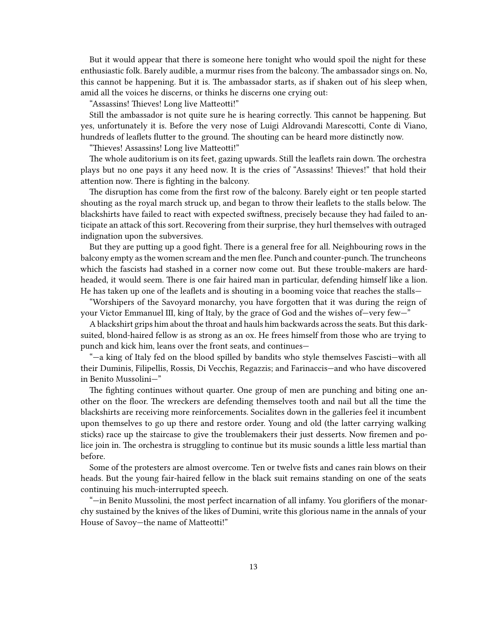But it would appear that there is someone here tonight who would spoil the night for these enthusiastic folk. Barely audible, a murmur rises from the balcony. The ambassador sings on. No, this cannot be happening. But it is. The ambassador starts, as if shaken out of his sleep when, amid all the voices he discerns, or thinks he discerns one crying out:

"Assassins! Thieves! Long live Matteotti!"

Still the ambassador is not quite sure he is hearing correctly. This cannot be happening. But yes, unfortunately it is. Before the very nose of Luigi Aldrovandi Marescotti, Conte di Viano, hundreds of leaflets flutter to the ground. The shouting can be heard more distinctly now.

"Thieves! Assassins! Long live Matteotti!"

The whole auditorium is on its feet, gazing upwards. Still the leaflets rain down. The orchestra plays but no one pays it any heed now. It is the cries of "Assassins! Thieves!" that hold their attention now. There is fighting in the balcony.

The disruption has come from the first row of the balcony. Barely eight or ten people started shouting as the royal march struck up, and began to throw their leaflets to the stalls below. The blackshirts have failed to react with expected swiftness, precisely because they had failed to anticipate an attack of this sort. Recovering from their surprise, they hurl themselves with outraged indignation upon the subversives.

But they are putting up a good fight. There is a general free for all. Neighbouring rows in the balcony empty as the women scream and the men flee. Punch and counter-punch. The truncheons which the fascists had stashed in a corner now come out. But these trouble-makers are hardheaded, it would seem. There is one fair haired man in particular, defending himself like a lion. He has taken up one of the leaflets and is shouting in a booming voice that reaches the stalls—

"Worshipers of the Savoyard monarchy, you have forgotten that it was during the reign of your Victor Emmanuel III, king of Italy, by the grace of God and the wishes of—very few—"

A blackshirt grips him about the throat and hauls him backwards across the seats. But this darksuited, blond-haired fellow is as strong as an ox. He frees himself from those who are trying to punch and kick him, leans over the front seats, and continues—

"—a king of Italy fed on the blood spilled by bandits who style themselves Fascisti—with all their Duminis, Filipellis, Rossis, Di Vecchis, Regazzis; and Farinaccis—and who have discovered in Benito Mussolini—"

The fighting continues without quarter. One group of men are punching and biting one another on the floor. The wreckers are defending themselves tooth and nail but all the time the blackshirts are receiving more reinforcements. Socialites down in the galleries feel it incumbent upon themselves to go up there and restore order. Young and old (the latter carrying walking sticks) race up the staircase to give the troublemakers their just desserts. Now firemen and police join in. The orchestra is struggling to continue but its music sounds a little less martial than before.

Some of the protesters are almost overcome. Ten or twelve fists and canes rain blows on their heads. But the young fair-haired fellow in the black suit remains standing on one of the seats continuing his much-interrupted speech.

"—in Benito Mussolini, the most perfect incarnation of all infamy. You glorifiers of the monarchy sustained by the knives of the likes of Dumini, write this glorious name in the annals of your House of Savoy—the name of Matteotti!"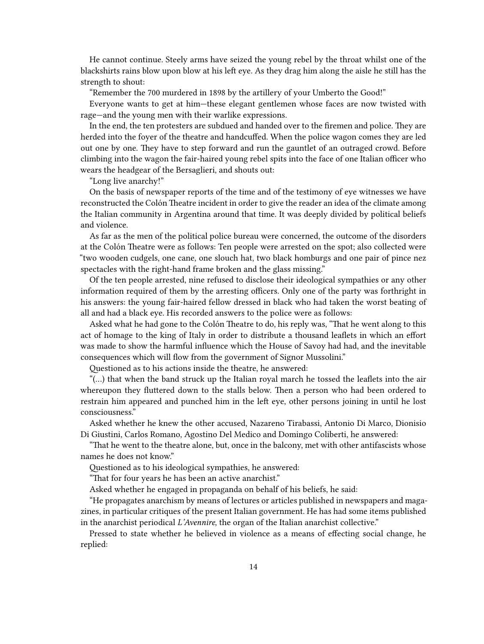He cannot continue. Steely arms have seized the young rebel by the throat whilst one of the blackshirts rains blow upon blow at his left eye. As they drag him along the aisle he still has the strength to shout:

"Remember the 700 murdered in 1898 by the artillery of your Umberto the Good!"

Everyone wants to get at him—these elegant gentlemen whose faces are now twisted with rage—and the young men with their warlike expressions.

In the end, the ten protesters are subdued and handed over to the firemen and police. They are herded into the foyer of the theatre and handcuffed. When the police wagon comes they are led out one by one. They have to step forward and run the gauntlet of an outraged crowd. Before climbing into the wagon the fair-haired young rebel spits into the face of one Italian officer who wears the headgear of the Bersaglieri, and shouts out:

"Long live anarchy!"

On the basis of newspaper reports of the time and of the testimony of eye witnesses we have reconstructed the Colón Theatre incident in order to give the reader an idea of the climate among the Italian community in Argentina around that time. It was deeply divided by political beliefs and violence.

As far as the men of the political police bureau were concerned, the outcome of the disorders at the Colón Theatre were as follows: Ten people were arrested on the spot; also collected were "two wooden cudgels, one cane, one slouch hat, two black homburgs and one pair of pince nez spectacles with the right-hand frame broken and the glass missing."

Of the ten people arrested, nine refused to disclose their ideological sympathies or any other information required of them by the arresting officers. Only one of the party was forthright in his answers: the young fair-haired fellow dressed in black who had taken the worst beating of all and had a black eye. His recorded answers to the police were as follows:

Asked what he had gone to the Colón Theatre to do, his reply was, "That he went along to this act of homage to the king of Italy in order to distribute a thousand leaflets in which an effort was made to show the harmful influence which the House of Savoy had had, and the inevitable consequences which will flow from the government of Signor Mussolini."

Questioned as to his actions inside the theatre, he answered:

"(…) that when the band struck up the Italian royal march he tossed the leaflets into the air whereupon they fluttered down to the stalls below. Then a person who had been ordered to restrain him appeared and punched him in the left eye, other persons joining in until he lost consciousness."

Asked whether he knew the other accused, Nazareno Tirabassi, Antonio Di Marco, Dionisio Di Giustini, Carlos Romano, Agostino Del Medico and Domingo Coliberti, he answered:

"That he went to the theatre alone, but, once in the balcony, met with other antifascists whose names he does not know."

Questioned as to his ideological sympathies, he answered:

"That for four years he has been an active anarchist."

Asked whether he engaged in propaganda on behalf of his beliefs, he said:

"He propagates anarchism by means of lectures or articles published in newspapers and magazines, in particular critiques of the present Italian government. He has had some items published in the anarchist periodical *L'Avennire*, the organ of the Italian anarchist collective."

Pressed to state whether he believed in violence as a means of effecting social change, he replied: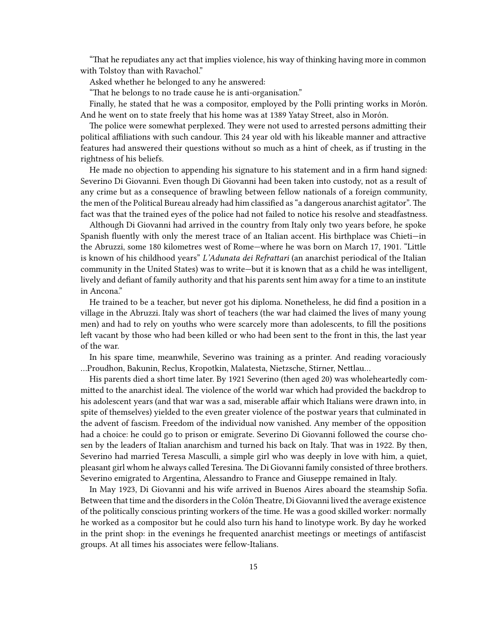"That he repudiates any act that implies violence, his way of thinking having more in common with Tolstoy than with Ravachol."

Asked whether he belonged to any he answered:

"That he belongs to no trade cause he is anti-organisation."

Finally, he stated that he was a compositor, employed by the Polli printing works in Morón. And he went on to state freely that his home was at 1389 Yatay Street, also in Morón.

The police were somewhat perplexed. They were not used to arrested persons admitting their political affiliations with such candour. This 24 year old with his likeable manner and attractive features had answered their questions without so much as a hint of cheek, as if trusting in the rightness of his beliefs.

He made no objection to appending his signature to his statement and in a firm hand signed: Severino Di Giovanni. Even though Di Giovanni had been taken into custody, not as a result of any crime but as a consequence of brawling between fellow nationals of a foreign community, the men of the Political Bureau already had him classified as "a dangerous anarchist agitator". The fact was that the trained eyes of the police had not failed to notice his resolve and steadfastness.

Although Di Giovanni had arrived in the country from Italy only two years before, he spoke Spanish fluently with only the merest trace of an Italian accent. His birthplace was Chieti—in the Abruzzi, some 180 kilometres west of Rome—where he was born on March 17, 1901. "Little is known of his childhood years" *L'Adunata dei Refrattari* (an anarchist periodical of the Italian community in the United States) was to write—but it is known that as a child he was intelligent, lively and defiant of family authority and that his parents sent him away for a time to an institute in Ancona."

He trained to be a teacher, but never got his diploma. Nonetheless, he did find a position in a village in the Abruzzi. Italy was short of teachers (the war had claimed the lives of many young men) and had to rely on youths who were scarcely more than adolescents, to fill the positions left vacant by those who had been killed or who had been sent to the front in this, the last year of the war.

In his spare time, meanwhile, Severino was training as a printer. And reading voraciously …Proudhon, Bakunin, Reclus, Kropotkin, Malatesta, Nietzsche, Stirner, Nettlau…

His parents died a short time later. By 1921 Severino (then aged 20) was wholeheartedly committed to the anarchist ideal. The violence of the world war which had provided the backdrop to his adolescent years (and that war was a sad, miserable affair which Italians were drawn into, in spite of themselves) yielded to the even greater violence of the postwar years that culminated in the advent of fascism. Freedom of the individual now vanished. Any member of the opposition had a choice: he could go to prison or emigrate. Severino Di Giovanni followed the course chosen by the leaders of Italian anarchism and turned his back on Italy. That was in 1922. By then, Severino had married Teresa Masculli, a simple girl who was deeply in love with him, a quiet, pleasant girl whom he always called Teresina. The Di Giovanni family consisted of three brothers. Severino emigrated to Argentina, Alessandro to France and Giuseppe remained in Italy.

In May 1923, Di Giovanni and his wife arrived in Buenos Aires aboard the steamship Sofía. Between that time and the disorders in the Colón Theatre, Di Giovanni lived the average existence of the politically conscious printing workers of the time. He was a good skilled worker: normally he worked as a compositor but he could also turn his hand to linotype work. By day he worked in the print shop: in the evenings he frequented anarchist meetings or meetings of antifascist groups. At all times his associates were fellow-Italians.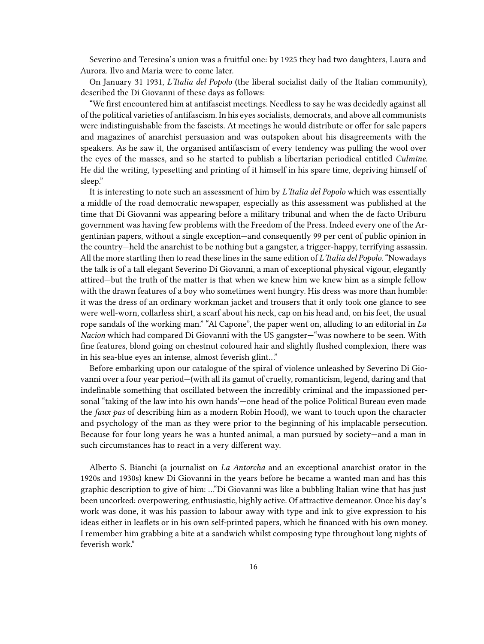Severino and Teresina's union was a fruitful one: by 1925 they had two daughters, Laura and Aurora. Ilvo and Maria were to come later.

On January 31 1931, *L'Italia del Popolo* (the liberal socialist daily of the Italian community), described the Di Giovanni of these days as follows:

"We first encountered him at antifascist meetings. Needless to say he was decidedly against all of the political varieties of antifascism. In his eyes socialists, democrats, and above all communists were indistinguishable from the fascists. At meetings he would distribute or offer for sale papers and magazines of anarchist persuasion and was outspoken about his disagreements with the speakers. As he saw it, the organised antifascism of every tendency was pulling the wool over the eyes of the masses, and so he started to publish a libertarian periodical entitled *Culmine*. He did the writing, typesetting and printing of it himself in his spare time, depriving himself of sleep."

It is interesting to note such an assessment of him by *L'Italia del Popolo* which was essentially a middle of the road democratic newspaper, especially as this assessment was published at the time that Di Giovanni was appearing before a military tribunal and when the de facto Uriburu government was having few problems with the Freedom of the Press. Indeed every one of the Argentinian papers, without a single exception—and consequently 99 per cent of public opinion in the country—held the anarchist to be nothing but a gangster, a trigger-happy, terrifying assassin. All the more startling then to read these lines in the same edition of *L'Italia del Popolo*. "Nowadays the talk is of a tall elegant Severino Di Giovanni, a man of exceptional physical vigour, elegantly attired—but the truth of the matter is that when we knew him we knew him as a simple fellow with the drawn features of a boy who sometimes went hungry. His dress was more than humble: it was the dress of an ordinary workman jacket and trousers that it only took one glance to see were well-worn, collarless shirt, a scarf about his neck, cap on his head and, on his feet, the usual rope sandals of the working man." "Al Capone", the paper went on, alluding to an editorial in *La Nacíon* which had compared Di Giovanni with the US gangster—"was nowhere to be seen. With fine features, blond going on chestnut coloured hair and slightly flushed complexion, there was in his sea-blue eyes an intense, almost feverish glint…"

Before embarking upon our catalogue of the spiral of violence unleashed by Severino Di Giovanni over a four year period—(with all its gamut of cruelty, romanticism, legend, daring and that indefinable something that oscillated between the incredibly criminal and the impassioned personal "taking of the law into his own hands'—one head of the police Political Bureau even made the *faux pas* of describing him as a modern Robin Hood), we want to touch upon the character and psychology of the man as they were prior to the beginning of his implacable persecution. Because for four long years he was a hunted animal, a man pursued by society—and a man in such circumstances has to react in a very different way.

Alberto S. Bianchi (a journalist on *La Antorcha* and an exceptional anarchist orator in the 1920s and 1930s) knew Di Giovanni in the years before he became a wanted man and has this graphic description to give of him: …"Di Giovanni was like a bubbling Italian wine that has just been uncorked: overpowering, enthusiastic, highly active. Of attractive demeanor. Once his day's work was done, it was his passion to labour away with type and ink to give expression to his ideas either in leaflets or in his own self-printed papers, which he financed with his own money. I remember him grabbing a bite at a sandwich whilst composing type throughout long nights of feverish work"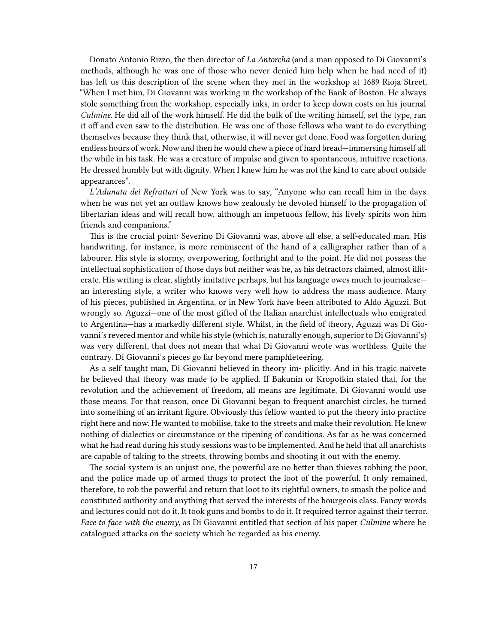Donato Antonio Rizzo, the then director of *La Antorcha* (and a man opposed to Di Giovanni's methods, although he was one of those who never denied him help when he had need of it) has left us this description of the scene when they met in the workshop at 1689 Rioja Street, "When I met him, Di Giovanni was working in the workshop of the Bank of Boston. He always stole something from the workshop, especially inks, in order to keep down costs on his journal *Culmine*. He did all of the work himself. He did the bulk of the writing himself, set the type, ran it off and even saw to the distribution. He was one of those fellows who want to do everything themselves because they think that, otherwise, it will never get done. Food was forgotten during endless hours of work. Now and then he would chew a piece of hard bread—immersing himself all the while in his task. He was a creature of impulse and given to spontaneous, intuitive reactions. He dressed humbly but with dignity. When I knew him he was not the kind to care about outside appearances".

*L'Adunata dei Refrattari* of New York was to say, "Anyone who can recall him in the days when he was not yet an outlaw knows how zealously he devoted himself to the propagation of libertarian ideas and will recall how, although an impetuous fellow, his lively spirits won him friends and companions."

This is the crucial point: Severino Di Giovanni was, above all else, a self-educated man. His handwriting, for instance, is more reminiscent of the hand of a calligrapher rather than of a labourer. His style is stormy, overpowering, forthright and to the point. He did not possess the intellectual sophistication of those days but neither was he, as his detractors claimed, almost illiterate. His writing is clear, slightly imitative perhaps, but his language owes much to journalese an interesting style, a writer who knows very well how to address the mass audience. Many of his pieces, published in Argentina, or in New York have been attributed to Aldo Aguzzi. But wrongly so. Aguzzi—one of the most gifted of the Italian anarchist intellectuals who emigrated to Argentina—has a markedly different style. Whilst, in the field of theory, Aguzzi was Di Giovanni's revered mentor and while his style (which is, naturally enough, superior to Di Giovanni's) was very different, that does not mean that what Di Giovanni wrote was worthless. Quite the contrary. Di Giovanni's pieces go far beyond mere pamphleteering.

As a self taught man, Di Giovanni believed in theory im- plicitly. And in his tragic naivete he believed that theory was made to be applied. If Bakunin or Kropotkin stated that, for the revolution and the achievement of freedom, all means are legitimate, Di Giovanni would use those means. For that reason, once Di Giovanni began to frequent anarchist circles, he turned into something of an irritant figure. Obviously this fellow wanted to put the theory into practice right here and now. He wanted to mobilise, take to the streets and make their revolution. He knew nothing of dialectics or circumstance or the ripening of conditions. As far as he was concerned what he had read during his study sessions was to be implemented. And he held that all anarchists are capable of taking to the streets, throwing bombs and shooting it out with the enemy.

The social system is an unjust one, the powerful are no better than thieves robbing the poor, and the police made up of armed thugs to protect the loot of the powerful. It only remained, therefore, to rob the powerful and return that loot to its rightful owners, to smash the police and constituted authority and anything that served the interests of the bourgeois class. Fancy words and lectures could not do it. It took guns and bombs to do it. It required terror against their terror. *Face to face with the enemy*, as Di Giovanni entitled that section of his paper *Culmine* where he catalogued attacks on the society which he regarded as his enemy.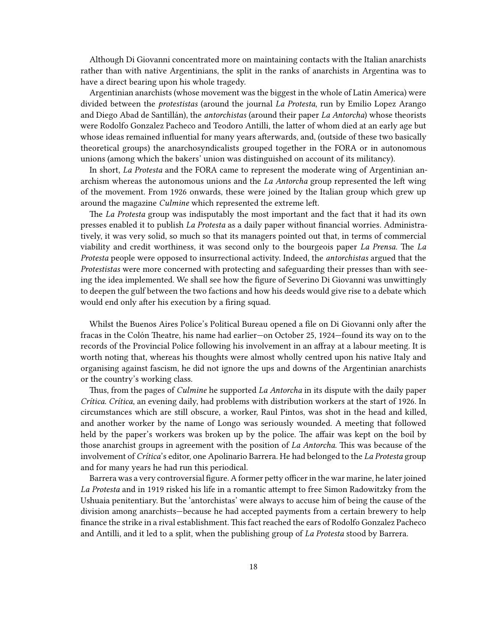Although Di Giovanni concentrated more on maintaining contacts with the Italian anarchists rather than with native Argentinians, the split in the ranks of anarchists in Argentina was to have a direct bearing upon his whole tragedy.

Argentinian anarchists (whose movement was the biggest in the whole of Latin America) were divided between the *protestistas* (around the journal *La Protesta*, run by Emilio Lopez Arango and Diego Abad de Santillán), the *antorchistas* (around their paper *La Antorcha*) whose theorists were Rodolfo Gonzalez Pacheco and Teodoro Antilli, the latter of whom died at an early age but whose ideas remained influential for many years afterwards, and, (outside of these two basically theoretical groups) the anarchosyndicalists grouped together in the FORA or in autonomous unions (among which the bakers' union was distinguished on account of its militancy).

In short, *La Protesta* and the FORA came to represent the moderate wing of Argentinian anarchism whereas the autonomous unions and the *La Antorcha* group represented the left wing of the movement. From 1926 onwards, these were joined by the Italian group which grew up around the magazine *Culmine* which represented the extreme left.

The *La Protesta* group was indisputably the most important and the fact that it had its own presses enabled it to publish *La Protesta* as a daily paper without financial worries. Administratively, it was very solid, so much so that its managers pointed out that, in terms of commercial viability and credit worthiness, it was second only to the bourgeois paper *La Prensa*. The *La Protesta* people were opposed to insurrectional activity. Indeed, the *antorchistas* argued that the *Protestistas* were more concerned with protecting and safeguarding their presses than with seeing the idea implemented. We shall see how the figure of Severino Di Giovanni was unwittingly to deepen the gulf between the two factions and how his deeds would give rise to a debate which would end only after his execution by a firing squad.

Whilst the Buenos Aires Police's Political Bureau opened a file on Di Giovanni only after the fracas in the Colón Theatre, his name had earlier—on October 25, 1924—found its way on to the records of the Provincial Police following his involvement in an affray at a labour meeting. It is worth noting that, whereas his thoughts were almost wholly centred upon his native Italy and organising against fascism, he did not ignore the ups and downs of the Argentinian anarchists or the country's working class.

Thus, from the pages of *Culmine* he supported *La Antorcha* in its dispute with the daily paper *Crítica*. *Crítica*, an evening daily, had problems with distribution workers at the start of 1926. In circumstances which are still obscure, a worker, Raul Pintos, was shot in the head and killed, and another worker by the name of Longo was seriously wounded. A meeting that followed held by the paper's workers was broken up by the police. The affair was kept on the boil by those anarchist groups in agreement with the position of *La Antorcha*. This was because of the involvement of *Crítica*'s editor, one Apolinario Barrera. He had belonged to the *La Protesta* group and for many years he had run this periodical.

Barrera was a very controversial figure. A former petty officer in the war marine, he later joined *La Protesta* and in 1919 risked his life in a romantic attempt to free Simon Radowitzky from the Ushuaia penitentiary. But the 'antorchistas' were always to accuse him of being the cause of the division among anarchists—because he had accepted payments from a certain brewery to help finance the strike in a rival establishment. This fact reached the ears of Rodolfo Gonzalez Pacheco and Antilli, and it led to a split, when the publishing group of *La Protesta* stood by Barrera.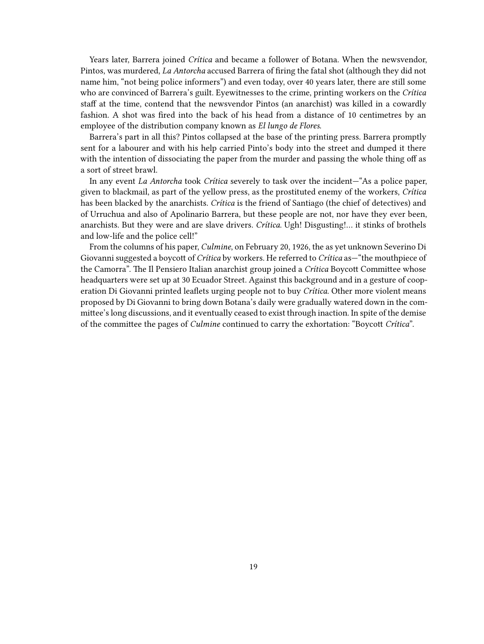Years later, Barrera joined *Crítica* and became a follower of Botana. When the newsvendor, Pintos, was murdered, *La Antorcha* accused Barrera of firing the fatal shot (although they did not name him, "not being police informers") and even today, over 40 years later, there are still some who are convinced of Barrera's guilt. Eyewitnesses to the crime, printing workers on the *Crítica* staff at the time, contend that the newsvendor Pintos (an anarchist) was killed in a cowardly fashion. A shot was fired into the back of his head from a distance of 10 centimetres by an employee of the distribution company known as *El lungo de Flores*.

Barrera's part in all this? Pintos collapsed at the base of the printing press. Barrera promptly sent for a labourer and with his help carried Pinto's body into the street and dumped it there with the intention of dissociating the paper from the murder and passing the whole thing off as a sort of street brawl.

In any event *La Antorcha* took *Crítica* severely to task over the incident—"As a police paper, given to blackmail, as part of the yellow press, as the prostituted enemy of the workers, *Crítica* has been blacked by the anarchists. *Crítica* is the friend of Santiago (the chief of detectives) and of Urruchua and also of Apolinario Barrera, but these people are not, nor have they ever been, anarchists. But they were and are slave drivers. *Crítica*. Ugh! Disgusting!… it stinks of brothels and low-life and the police cell!"

From the columns of his paper, *Culmine*, on February 20, 1926, the as yet unknown Severino Di Giovanni suggested a boycott of *Crítica* by workers. He referred to *Crítica* as—"the mouthpiece of the Camorra". The Il Pensiero Italian anarchist group joined a *Crítica* Boycott Committee whose headquarters were set up at 30 Ecuador Street. Against this background and in a gesture of cooperation Di Giovanni printed leaflets urging people not to buy *Crítica*. Other more violent means proposed by Di Giovanni to bring down Botana's daily were gradually watered down in the committee's long discussions, and it eventually ceased to exist through inaction. In spite of the demise of the committee the pages of *Culmine* continued to carry the exhortation: "Boycott *Crítica*".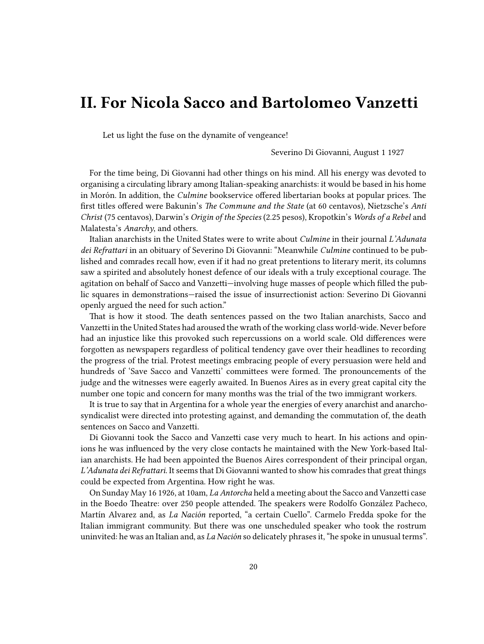### <span id="page-19-0"></span>**II. For Nicola Sacco and Bartolomeo Vanzetti**

Let us light the fuse on the dynamite of vengeance!

Severino Di Giovanni, August 1 1927

For the time being, Di Giovanni had other things on his mind. All his energy was devoted to organising a circulating library among Italian-speaking anarchists: it would be based in his home in Morón. In addition, the *Culmine* bookservice offered libertarian books at popular prices. The first titles offered were Bakunin's *The Commune and the State* (at 60 centavos), Nietzsche's *Anti Christ* (75 centavos), Darwin's *Origin of the Species* (2.25 pesos), Kropotkin's *Words of a Rebel* and Malatesta's *Anarchy*, and others.

Italian anarchists in the United States were to write about *Culmine* in their journal *L'Adunata dei Refrattari* in an obituary of Severino Di Giovanni: "Meanwhile *Culmine* continued to be published and comrades recall how, even if it had no great pretentions to literary merit, its columns saw a spirited and absolutely honest defence of our ideals with a truly exceptional courage. The agitation on behalf of Sacco and Vanzetti—involving huge masses of people which filled the public squares in demonstrations—raised the issue of insurrectionist action: Severino Di Giovanni openly argued the need for such action."

That is how it stood. The death sentences passed on the two Italian anarchists, Sacco and Vanzetti in the United States had aroused the wrath of the working class world-wide. Never before had an injustice like this provoked such repercussions on a world scale. Old differences were forgotten as newspapers regardless of political tendency gave over their headlines to recording the progress of the trial. Protest meetings embracing people of every persuasion were held and hundreds of 'Save Sacco and Vanzetti' committees were formed. The pronouncements of the judge and the witnesses were eagerly awaited. In Buenos Aires as in every great capital city the number one topic and concern for many months was the trial of the two immigrant workers.

It is true to say that in Argentina for a whole year the energies of every anarchist and anarchosyndicalist were directed into protesting against, and demanding the commutation of, the death sentences on Sacco and Vanzetti.

Di Giovanni took the Sacco and Vanzetti case very much to heart. In his actions and opinions he was influenced by the very close contacts he maintained with the New York-based Italian anarchists. He had been appointed the Buenos Aires correspondent of their principal organ, *L'Adunata dei Refrattari*. It seems that Di Giovanni wanted to show his comrades that great things could be expected from Argentina. How right he was.

On Sunday May 16 1926, at 10am, *La Antorcha* held a meeting about the Sacco and Vanzetti case in the Boedo Theatre: over 250 people attended. The speakers were Rodolfo González Pacheco, Martín Alvarez and, as *La Nación* reported, "a certain Cuello". Carmelo Fredda spoke for the Italian immigrant community. But there was one unscheduled speaker who took the rostrum uninvited: he was an Italian and, as *La Nación* so delicately phrases it, "he spoke in unusual terms".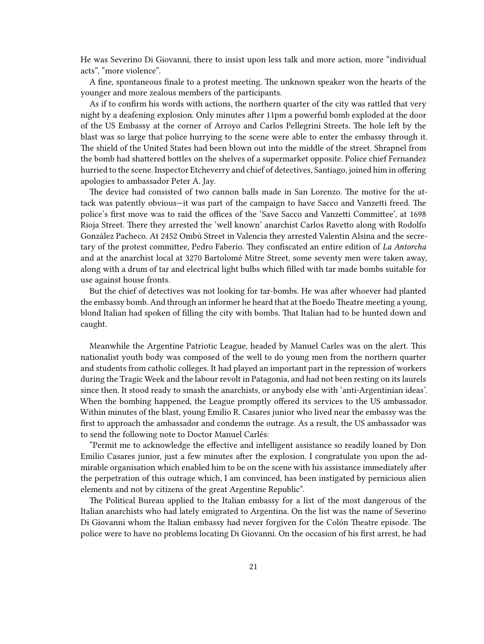He was Severino Di Giovanni, there to insist upon less talk and more action, more "individual acts", "more violence".

A fine, spontaneous finale to a protest meeting. The unknown speaker won the hearts of the younger and more zealous members of the participants.

As if to confirm his words with actions, the northern quarter of the city was rattled that very night by a deafening explosion. Only minutes after 11pm a powerful bomb exploded at the door of the US Embassy at the corner of Arroyo and Carlos Pellegrini Streets. The hole left by the blast was so large that police hurrying to the scene were able to enter the embassy through it. The shield of the United States had been blown out into the middle of the street. Shrapnel from the bomb had shattered bottles on the shelves of a supermarket opposite. Police chief Fernandez hurried to the scene. Inspector Etcheverry and chief of detectives, Santiago, joined him in offering apologies to ambassador Peter A. Jay.

The device had consisted of two cannon balls made in San Lorenzo. The motive for the attack was patently obvious—it was part of the campaign to have Sacco and Vanzetti freed. The police's first move was to raid the offices of the 'Save Sacco and Vanzetti Committee', at 1698 Rioja Street. There they arrested the 'well known' anarchist Carlos Ravetto along with Rodolfo González Pacheco. At 2452 Ombú Street in Valencia they arrested Valentin Alsina and the secretary of the protest committee, Pedro Faberio. They confiscated an entire edition of *La Antorcha* and at the anarchist local at 3270 Bartolomé Mitre Street, some seventy men were taken away, along with a drum of tar and electrical light bulbs which filled with tar made bombs suitable for use against house fronts.

But the chief of detectives was not looking for tar-bombs. He was after whoever had planted the embassy bomb. And through an informer he heard that at the Boedo Theatre meeting a young, blond Italian had spoken of filling the city with bombs. That Italian had to be hunted down and caught.

Meanwhile the Argentine Patriotic League, headed by Manuel Carles was on the alert. This nationalist youth body was composed of the well to do young men from the northern quarter and students from catholic colleges. It had played an important part in the repression of workers during the Tragic Week and the labour revolt in Patagonia, and had not been resting on its laurels since then. It stood ready to smash the anarchists, or anybody else with 'anti-Argentinian ideas'. When the bombing happened, the League promptly offered its services to the US ambassador. Within minutes of the blast, young Emilio R. Casares junior who lived near the embassy was the first to approach the ambassador and condemn the outrage. As a result, the US ambassador was to send the following note to Doctor Manuel Carlés:

"Permit me to acknowledge the effective and intelligent assistance so readily loaned by Don Emilio Casares junior, just a few minutes after the explosion. I congratulate you upon the admirable organisation which enabled him to be on the scene with his assistance immediately after the perpetration of this outrage which, I am convinced, has been instigated by pernicious alien elements and not by citizens of the great Argentine Republic".

The Political Bureau applied to the Italian embassy for a list of the most dangerous of the Italian anarchists who had lately emigrated to Argentina. On the list was the name of Severino Di Giovanni whom the Italian embassy had never forgiven for the Colón Theatre episode. The police were to have no problems locating Di Giovanni. On the occasion of his first arrest, he had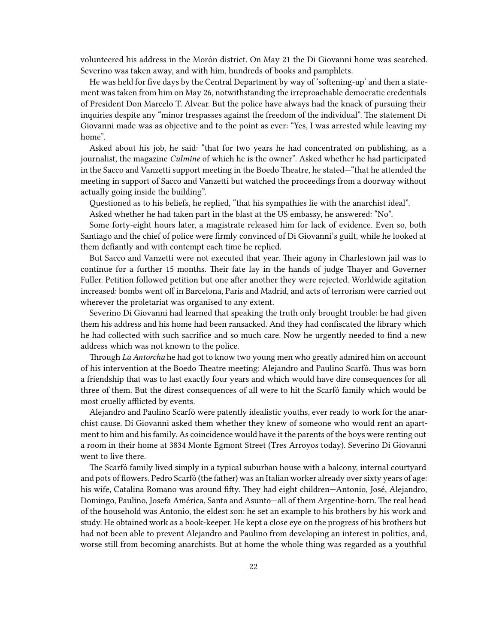volunteered his address in the Morón district. On May 21 the Di Giovanni home was searched. Severino was taken away, and with him, hundreds of books and pamphlets.

He was held for five days by the Central Department by way of 'softening-up' and then a statement was taken from him on May 26, notwithstanding the irreproachable democratic credentials of President Don Marcelo T. Alvear. But the police have always had the knack of pursuing their inquiries despite any "minor trespasses against the freedom of the individual". The statement Di Giovanni made was as objective and to the point as ever: "Yes, I was arrested while leaving my home".

Asked about his job, he said: "that for two years he had concentrated on publishing, as a journalist, the magazine *Culmine* of which he is the owner". Asked whether he had participated in the Sacco and Vanzetti support meeting in the Boedo Theatre, he stated—"that he attended the meeting in support of Sacco and Vanzetti but watched the proceedings from a doorway without actually going inside the building".

Questioned as to his beliefs, he replied, "that his sympathies lie with the anarchist ideal".

Asked whether he had taken part in the blast at the US embassy, he answered: "No".

Some forty-eight hours later, a magistrate released him for lack of evidence. Even so, both Santiago and the chief of police were firmly convinced of Di Giovanni's guilt, while he looked at them defiantly and with contempt each time he replied.

But Sacco and Vanzetti were not executed that year. Their agony in Charlestown jail was to continue for a further 15 months. Their fate lay in the hands of judge Thayer and Governer Fuller. Petition followed petition but one after another they were rejected. Worldwide agitation increased: bombs went off in Barcelona, Paris and Madrid, and acts of terrorism were carried out wherever the proletariat was organised to any extent.

Severino Di Giovanni had learned that speaking the truth only brought trouble: he had given them his address and his home had been ransacked. And they had confiscated the library which he had collected with such sacrifice and so much care. Now he urgently needed to find a new address which was not known to the police.

Through *La Antorcha* he had got to know two young men who greatly admired him on account of his intervention at the Boedo Theatre meeting: Alejandro and Paulino Scarfó. Thus was born a friendship that was to last exactly four years and which would have dire consequences for all three of them. But the direst consequences of all were to hit the Scarfó family which would be most cruelly afflicted by events.

Alejandro and Paulino Scarfó were patently idealistic youths, ever ready to work for the anarchist cause. Di Giovanni asked them whether they knew of someone who would rent an apartment to him and his family. As coincidence would have it the parents of the boys were renting out a room in their home at 3834 Monte Egmont Street (Tres Arroyos today). Severino Di Giovanni went to live there.

The Scarfó family lived simply in a typical suburban house with a balcony, internal courtyard and pots of flowers. Pedro Scarfó (the father) was an Italian worker already over sixty years of age: his wife, Catalina Romano was around fifty. They had eight children—Antonio, José, Alejandro, Domingo, Paulino, Josefa América, Santa and Asunto—all of them Argentine-born. The real head of the household was Antonio, the eldest son: he set an example to his brothers by his work and study. He obtained work as a book-keeper. He kept a close eye on the progress of his brothers but had not been able to prevent Alejandro and Paulino from developing an interest in politics, and, worse still from becoming anarchists. But at home the whole thing was regarded as a youthful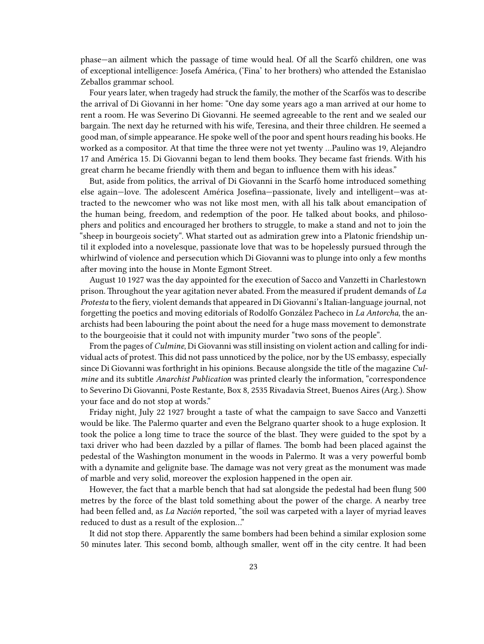phase—an ailment which the passage of time would heal. Of all the Scarfó children, one was of exceptional intelligence: Josefa América, ('Fina' to her brothers) who attended the Estanislao Zeballos grammar school.

Four years later, when tragedy had struck the family, the mother of the Scarfós was to describe the arrival of Di Giovanni in her home: "One day some years ago a man arrived at our home to rent a room. He was Severino Di Giovanni. He seemed agreeable to the rent and we sealed our bargain. The next day he returned with his wife, Teresina, and their three children. He seemed a good man, of simple appearance. He spoke well of the poor and spent hours reading his books. He worked as a compositor. At that time the three were not yet twenty …Paulino was 19, Alejandro 17 and América 15. Di Giovanni began to lend them books. They became fast friends. With his great charm he became friendly with them and began to influence them with his ideas."

But, aside from politics, the arrival of Di Giovanni in the Scarfó home introduced something else again—love. The adolescent América Josefina—passionate, lively and intelligent—was attracted to the newcomer who was not like most men, with all his talk about emancipation of the human being, freedom, and redemption of the poor. He talked about books, and philosophers and politics and encouraged her brothers to struggle, to make a stand and not to join the "sheep in bourgeois society". What started out as admiration grew into a Platonic friendship until it exploded into a novelesque, passionate love that was to be hopelessly pursued through the whirlwind of violence and persecution which Di Giovanni was to plunge into only a few months after moving into the house in Monte Egmont Street.

August 10 1927 was the day appointed for the execution of Sacco and Vanzetti in Charlestown prison. Throughout the year agitation never abated. From the measured if prudent demands of *La Protesta* to the fiery, violent demands that appeared in Di Giovanni's Italian-language journal, not forgetting the poetics and moving editorials of Rodolfo González Pacheco in *La Antorcha*, the anarchists had been labouring the point about the need for a huge mass movement to demonstrate to the bourgeoisie that it could not with impunity murder "two sons of the people".

From the pages of *Culmine*, Di Giovanni was still insisting on violent action and calling for individual acts of protest. This did not pass unnoticed by the police, nor by the US embassy, especially since Di Giovanni was forthright in his opinions. Because alongside the title of the magazine *Culmine* and its subtitle *Anarchist Publication* was printed clearly the information, "correspondence to Severino Di Giovanni, Poste Restante, Box 8, 2535 Rivadavia Street, Buenos Aires (Arg.). Show your face and do not stop at words."

Friday night, July 22 1927 brought a taste of what the campaign to save Sacco and Vanzetti would be like. The Palermo quarter and even the Belgrano quarter shook to a huge explosion. It took the police a long time to trace the source of the blast. They were guided to the spot by a taxi driver who had been dazzled by a pillar of flames. The bomb had been placed against the pedestal of the Washington monument in the woods in Palermo. It was a very powerful bomb with a dynamite and gelignite base. The damage was not very great as the monument was made of marble and very solid, moreover the explosion happened in the open air.

However, the fact that a marble bench that had sat alongside the pedestal had been flung 500 metres by the force of the blast told something about the power of the charge. A nearby tree had been felled and, as *La Nación* reported, "the soil was carpeted with a layer of myriad leaves reduced to dust as a result of the explosion…"

It did not stop there. Apparently the same bombers had been behind a similar explosion some 50 minutes later. This second bomb, although smaller, went off in the city centre. It had been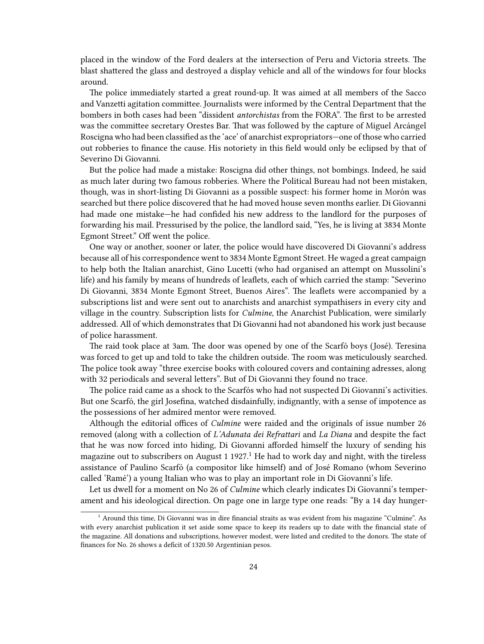placed in the window of the Ford dealers at the intersection of Peru and Victoria streets. The blast shattered the glass and destroyed a display vehicle and all of the windows for four blocks around.

The police immediately started a great round-up. It was aimed at all members of the Sacco and Vanzetti agitation committee. Journalists were informed by the Central Department that the bombers in both cases had been "dissident *antorchistas* from the FORA". The first to be arrested was the committee secretary Orestes Bar. That was followed by the capture of Miguel Arcángel Roscigna who had been classified as the 'ace' of anarchist expropriators—one of those who carried out robberies to finance the cause. His notoriety in this field would only be eclipsed by that of Severino Di Giovanni.

But the police had made a mistake: Roscigna did other things, not bombings. Indeed, he said as much later during two famous robberies. Where the Political Bureau had not been mistaken, though, was in short-listing Di Giovanni as a possible suspect: his former home in Morón was searched but there police discovered that he had moved house seven months earlier. Di Giovanni had made one mistake—he had confided his new address to the landlord for the purposes of forwarding his mail. Pressurised by the police, the landlord said, "Yes, he is living at 3834 Monte Egmont Street." Off went the police.

One way or another, sooner or later, the police would have discovered Di Giovanni's address because all of his correspondence went to 3834 Monte Egmont Street. He waged a great campaign to help both the Italian anarchist, Gino Lucetti (who had organised an attempt on Mussolini's life) and his family by means of hundreds of leaflets, each of which carried the stamp: "Severino Di Giovanni, 3834 Monte Egmont Street, Buenos Aires". The leaflets were accompanied by a subscriptions list and were sent out to anarchists and anarchist sympathisers in every city and village in the country. Subscription lists for *Culmine*, the Anarchist Publication, were similarly addressed. All of which demonstrates that Di Giovanni had not abandoned his work just because of police harassment.

The raid took place at 3am. The door was opened by one of the Scarfó boys (José). Teresina was forced to get up and told to take the children outside. The room was meticulously searched. The police took away "three exercise books with coloured covers and containing adresses, along with 32 periodicals and several letters". But of Di Giovanni they found no trace.

The police raid came as a shock to the Scarfós who had not suspected Di Giovanni's activities. But one Scarfó, the girl Josefina, watched disdainfully, indignantly, with a sense of impotence as the possessions of her admired mentor were removed.

Although the editorial offices of *Culmine* were raided and the originals of issue number 26 removed (along with a collection of *L'Adunata dei Refrattari* and *La Diana* and despite the fact that he was now forced into hiding, Di Giovanni afforded himself the luxury of sending his magazine out to subscribers on August 1 1927.<sup>1</sup> He had to work day and night, with the tireless assistance of Paulino Scarfó (a compositor like himself) and of José Romano (whom Severino called 'Ramé') a young Italian who was to play an important role in Di Giovanni's life.

Let us dwell for a moment on No 26 of *Culmine* which clearly indicates Di Giovanni's temperament and his ideological direction. On page one in large type one reads: "By a 14 day hunger-

<sup>1</sup> Around this time, Di Giovanni was in dire financial straits as was evident from his magazine "Culmine". As with every anarchist publication it set aside some space to keep its readers up to date with the financial state of the magazine. All donations and subscriptions, however modest, were listed and credited to the donors. The state of finances for No. 26 shows a deficit of 1320.50 Argentinian pesos.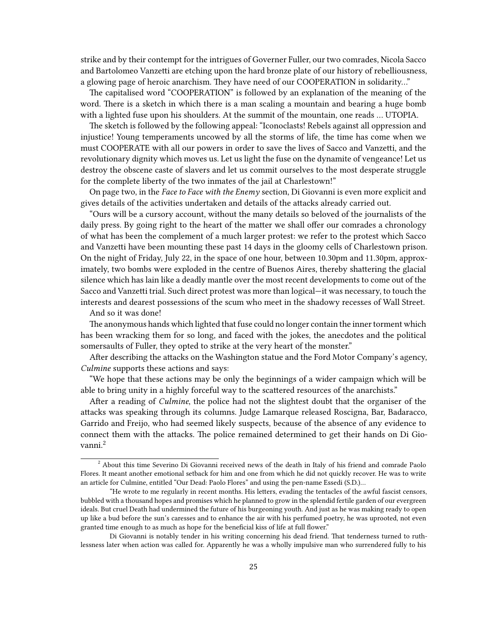strike and by their contempt for the intrigues of Governer Fuller, our two comrades, Nicola Sacco and Bartolomeo Vanzetti are etching upon the hard bronze plate of our history of rebelliousness, a glowing page of heroic anarchism. They have need of our COOPERATION in solidarity…"

The capitalised word "COOPERATION" is followed by an explanation of the meaning of the word. There is a sketch in which there is a man scaling a mountain and bearing a huge bomb with a lighted fuse upon his shoulders. At the summit of the mountain, one reads … UTOPIA.

The sketch is followed by the following appeal: "Iconoclasts! Rebels against all oppression and injustice! Young temperaments uncowed by all the storms of life, the time has come when we must COOPERATE with all our powers in order to save the lives of Sacco and Vanzetti, and the revolutionary dignity which moves us. Let us light the fuse on the dynamite of vengeance! Let us destroy the obscene caste of slavers and let us commit ourselves to the most desperate struggle for the complete liberty of the two inmates of the jail at Charlestown!"

On page two, in the *Face to Face with the Enemy* section, Di Giovanni is even more explicit and gives details of the activities undertaken and details of the attacks already carried out.

"Ours will be a cursory account, without the many details so beloved of the journalists of the daily press. By going right to the heart of the matter we shall offer our comrades a chronology of what has been the complement of a much larger protest: we refer to the protest which Sacco and Vanzetti have been mounting these past 14 days in the gloomy cells of Charlestown prison. On the night of Friday, July 22, in the space of one hour, between 10.30pm and 11.30pm, approximately, two bombs were exploded in the centre of Buenos Aires, thereby shattering the glacial silence which has lain like a deadly mantle over the most recent developments to come out of the Sacco and Vanzetti trial. Such direct protest was more than logical—it was necessary, to touch the interests and dearest possessions of the scum who meet in the shadowy recesses of Wall Street.

And so it was done!

The anonymous hands which lighted that fuse could no longer contain the inner torment which has been wracking them for so long, and faced with the jokes, the anecdotes and the political somersaults of Fuller, they opted to strike at the very heart of the monster."

After describing the attacks on the Washington statue and the Ford Motor Company's agency, *Culmine* supports these actions and says:

"We hope that these actions may be only the beginnings of a wider campaign which will be able to bring unity in a highly forceful way to the scattered resources of the anarchists."

After a reading of *Culmine*, the police had not the slightest doubt that the organiser of the attacks was speaking through its columns. Judge Lamarque released Roscigna, Bar, Badaracco, Garrido and Freijo, who had seemed likely suspects, because of the absence of any evidence to connect them with the attacks. The police remained determined to get their hands on Di Giovanni.<sup>2</sup>

<sup>&</sup>lt;sup>2</sup> About this time Severino Di Giovanni received news of the death in Italy of his friend and comrade Paolo Flores. It meant another emotional setback for him and one from which he did not quickly recover. He was to write an article for Culmine, entitled "Our Dead: Paolo Flores" and using the pen-name Essedi (S.D.)…

<sup>&</sup>quot;He wrote to me regularly in recent months. His letters, evading the tentacles of the awful fascist censors, bubbled with a thousand hopes and promises which he planned to grow in the splendid fertile garden of our evergreen ideals. But cruel Death had undermined the future of his burgeoning youth. And just as he was making ready to open up like a bud before the sun's caresses and to enhance the air with his perfumed poetry, he was uprooted, not even granted time enough to as much as hope for the beneficial kiss of life at full flower."

Di Giovanni is notably tender in his writing concerning his dead friend. That tenderness turned to ruthlessness later when action was called for. Apparently he was a wholly impulsive man who surrendered fully to his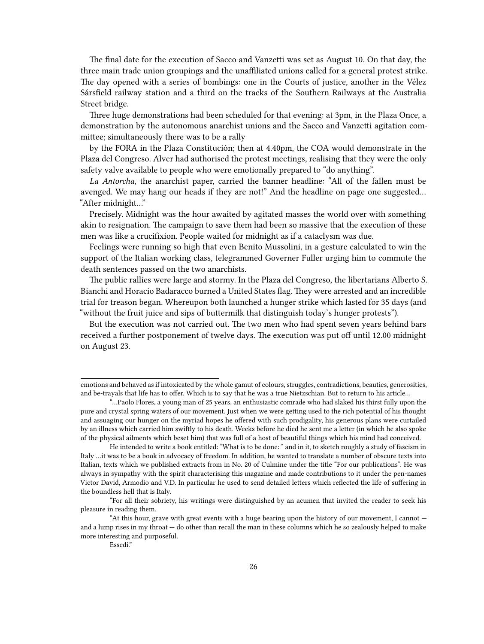The final date for the execution of Sacco and Vanzetti was set as August 10. On that day, the three main trade union groupings and the unaffiliated unions called for a general protest strike. The day opened with a series of bombings: one in the Courts of justice, another in the Vélez Sársfield railway station and a third on the tracks of the Southern Railways at the Australia Street bridge.

Three huge demonstrations had been scheduled for that evening: at 3pm, in the Plaza Once, a demonstration by the autonomous anarchist unions and the Sacco and Vanzetti agitation committee; simultaneously there was to be a rally

by the FORA in the Plaza Constitución; then at 4.40pm, the COA would demonstrate in the Plaza del Congreso. Alver had authorised the protest meetings, realising that they were the only safety valve available to people who were emotionally prepared to "do anything".

*La Antorcha*, the anarchist paper, carried the banner headline: "All of the fallen must be avenged. We may hang our heads if they are not!" And the headline on page one suggested... "After midnight…"

Precisely. Midnight was the hour awaited by agitated masses the world over with something akin to resignation. The campaign to save them had been so massive that the execution of these men was like a crucifixion. People waited for midnight as if a cataclysm was due.

Feelings were running so high that even Benito Mussolini, in a gesture calculated to win the support of the Italian working class, telegrammed Governer Fuller urging him to commute the death sentences passed on the two anarchists.

The public rallies were large and stormy. In the Plaza del Congreso, the libertarians Alberto S. Bianchi and Horacio Badaracco burned a United States flag. They were arrested and an incredible trial for treason began. Whereupon both launched a hunger strike which lasted for 35 days (and "without the fruit juice and sips of buttermilk that distinguish today's hunger protests").

But the execution was not carried out. The two men who had spent seven years behind bars received a further postponement of twelve days. The execution was put off until 12.00 midnight on August 23.

emotions and behaved as if intoxicated by the whole gamut of colours, struggles, contradictions, beauties, generosities, and be-trayals that life has to offer. Which is to say that he was a true Nietzschian. But to return to his article…

<sup>&</sup>quot;…Paolo Flores, a young man of 25 years, an enthusiastic comrade who had slaked his thirst fully upon the pure and crystal spring waters of our movement. Just when we were getting used to the rich potential of his thought and assuaging our hunger on the myriad hopes he offered with such prodigality, his generous plans were curtailed by an illness which carried him swiftly to his death. Weeks before he died he sent me a letter (in which he also spoke of the physical ailments which beset him) that was full of a host of beautiful things which his mind had conceived.

He intended to write a book entitled: "What is to be done: " and in it, to sketch roughly a study of fascism in Italy …it was to be a book in advocacy of freedom. In addition, he wanted to translate a number of obscure texts into Italian, texts which we published extracts from in No. 20 of Culmine under the title "For our publications". He was always in sympathy with the spirit characterising this magazine and made contributions to it under the pen-names Victor David, Armodio and V.D. In particular he used to send detailed letters which reflected the life of suffering in the boundless hell that is Italy.

<sup>&</sup>quot;For all their sobriety, his writings were distinguished by an acumen that invited the reader to seek his pleasure in reading them.

<sup>&</sup>quot;At this hour, grave with great events with a huge bearing upon the history of our movement, I cannot and a lump rises in my throat — do other than recall the man in these columns which he so zealously helped to make more interesting and purposeful.

Essedi."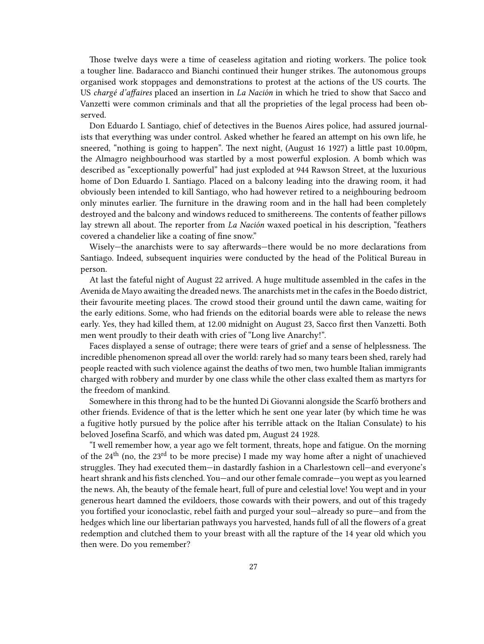Those twelve days were a time of ceaseless agitation and rioting workers. The police took a tougher line. Badaracco and Bianchi continued their hunger strikes. The autonomous groups organised work stoppages and demonstrations to protest at the actions of the US courts. The US *chargé d'affaires* placed an insertion in *La Nación* in which he tried to show that Sacco and Vanzetti were common criminals and that all the proprieties of the legal process had been observed.

Don Eduardo I. Santiago, chief of detectives in the Buenos Aires police, had assured journalists that everything was under control. Asked whether he feared an attempt on his own life, he sneered, "nothing is going to happen". The next night, (August 16 1927) a little past 10.00pm, the Almagro neighbourhood was startled by a most powerful explosion. A bomb which was described as "exceptionally powerful" had just exploded at 944 Rawson Street, at the luxurious home of Don Eduardo I. Santiago. Placed on a balcony leading into the drawing room, it had obviously been intended to kill Santiago, who had however retired to a neighbouring bedroom only minutes earlier. The furniture in the drawing room and in the hall had been completely destroyed and the balcony and windows reduced to smithereens. The contents of feather pillows lay strewn all about. The reporter from *La Nación* waxed poetical in his description, "feathers covered a chandelier like a coating of fine snow."

Wisely—the anarchists were to say afterwards—there would be no more declarations from Santiago. Indeed, subsequent inquiries were conducted by the head of the Political Bureau in person.

At last the fateful night of August 22 arrived. A huge multitude assembled in the cafes in the Avenida de Mayo awaiting the dreaded news. The anarchists met in the cafes in the Boedo district, their favourite meeting places. The crowd stood their ground until the dawn came, waiting for the early editions. Some, who had friends on the editorial boards were able to release the news early. Yes, they had killed them, at 12.00 midnight on August 23, Sacco first then Vanzetti. Both men went proudly to their death with cries of "Long live Anarchy!".

Faces displayed a sense of outrage; there were tears of grief and a sense of helplessness. The incredible phenomenon spread all over the world: rarely had so many tears been shed, rarely had people reacted with such violence against the deaths of two men, two humble Italian immigrants charged with robbery and murder by one class while the other class exalted them as martyrs for the freedom of mankind.

Somewhere in this throng had to be the hunted Di Giovanni alongside the Scarfó brothers and other friends. Evidence of that is the letter which he sent one year later (by which time he was a fugitive hotly pursued by the police after his terrible attack on the Italian Consulate) to his beloved Josefina Scarfó, and which was dated pm, August 24 1928.

"I well remember how, a year ago we felt torment, threats, hope and fatigue. On the morning of the  $24<sup>th</sup>$  (no, the  $23<sup>rd</sup>$  to be more precise) I made my way home after a night of unachieved struggles. They had executed them—in dastardly fashion in a Charlestown cell—and everyone's heart shrank and his fists clenched. You—and our other female comrade—you wept as you learned the news. Ah, the beauty of the female heart, full of pure and celestial love! You wept and in your generous heart damned the evildoers, those cowards with their powers, and out of this tragedy you fortified your iconoclastic, rebel faith and purged your soul—already so pure—and from the hedges which line our libertarian pathways you harvested, hands full of all the flowers of a great redemption and clutched them to your breast with all the rapture of the 14 year old which you then were. Do you remember?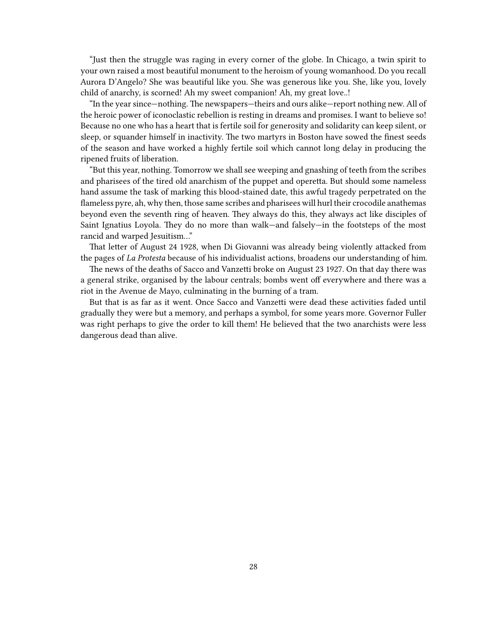"Just then the struggle was raging in every corner of the globe. In Chicago, a twin spirit to your own raised a most beautiful monument to the heroism of young womanhood. Do you recall Aurora D'Angelo? She was beautiful like you. She was generous like you. She, like you, lovely child of anarchy, is scorned! Ah my sweet companion! Ah, my great love..!

"In the year since—nothing. The newspapers—theirs and ours alike—report nothing new. All of the heroic power of iconoclastic rebellion is resting in dreams and promises. I want to believe so! Because no one who has a heart that is fertile soil for generosity and solidarity can keep silent, or sleep, or squander himself in inactivity. The two martyrs in Boston have sowed the finest seeds of the season and have worked a highly fertile soil which cannot long delay in producing the ripened fruits of liberation.

"But this year, nothing. Tomorrow we shall see weeping and gnashing of teeth from the scribes and pharisees of the tired old anarchism of the puppet and operetta. But should some nameless hand assume the task of marking this blood-stained date, this awful tragedy perpetrated on the flameless pyre, ah, why then, those same scribes and pharisees will hurl their crocodile anathemas beyond even the seventh ring of heaven. They always do this, they always act like disciples of Saint Ignatius Loyola. They do no more than walk—and falsely—in the footsteps of the most rancid and warped Jesuitism…"

That letter of August 24 1928, when Di Giovanni was already being violently attacked from the pages of *La Protesta* because of his individualist actions, broadens our understanding of him.

The news of the deaths of Sacco and Vanzetti broke on August 23 1927. On that day there was a general strike, organised by the labour centrals; bombs went off everywhere and there was a riot in the Avenue de Mayo, culminating in the burning of a tram.

But that is as far as it went. Once Sacco and Vanzetti were dead these activities faded until gradually they were but a memory, and perhaps a symbol, for some years more. Governor Fuller was right perhaps to give the order to kill them! He believed that the two anarchists were less dangerous dead than alive.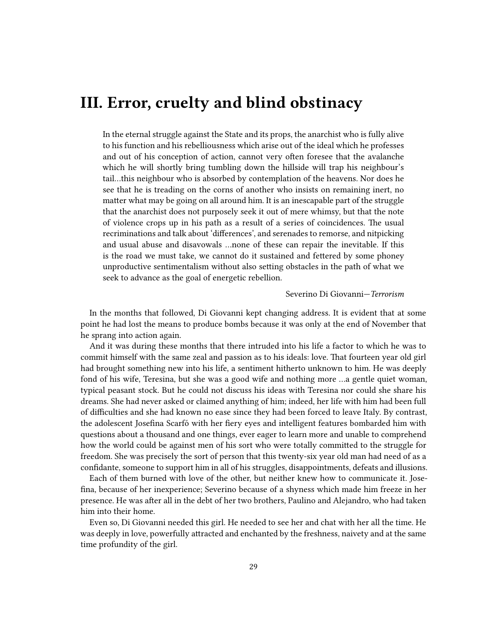## <span id="page-28-0"></span>**III. Error, cruelty and blind obstinacy**

In the eternal struggle against the State and its props, the anarchist who is fully alive to his function and his rebelliousness which arise out of the ideal which he professes and out of his conception of action, cannot very often foresee that the avalanche which he will shortly bring tumbling down the hillside will trap his neighbour's tail…this neighbour who is absorbed by contemplation of the heavens. Nor does he see that he is treading on the corns of another who insists on remaining inert, no matter what may be going on all around him. It is an inescapable part of the struggle that the anarchist does not purposely seek it out of mere whimsy, but that the note of violence crops up in his path as a result of a series of coincidences. The usual recriminations and talk about 'differences', and serenades to remorse, and nitpicking and usual abuse and disavowals …none of these can repair the inevitable. If this is the road we must take, we cannot do it sustained and fettered by some phoney unproductive sentimentalism without also setting obstacles in the path of what we seek to advance as the goal of energetic rebellion.

Severino Di Giovanni—*Terrorism*

In the months that followed, Di Giovanni kept changing address. It is evident that at some point he had lost the means to produce bombs because it was only at the end of November that he sprang into action again.

And it was during these months that there intruded into his life a factor to which he was to commit himself with the same zeal and passion as to his ideals: love. That fourteen year old girl had brought something new into his life, a sentiment hitherto unknown to him. He was deeply fond of his wife, Teresina, but she was a good wife and nothing more …a gentle quiet woman, typical peasant stock. But he could not discuss his ideas with Teresina nor could she share his dreams. She had never asked or claimed anything of him; indeed, her life with him had been full of difficulties and she had known no ease since they had been forced to leave Italy. By contrast, the adolescent Josefina Scarfó with her fiery eyes and intelligent features bombarded him with questions about a thousand and one things, ever eager to learn more and unable to comprehend how the world could be against men of his sort who were totally committed to the struggle for freedom. She was precisely the sort of person that this twenty-six year old man had need of as a confidante, someone to support him in all of his struggles, disappointments, defeats and illusions.

Each of them burned with love of the other, but neither knew how to communicate it. Josefina, because of her inexperience; Severino because of a shyness which made him freeze in her presence. He was after all in the debt of her two brothers, Paulino and Alejandro, who had taken him into their home.

Even so, Di Giovanni needed this girl. He needed to see her and chat with her all the time. He was deeply in love, powerfully attracted and enchanted by the freshness, naivety and at the same time profundity of the girl.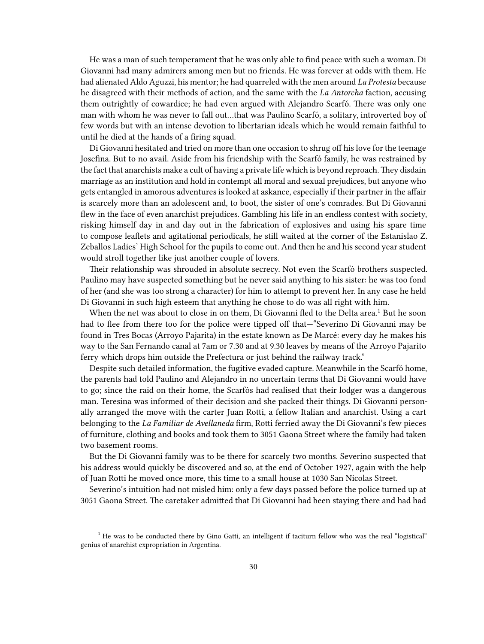He was a man of such temperament that he was only able to find peace with such a woman. Di Giovanni had many admirers among men but no friends. He was forever at odds with them. He had alienated Aldo Aguzzi, his mentor; he had quarreled with the men around *La Protesta* because he disagreed with their methods of action, and the same with the *La Antorcha* faction, accusing them outrightly of cowardice; he had even argued with Alejandro Scarfó. There was only one man with whom he was never to fall out…that was Paulino Scarfó, a solitary, introverted boy of few words but with an intense devotion to libertarian ideals which he would remain faithful to until he died at the hands of a firing squad.

Di Giovanni hesitated and tried on more than one occasion to shrug off his love for the teenage Josefina. But to no avail. Aside from his friendship with the Scarfó family, he was restrained by the fact that anarchists make a cult of having a private life which is beyond reproach.They disdain marriage as an institution and hold in contempt all moral and sexual prejudices, but anyone who gets entangled in amorous adventures is looked at askance, especially if their partner in the affair is scarcely more than an adolescent and, to boot, the sister of one's comrades. But Di Giovanni flew in the face of even anarchist prejudices. Gambling his life in an endless contest with society, risking himself day in and day out in the fabrication of explosives and using his spare time to compose leaflets and agitational periodicals, he still waited at the corner of the Estanislao Z. Zeballos Ladies' High School for the pupils to come out. And then he and his second year student would stroll together like just another couple of lovers.

Their relationship was shrouded in absolute secrecy. Not even the Scarfó brothers suspected. Paulino may have suspected something but he never said anything to his sister: he was too fond of her (and she was too strong a character) for him to attempt to prevent her. In any case he held Di Giovanni in such high esteem that anything he chose to do was all right with him.

When the net was about to close in on them, Di Giovanni fled to the Delta area.<sup>1</sup> But he soon had to flee from there too for the police were tipped off that—"Severino Di Giovanni may be found in Tres Bocas (Arroyo Pajarita) in the estate known as De Marcé: every day he makes his way to the San Fernando canal at 7am or 7.30 and at 9.30 leaves by means of the Arroyo Pajarito ferry which drops him outside the Prefectura or just behind the railway track."

Despite such detailed information, the fugitive evaded capture. Meanwhile in the Scarfó home, the parents had told Paulino and Alejandro in no uncertain terms that Di Giovanni would have to go; since the raid on their home, the Scarfós had realised that their lodger was a dangerous man. Teresina was informed of their decision and she packed their things. Di Giovanni personally arranged the move with the carter Juan Rotti, a fellow Italian and anarchist. Using a cart belonging to the *La Familiar de Avellaneda* firm, Rotti ferried away the Di Giovanni's few pieces of furniture, clothing and books and took them to 3051 Gaona Street where the family had taken two basement rooms.

But the Di Giovanni family was to be there for scarcely two months. Severino suspected that his address would quickly be discovered and so, at the end of October 1927, again with the help of Juan Rotti he moved once more, this time to a small house at 1030 San Nicolas Street.

Severino's intuition had not misled him: only a few days passed before the police turned up at 3051 Gaona Street. The caretaker admitted that Di Giovanni had been staying there and had had

 $1$  He was to be conducted there by Gino Gatti, an intelligent if taciturn fellow who was the real "logistical" genius of anarchist expropriation in Argentina.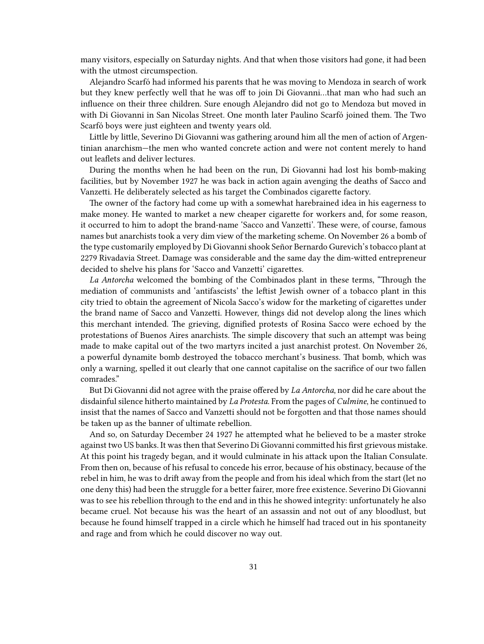many visitors, especially on Saturday nights. And that when those visitors had gone, it had been with the utmost circumspection.

Alejandro Scarfó had informed his parents that he was moving to Mendoza in search of work but they knew perfectly well that he was off to join Di Giovanni…that man who had such an influence on their three children. Sure enough Alejandro did not go to Mendoza but moved in with Di Giovanni in San Nicolas Street. One month later Paulino Scarfó joined them. The Two Scarfó boys were just eighteen and twenty years old.

Little by little, Severino Di Giovanni was gathering around him all the men of action of Argentinian anarchism—the men who wanted concrete action and were not content merely to hand out leaflets and deliver lectures.

During the months when he had been on the run, Di Giovanni had lost his bomb-making facilities, but by November 1927 he was back in action again avenging the deaths of Sacco and Vanzetti. He deliberately selected as his target the Combinados cigarette factory.

The owner of the factory had come up with a somewhat harebrained idea in his eagerness to make money. He wanted to market a new cheaper cigarette for workers and, for some reason, it occurred to him to adopt the brand-name 'Sacco and Vanzetti'. These were, of course, famous names but anarchists took a very dim view of the marketing scheme. On November 26 a bomb of the type customarily employed by Di Giovanni shook Señor Bernardo Gurevich's tobacco plant at 2279 Rivadavia Street. Damage was considerable and the same day the dim-witted entrepreneur decided to shelve his plans for 'Sacco and Vanzetti' cigarettes.

*La Antorcha* welcomed the bombing of the Combinados plant in these terms, "Through the mediation of communists and 'antifascists' the leftist Jewish owner of a tobacco plant in this city tried to obtain the agreement of Nicola Sacco's widow for the marketing of cigarettes under the brand name of Sacco and Vanzetti. However, things did not develop along the lines which this merchant intended. The grieving, dignified protests of Rosina Sacco were echoed by the protestations of Buenos Aires anarchists. The simple discovery that such an attempt was being made to make capital out of the two martyrs incited a just anarchist protest. On November 26, a powerful dynamite bomb destroyed the tobacco merchant's business. That bomb, which was only a warning, spelled it out clearly that one cannot capitalise on the sacrifice of our two fallen comrades."

But Di Giovanni did not agree with the praise offered by *La Antorcha*, nor did he care about the disdainful silence hitherto maintained by *La Protesta*. From the pages of *Culmine*, he continued to insist that the names of Sacco and Vanzetti should not be forgotten and that those names should be taken up as the banner of ultimate rebellion.

And so, on Saturday December 24 1927 he attempted what he believed to be a master stroke against two US banks. It was then that Severino Di Giovanni committed his first grievous mistake. At this point his tragedy began, and it would culminate in his attack upon the Italian Consulate. From then on, because of his refusal to concede his error, because of his obstinacy, because of the rebel in him, he was to drift away from the people and from his ideal which from the start (let no one deny this) had been the struggle for a better fairer, more free existence. Severino Di Giovanni was to see his rebellion through to the end and in this he showed integrity: unfortunately he also became cruel. Not because his was the heart of an assassin and not out of any bloodlust, but because he found himself trapped in a circle which he himself had traced out in his spontaneity and rage and from which he could discover no way out.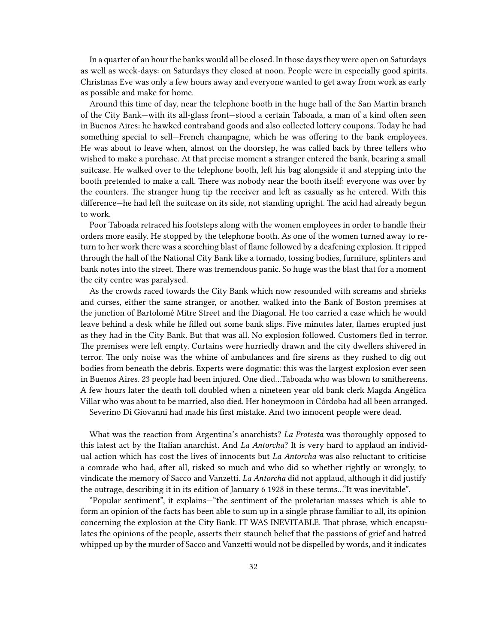In a quarter of an hour the banks would all be closed. In those days they were open on Saturdays as well as week-days: on Saturdays they closed at noon. People were in especially good spirits. Christmas Eve was only a few hours away and everyone wanted to get away from work as early as possible and make for home.

Around this time of day, near the telephone booth in the huge hall of the San Martin branch of the City Bank—with its all-glass front—stood a certain Taboada, a man of a kind often seen in Buenos Aires: he hawked contraband goods and also collected lottery coupons. Today he had something special to sell—French champagne, which he was offering to the bank employees. He was about to leave when, almost on the doorstep, he was called back by three tellers who wished to make a purchase. At that precise moment a stranger entered the bank, bearing a small suitcase. He walked over to the telephone booth, left his bag alongside it and stepping into the booth pretended to make a call. There was nobody near the booth itself: everyone was over by the counters. The stranger hung tip the receiver and left as casually as he entered. With this difference—he had left the suitcase on its side, not standing upright. The acid had already begun to work.

Poor Taboada retraced his footsteps along with the women employees in order to handle their orders more easily. He stopped by the telephone booth. As one of the women turned away to return to her work there was a scorching blast of flame followed by a deafening explosion. It ripped through the hall of the National City Bank like a tornado, tossing bodies, furniture, splinters and bank notes into the street. There was tremendous panic. So huge was the blast that for a moment the city centre was paralysed.

As the crowds raced towards the City Bank which now resounded with screams and shrieks and curses, either the same stranger, or another, walked into the Bank of Boston premises at the junction of Bartolomé Mitre Street and the Diagonal. He too carried a case which he would leave behind a desk while he filled out some bank slips. Five minutes later, flames erupted just as they had in the City Bank. But that was all. No explosion followed. Customers fled in terror. The premises were left empty. Curtains were hurriedly drawn and the city dwellers shivered in terror. The only noise was the whine of ambulances and fire sirens as they rushed to dig out bodies from beneath the debris. Experts were dogmatic: this was the largest explosion ever seen in Buenos Aires. 23 people had been injured. One died…Taboada who was blown to smithereens. A few hours later the death toll doubled when a nineteen year old bank clerk Magda Angélica Villar who was about to be married, also died. Her honeymoon in Córdoba had all been arranged.

Severino Di Giovanni had made his first mistake. And two innocent people were dead.

What was the reaction from Argentina's anarchists? *La Protesta* was thoroughly opposed to this latest act by the Italian anarchist. And *La Antorcha*? It is very hard to applaud an individual action which has cost the lives of innocents but *La Antorcha* was also reluctant to criticise a comrade who had, after all, risked so much and who did so whether rightly or wrongly, to vindicate the memory of Sacco and Vanzetti. *La Antorcha* did not applaud, although it did justify the outrage, describing it in its edition of January 6 1928 in these terms…"It was inevitable".

"Popular sentiment", it explains—"the sentiment of the proletarian masses which is able to form an opinion of the facts has been able to sum up in a single phrase familiar to all, its opinion concerning the explosion at the City Bank. IT WAS INEVITABLE. That phrase, which encapsulates the opinions of the people, asserts their staunch belief that the passions of grief and hatred whipped up by the murder of Sacco and Vanzetti would not be dispelled by words, and it indicates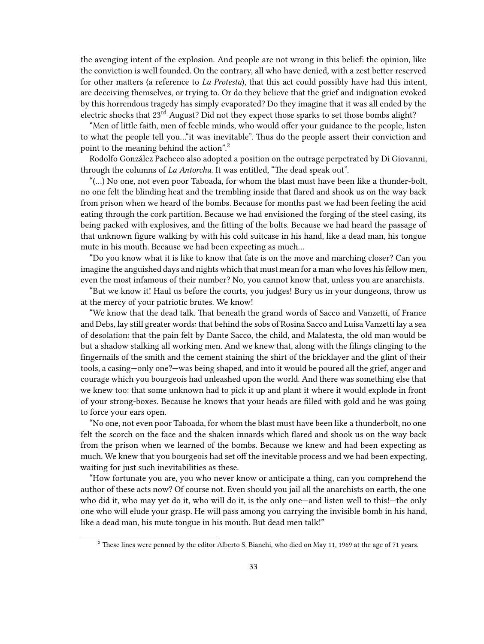the avenging intent of the explosion. And people are not wrong in this belief: the opinion, like the conviction is well founded. On the contrary, all who have denied, with a zest better reserved for other matters (a reference to *La Protesta*), that this act could possibly have had this intent, are deceiving themselves, or trying to. Or do they believe that the grief and indignation evoked by this horrendous tragedy has simply evaporated? Do they imagine that it was all ended by the electric shocks that 23<sup>rd</sup> August? Did not they expect those sparks to set those bombs alight?

"Men of little faith, men of feeble minds, who would offer your guidance to the people, listen to what the people tell you…"it was inevitable". Thus do the people assert their conviction and point to the meaning behind the action".<sup>2</sup>

Rodolfo González Pacheco also adopted a position on the outrage perpetrated by Di Giovanni, through the columns of *La Antorcha*. It was entitled, "The dead speak out".

"(…) No one, not even poor Taboada, for whom the blast must have been like a thunder-bolt, no one felt the blinding heat and the trembling inside that flared and shook us on the way back from prison when we heard of the bombs. Because for months past we had been feeling the acid eating through the cork partition. Because we had envisioned the forging of the steel casing, its being packed with explosives, and the fitting of the bolts. Because we had heard the passage of that unknown figure walking by with his cold suitcase in his hand, like a dead man, his tongue mute in his mouth. Because we had been expecting as much…

"Do you know what it is like to know that fate is on the move and marching closer? Can you imagine the anguished days and nights which that must mean for a man who loves his fellow men, even the most infamous of their number? No, you cannot know that, unless you are anarchists.

"But we know it! Haul us before the courts, you judges! Bury us in your dungeons, throw us at the mercy of your patriotic brutes. We know!

"We know that the dead talk. That beneath the grand words of Sacco and Vanzetti, of France and Debs, lay still greater words: that behind the sobs of Rosina Sacco and Luisa Vanzetti lay a sea of desolation: that the pain felt by Dante Sacco, the child, and Malatesta, the old man would be but a shadow stalking all working men. And we knew that, along with the filings clinging to the fingernails of the smith and the cement staining the shirt of the bricklayer and the glint of their tools, a casing—only one?—was being shaped, and into it would be poured all the grief, anger and courage which you bourgeois had unleashed upon the world. And there was something else that we knew too: that some unknown had to pick it up and plant it where it would explode in front of your strong-boxes. Because he knows that your heads are filled with gold and he was going to force your ears open.

"No one, not even poor Taboada, for whom the blast must have been like a thunderbolt, no one felt the scorch on the face and the shaken innards which flared and shook us on the way back from the prison when we learned of the bombs. Because we knew and had been expecting as much. We knew that you bourgeois had set off the inevitable process and we had been expecting, waiting for just such inevitabilities as these.

"How fortunate you are, you who never know or anticipate a thing, can you comprehend the author of these acts now? Of course not. Even should you jail all the anarchists on earth, the one who did it, who may yet do it, who will do it, is the only one—and listen well to this!—the only one who will elude your grasp. He will pass among you carrying the invisible bomb in his hand, like a dead man, his mute tongue in his mouth. But dead men talk!"

<sup>&</sup>lt;sup>2</sup> These lines were penned by the editor Alberto S. Bianchi, who died on May 11, 1969 at the age of 71 years.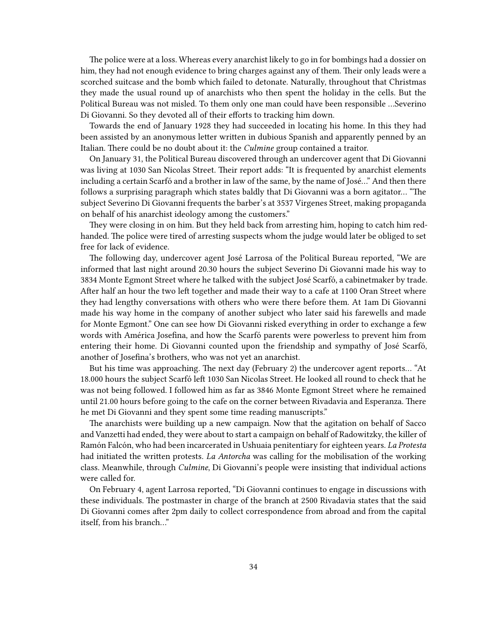The police were at a loss. Whereas every anarchist likely to go in for bombings had a dossier on him, they had not enough evidence to bring charges against any of them. Their only leads were a scorched suitcase and the bomb which failed to detonate. Naturally, throughout that Christmas they made the usual round up of anarchists who then spent the holiday in the cells. But the Political Bureau was not misled. To them only one man could have been responsible …Severino Di Giovanni. So they devoted all of their efforts to tracking him down.

Towards the end of January 1928 they had succeeded in locating his home. In this they had been assisted by an anonymous letter written in dubious Spanish and apparently penned by an Italian. There could be no doubt about it: the *Culmine* group contained a traitor.

On January 31, the Political Bureau discovered through an undercover agent that Di Giovanni was living at 1030 San Nicolas Street. Their report adds: "It is frequented by anarchist elements including a certain Scarfó and a brother in law of the same, by the name of José…" And then there follows a surprising paragraph which states baldly that Di Giovanni was a born agitator… "The subject Severino Di Giovanni frequents the barber's at 3537 Virgenes Street, making propaganda on behalf of his anarchist ideology among the customers."

They were closing in on him. But they held back from arresting him, hoping to catch him redhanded. The police were tired of arresting suspects whom the judge would later be obliged to set free for lack of evidence.

The following day, undercover agent José Larrosa of the Political Bureau reported, "We are informed that last night around 20.30 hours the subject Severino Di Giovanni made his way to 3834 Monte Egmont Street where he talked with the subject José Scarfó, a cabinetmaker by trade. After half an hour the two left together and made their way to a cafe at 1100 Oran Street where they had lengthy conversations with others who were there before them. At 1am Di Giovanni made his way home in the company of another subject who later said his farewells and made for Monte Egmont." One can see how Di Giovanni risked everything in order to exchange a few words with América Josefina, and how the Scarfó parents were powerless to prevent him from entering their home. Di Giovanni counted upon the friendship and sympathy of José Scarfó, another of Josefina's brothers, who was not yet an anarchist.

But his time was approaching. The next day (February 2) the undercover agent reports… "At 18.000 hours the subject Scarfó left 1030 San Nicolas Street. He looked all round to check that he was not being followed. I followed him as far as 3846 Monte Egmont Street where he remained until 21.00 hours before going to the cafe on the corner between Rivadavia and Esperanza. There he met Di Giovanni and they spent some time reading manuscripts."

The anarchists were building up a new campaign. Now that the agitation on behalf of Sacco and Vanzetti had ended, they were about to start a campaign on behalf of Radowitzky, the killer of Ramón Falcón, who had been incarcerated in Ushuaia penitentiary for eighteen years. *La Protesta* had initiated the written protests. *La Antorcha* was calling for the mobilisation of the working class. Meanwhile, through *Culmine*, Di Giovanni's people were insisting that individual actions were called for.

On February 4, agent Larrosa reported, "Di Giovanni continues to engage in discussions with these individuals. The postmaster in charge of the branch at 2500 Rivadavia states that the said Di Giovanni comes after 2pm daily to collect correspondence from abroad and from the capital itself, from his branch…"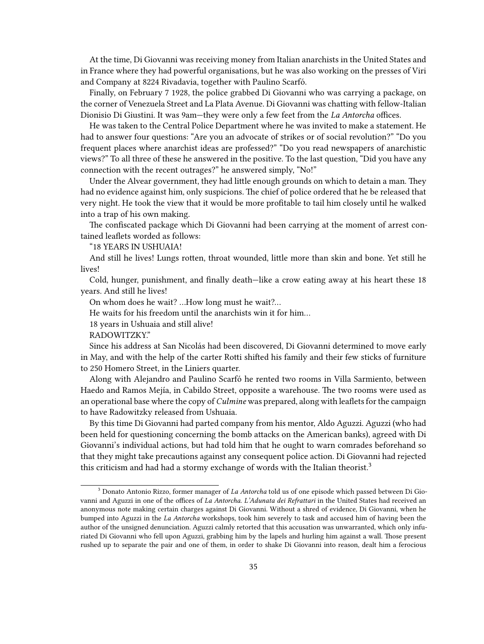At the time, Di Giovanni was receiving money from Italian anarchists in the United States and in France where they had powerful organisations, but he was also working on the presses of Viri and Company at 8224 Rivadavia, together with Paulino Scarfó.

Finally, on February 7 1928, the police grabbed Di Giovanni who was carrying a package, on the corner of Venezuela Street and La Plata Avenue. Di Giovanni was chatting with fellow-Italian Dionisio Di Giustini. It was 9am—they were only a few feet from the *La Antorcha* offices.

He was taken to the Central Police Department where he was invited to make a statement. He had to answer four questions: "Are you an advocate of strikes or of social revolution?" "Do you frequent places where anarchist ideas are professed?" "Do you read newspapers of anarchistic views?" To all three of these he answered in the positive. To the last question, "Did you have any connection with the recent outrages?" he answered simply, "No!"

Under the Alvear government, they had little enough grounds on which to detain a man. They had no evidence against him, only suspicions. The chief of police ordered that he be released that very night. He took the view that it would be more profitable to tail him closely until he walked into a trap of his own making.

The confiscated package which Di Giovanni had been carrying at the moment of arrest contained leaflets worded as follows:

"18 YEARS IN USHUAIA!

And still he lives! Lungs rotten, throat wounded, little more than skin and bone. Yet still he lives!

Cold, hunger, punishment, and finally death—like a crow eating away at his heart these 18 years. And still he lives!

On whom does he wait? …How long must he wait?…

He waits for his freedom until the anarchists win it for him…

18 years in Ushuaia and still alive!

RADOWITZKY."

Since his address at San Nicolás had been discovered, Di Giovanni determined to move early in May, and with the help of the carter Rotti shifted his family and their few sticks of furniture to 250 Homero Street, in the Liniers quarter.

Along with Alejandro and Paulino Scarfó he rented two rooms in Villa Sarmiento, between Haedo and Ramos Mejía, in Cabildo Street, opposite a warehouse. The two rooms were used as an operational base where the copy of *Culmine* was prepared, along with leaflets for the campaign to have Radowitzky released from Ushuaia.

By this time Di Giovanni had parted company from his mentor, Aldo Aguzzi. Aguzzi (who had been held for questioning concerning the bomb attacks on the American banks), agreed with Di Giovanni's individual actions, but had told him that he ought to warn comrades beforehand so that they might take precautions against any consequent police action. Di Giovanni had rejected this criticism and had had a stormy exchange of words with the Italian theorist.<sup>3</sup>

<sup>3</sup> Donato Antonio Rizzo, former manager of *La Antorcha* told us of one episode which passed between Di Giovanni and Aguzzi in one of the offices of *La Antorcha*. *L'Adunata dei Refrattari* in the United States had received an anonymous note making certain charges against Di Giovanni. Without a shred of evidence, Di Giovanni, when he bumped into Aguzzi in the *La Antorcha* workshops, took him severely to task and accused him of having been the author of the unsigned denunciation. Aguzzi calmly retorted that this accusation was unwarranted, which only infuriated Di Giovanni who fell upon Aguzzi, grabbing him by the lapels and hurling him against a wall. Those present rushed up to separate the pair and one of them, in order to shake Di Giovanni into reason, dealt him a ferocious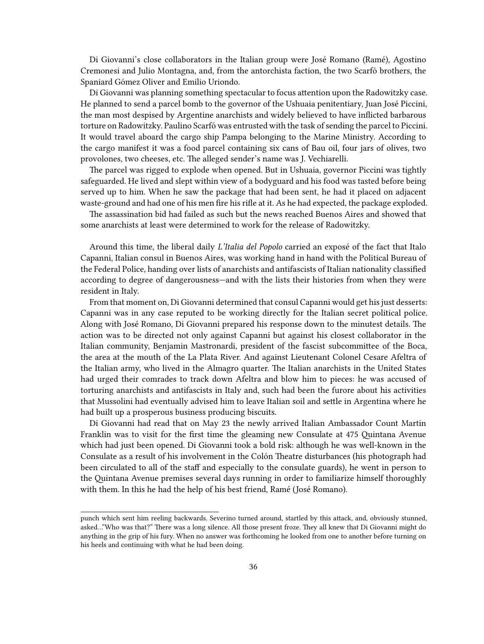Di Giovanni's close collaborators in the Italian group were José Romano (Ramé), Agostino Cremonesi and Julio Montagna, and, from the antorchista faction, the two Scarfó brothers, the Spaniard Gómez Oliver and Emilio Uriondo.

Di Giovanni was planning something spectacular to focus attention upon the Radowitzky case. He planned to send a parcel bomb to the governor of the Ushuaia penitentiary, Juan José Piccini, the man most despised by Argentine anarchists and widely believed to have inflicted barbarous torture on Radowitzky. Paulino Scarfó was entrusted with the task of sending the parcel to Piccini. It would travel aboard the cargo ship Pampa belonging to the Marine Ministry. According to the cargo manifest it was a food parcel containing six cans of Bau oil, four jars of olives, two provolones, two cheeses, etc. The alleged sender's name was J. Vechiarelli.

The parcel was rigged to explode when opened. But in Ushuaia, governor Piccini was tightly safeguarded. He lived and slept within view of a bodyguard and his food was tasted before being served up to him. When he saw the package that had been sent, he had it placed on adjacent waste-ground and had one of his men fire his rifle at it. As he had expected, the package exploded.

The assassination bid had failed as such but the news reached Buenos Aires and showed that some anarchists at least were determined to work for the release of Radowitzky.

Around this time, the liberal daily *L'Italia del Popolo* carried an exposé of the fact that Italo Capanni, Italian consul in Buenos Aires, was working hand in hand with the Political Bureau of the Federal Police, handing over lists of anarchists and antifascists of Italian nationality classified according to degree of dangerousness—and with the lists their histories from when they were resident in Italy.

From that moment on, Di Giovanni determined that consul Capanni would get his just desserts: Capanni was in any case reputed to be working directly for the Italian secret political police. Along with José Romano, Di Giovanni prepared his response down to the minutest details. The action was to be directed not only against Capanni but against his closest collaborator in the Italian community, Benjamin Mastronardi, president of the fascist subcommittee of the Boca, the area at the mouth of the La Plata River. And against Lieutenant Colonel Cesare Afeltra of the Italian army, who lived in the Almagro quarter. The Italian anarchists in the United States had urged their comrades to track down Afeltra and blow him to pieces: he was accused of torturing anarchists and antifascists in Italy and, such had been the furore about his activities that Mussolini had eventually advised him to leave Italian soil and settle in Argentina where he had built up a prosperous business producing biscuits.

Di Giovanni had read that on May 23 the newly arrived Italian Ambassador Count Martin Franklin was to visit for the first time the gleaming new Consulate at 475 Quintana Avenue which had just been opened. Di Giovanni took a bold risk: although he was well-known in the Consulate as a result of his involvement in the Colón Theatre disturbances (his photograph had been circulated to all of the staff and especially to the consulate guards), he went in person to the Quintana Avenue premises several days running in order to familiarize himself thoroughly with them. In this he had the help of his best friend, Ramé (José Romano).

punch which sent him reeling backwards. Severino turned around, startled by this attack, and, obviously stunned, asked…"Who was that?" There was a long silence. All those present froze. They all knew that Di Giovanni might do anything in the grip of his fury. When no answer was forthcoming he looked from one to another before turning on his heels and continuing with what he had been doing.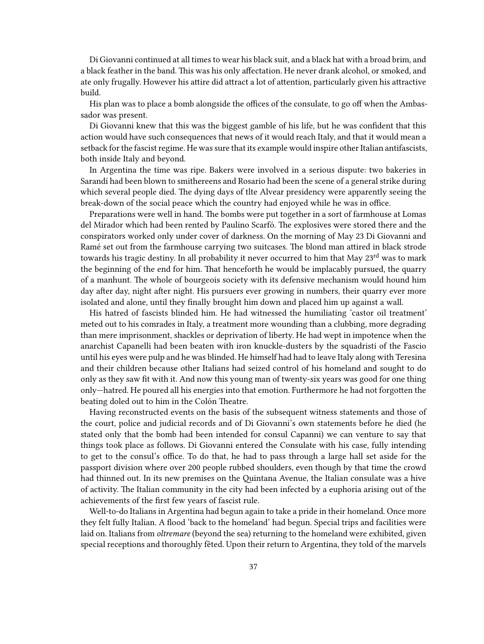Di Giovanni continued at all times to wear his black suit, and a black hat with a broad brim, and a black feather in the band. This was his only affectation. He never drank alcohol, or smoked, and ate only frugally. However his attire did attract a lot of attention, particularly given his attractive build.

His plan was to place a bomb alongside the offices of the consulate, to go off when the Ambassador was present.

Di Giovanni knew that this was the biggest gamble of his life, but he was confident that this action would have such consequences that news of it would reach Italy, and that it would mean a setback for the fascist regime. He was sure that its example would inspire other Italian antifascists, both inside Italy and beyond.

In Argentina the time was ripe. Bakers were involved in a serious dispute: two bakeries in Sarandí had been blown to smithereens and Rosario had been the scene of a general strike during which several people died. The dying days of tlte Alvear presidency were apparently seeing the break-down of the social peace which the country had enjoyed while he was in office.

Preparations were well in hand. The bombs were put together in a sort of farmhouse at Lomas del Mirador which had been rented by Paulino Scarfó. The explosives were stored there and the conspirators worked only under cover of darkness. On the morning of May 23 Di Giovanni and Ramé set out from the farmhouse carrying two suitcases. The blond man attired in black strode towards his tragic destiny. In all probability it never occurred to him that May  $23<sup>rd</sup>$  was to mark the beginning of the end for him. That henceforth he would be implacably pursued, the quarry of a manhunt. The whole of bourgeois society with its defensive mechanism would hound him day after day, night after night. His pursuers ever growing in numbers, their quarry ever more isolated and alone, until they finally brought him down and placed him up against a wall.

His hatred of fascists blinded him. He had witnessed the humiliating 'castor oil treatment' meted out to his comrades in Italy, a treatment more wounding than a clubbing, more degrading than mere imprisonment, shackles or deprivation of liberty. He had wept in impotence when the anarchist Capanelli had been beaten with iron knuckle-dusters by the squadristi of the Fascio until his eyes were pulp and he was blinded. He himself had had to leave Italy along with Teresina and their children because other Italians had seized control of his homeland and sought to do only as they saw fit with it. And now this young man of twenty-six years was good for one thing only—hatred. He poured all his energies into that emotion. Furthermore he had not forgotten the beating doled out to him in the Colón Theatre.

Having reconstructed events on the basis of the subsequent witness statements and those of the court, police and judicial records and of Di Giovanni's own statements before he died (he stated only that the bomb had been intended for consul Capanni) we can venture to say that things took place as follows. Di Giovanni entered the Consulate with his case, fully intending to get to the consul's office. To do that, he had to pass through a large hall set aside for the passport division where over 200 people rubbed shoulders, even though by that time the crowd had thinned out. In its new premises on the Quintana Avenue, the Italian consulate was a hive of activity. The Italian community in the city had been infected by a euphoria arising out of the achievements of the first few years of fascist rule.

Well-to-do Italians in Argentina had begun again to take a pride in their homeland. Once more they felt fully Italian. A flood 'back to the homeland' had begun. Special trips and facilities were laid on. Italians from *oltremare* (beyond the sea) returning to the homeland were exhibited, given special receptions and thoroughly fêted. Upon their return to Argentina, they told of the marvels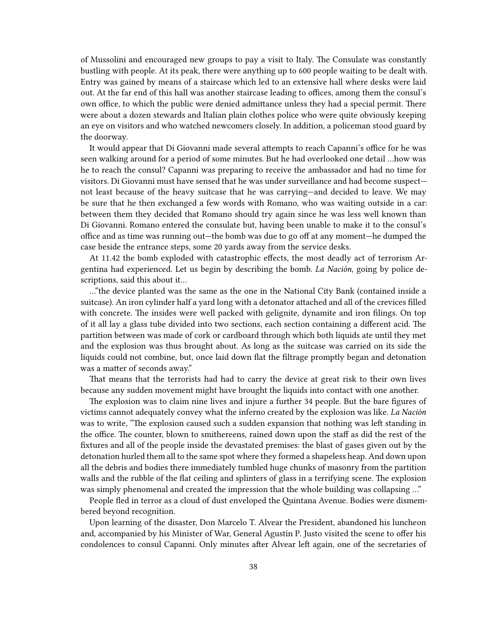of Mussolini and encouraged new groups to pay a visit to Italy. The Consulate was constantly bustling with people. At its peak, there were anything up to 600 people waiting to be dealt with. Entry was gained by means of a staircase which led to an extensive hall where desks were laid out. At the far end of this hall was another staircase leading to offices, among them the consul's own office, to which the public were denied admittance unless they had a special permit. There were about a dozen stewards and Italian plain clothes police who were quite obviously keeping an eye on visitors and who watched newcomers closely. In addition, a policeman stood guard by the doorway.

It would appear that Di Giovanni made several attempts to reach Capanni's office for he was seen walking around for a period of some minutes. But he had overlooked one detail …how was he to reach the consul? Capanni was preparing to receive the ambassador and had no time for visitors. Di Giovanni must have sensed that he was under surveillance and had become suspect not least because of the heavy suitcase that he was carrying—and decided to leave. We may be sure that he then exchanged a few words with Romano, who was waiting outside in a car: between them they decided that Romano should try again since he was less well known than Di Giovanni. Romano entered the consulate but, having been unable to make it to the consul's office and as time was running out—the bomb was due to go off at any moment—he dumped the case beside the entrance steps, some 20 yards away from the service desks.

At 11.42 the bomb exploded with catastrophic effects, the most deadly act of terrorism Argentina had experienced. Let us begin by describing the bomb. *La Nación*, going by police descriptions, said this about it…

…"the device planted was the same as the one in the National City Bank (contained inside a suitcase). An iron cylinder half a yard long with a detonator attached and all of the crevices filled with concrete. The insides were well packed with gelignite, dynamite and iron filings. On top of it all lay a glass tube divided into two sections, each section containing a different acid. The partition between was made of cork or cardboard through which both liquids ate until they met and the explosion was thus brought about. As long as the suitcase was carried on its side the liquids could not combine, but, once laid down flat the filtrage promptly began and detonation was a matter of seconds away."

That means that the terrorists had had to carry the device at great risk to their own lives because any sudden movement might have brought the liquids into contact with one another.

The explosion was to claim nine lives and injure a further 34 people. But the bare figures of victims cannot adequately convey what the inferno created by the explosion was like. *La Nación* was to write, "The explosion caused such a sudden expansion that nothing was left standing in the office. The counter, blown to smithereens, rained down upon the staff as did the rest of the fixtures and all of the people inside the devastated premises: the blast of gases given out by the detonation hurled them all to the same spot where they formed a shapeless heap. And down upon all the debris and bodies there immediately tumbled huge chunks of masonry from the partition walls and the rubble of the flat ceiling and splinters of glass in a terrifying scene. The explosion was simply phenomenal and created the impression that the whole building was collapsing …"

People fled in terror as a cloud of dust enveloped the Quintana Avenue. Bodies were dismembered beyond recognition.

Upon learning of the disaster, Don Marcelo T. Alvear the President, abandoned his luncheon and, accompanied by his Minister of War, General Agustín P. Justo visited the scene to offer his condolences to consul Capanni. Only minutes after Alvear left again, one of the secretaries of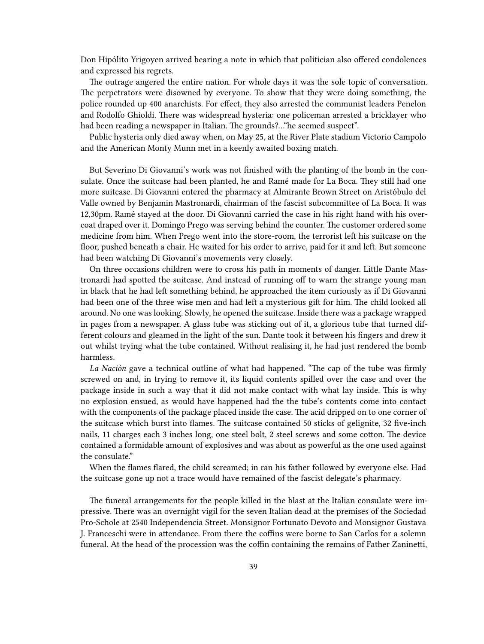Don Hipólito Yrigoyen arrived bearing a note in which that politician also offered condolences and expressed his regrets.

The outrage angered the entire nation. For whole days it was the sole topic of conversation. The perpetrators were disowned by everyone. To show that they were doing something, the police rounded up 400 anarchists. For effect, they also arrested the communist leaders Penelon and Rodolfo Ghioldi. There was widespread hysteria: one policeman arrested a bricklayer who had been reading a newspaper in Italian. The grounds?... he seemed suspect".

Public hysteria only died away when, on May 25, at the River Plate stadium Victorio Campolo and the American Monty Munn met in a keenly awaited boxing match.

But Severino Di Giovanni's work was not finished with the planting of the bomb in the consulate. Once the suitcase had been planted, he and Ramé made for La Boca. They still had one more suitcase. Di Giovanni entered the pharmacy at Almirante Brown Street on Aristóbulo del Valle owned by Benjamin Mastronardi, chairman of the fascist subcommittee of La Boca. It was 12,30pm. Ramé stayed at the door. Di Giovanni carried the case in his right hand with his overcoat draped over it. Domingo Prego was serving behind the counter. The customer ordered some medicine from him. When Prego went into the store-room, the terrorist left his suitcase on the floor, pushed beneath a chair. He waited for his order to arrive, paid for it and left. But someone had been watching Di Giovanni's movements very closely.

On three occasions children were to cross his path in moments of danger. Little Dante Mastronardi had spotted the suitcase. And instead of running off to warn the strange young man in black that he had left something behind, he approached the item curiously as if Di Giovanni had been one of the three wise men and had left a mysterious gift for him. The child looked all around. No one was looking. Slowly, he opened the suitcase. Inside there was a package wrapped in pages from a newspaper. A glass tube was sticking out of it, a glorious tube that turned different colours and gleamed in the light of the sun. Dante took it between his fingers and drew it out whilst trying what the tube contained. Without realising it, he had just rendered the bomb harmless.

*La Nación* gave a technical outline of what had happened. "The cap of the tube was firmly screwed on and, in trying to remove it, its liquid contents spilled over the case and over the package inside in such a way that it did not make contact with what lay inside. This is why no explosion ensued, as would have happened had the the tube's contents come into contact with the components of the package placed inside the case. The acid dripped on to one corner of the suitcase which burst into flames. The suitcase contained 50 sticks of gelignite, 32 five-inch nails, 11 charges each 3 inches long, one steel bolt, 2 steel screws and some cotton. The device contained a formidable amount of explosives and was about as powerful as the one used against the consulate."

When the flames flared, the child screamed; in ran his father followed by everyone else. Had the suitcase gone up not a trace would have remained of the fascist delegate's pharmacy.

The funeral arrangements for the people killed in the blast at the Italian consulate were impressive. There was an overnight vigil for the seven Italian dead at the premises of the Sociedad Pro-Schole at 2540 Independencia Street. Monsignor Fortunato Devoto and Monsignor Gustava J. Franceschi were in attendance. From there the coffins were borne to San Carlos for a solemn funeral. At the head of the procession was the coffin containing the remains of Father Zaninetti,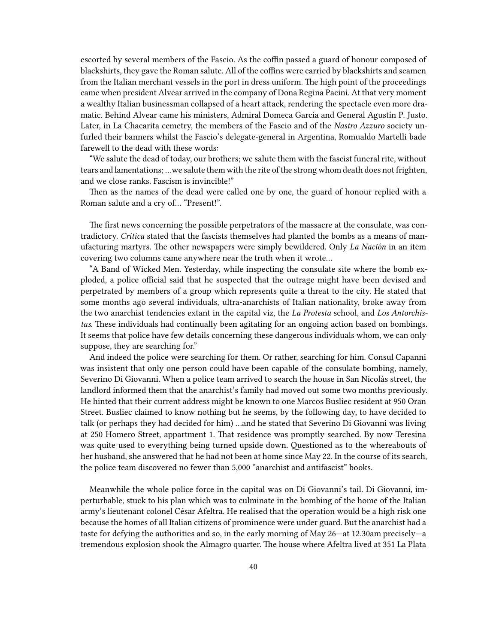escorted by several members of the Fascio. As the coffin passed a guard of honour composed of blackshirts, they gave the Roman salute. All of the coffins were carried by blackshirts and seamen from the Italian merchant vessels in the port in dress uniform. The high point of the proceedings came when president Alvear arrived in the company of Dona Regina Pacini. At that very moment a wealthy Italian businessman collapsed of a heart attack, rendering the spectacle even more dramatic. Behind Alvear came his ministers, Admiral Domeca Garcia and General Agustín P. Justo. Later, in La Chacarita cemetry, the members of the Fascio and of the *Nastro Azzuro* society unfurled their banners whilst the Fascio's delegate-general in Argentina, Romualdo Martelli bade farewell to the dead with these words:

"We salute the dead of today, our brothers; we salute them with the fascist funeral rite, without tears and lamentations; …we salute them with the rite of the strong whom death does not frighten, and we close ranks. Fascism is invincible!"

Then as the names of the dead were called one by one, the guard of honour replied with a Roman salute and a cry of… "Present!".

The first news concerning the possible perpetrators of the massacre at the consulate, was contradictory. *Crítica* stated that the fascists themselves had planted the bombs as a means of manufacturing martyrs. The other newspapers were simply bewildered. Only *La Nación* in an item covering two columns came anywhere near the truth when it wrote…

"A Band of Wicked Men. Yesterday, while inspecting the consulate site where the bomb exploded, a police official said that he suspected that the outrage might have been devised and perpetrated by members of a group which represents quite a threat to the city. He stated that some months ago several individuals, ultra-anarchists of Italian nationality, broke away from the two anarchist tendencies extant in the capital viz, the *La Protesta* school, and *Los Antorchistas*. These individuals had continually been agitating for an ongoing action based on bombings. It seems that police have few details concerning these dangerous individuals whom, we can only suppose, they are searching for."

And indeed the police were searching for them. Or rather, searching for him. Consul Capanni was insistent that only one person could have been capable of the consulate bombing, namely, Severino Di Giovanni. When a police team arrived to search the house in San Nicolás street, the landlord informed them that the anarchist's family had moved out some two months previously. He hinted that their current address might be known to one Marcos Busliec resident at 950 Oran Street. Busliec claimed to know nothing but he seems, by the following day, to have decided to talk (or perhaps they had decided for him) …and he stated that Severino Di Giovanni was living at 250 Homero Street, appartment 1. That residence was promptly searched. By now Teresina was quite used to everything being turned upside down. Questioned as to the whereabouts of her husband, she answered that he had not been at home since May 22. In the course of its search, the police team discovered no fewer than 5,000 "anarchist and antifascist" books.

Meanwhile the whole police force in the capital was on Di Giovanni's tail. Di Giovanni, imperturbable, stuck to his plan which was to culminate in the bombing of the home of the Italian army's lieutenant colonel César Afeltra. He realised that the operation would be a high risk one because the homes of all Italian citizens of prominence were under guard. But the anarchist had a taste for defying the authorities and so, in the early morning of May 26—at 12.30am precisely—a tremendous explosion shook the Almagro quarter. The house where Afeltra lived at 351 La Plata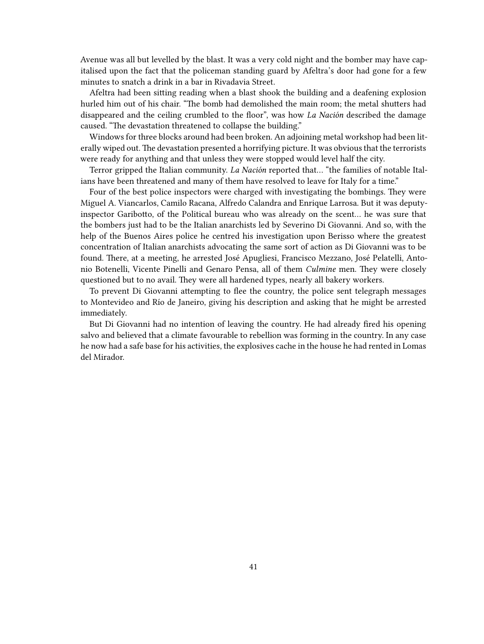Avenue was all but levelled by the blast. It was a very cold night and the bomber may have capitalised upon the fact that the policeman standing guard by Afeltra's door had gone for a few minutes to snatch a drink in a bar in Rivadavia Street.

Afeltra had been sitting reading when a blast shook the building and a deafening explosion hurled him out of his chair. "The bomb had demolished the main room; the metal shutters had disappeared and the ceiling crumbled to the floor", was how *La Nación* described the damage caused. "The devastation threatened to collapse the building."

Windows for three blocks around had been broken. An adjoining metal workshop had been literally wiped out. The devastation presented a horrifying picture. It was obvious that the terrorists were ready for anything and that unless they were stopped would level half the city.

Terror gripped the Italian community. *La Nación* reported that… "the families of notable Italians have been threatened and many of them have resolved to leave for Italy for a time."

Four of the best police inspectors were charged with investigating the bombings. They were Miguel A. Viancarlos, Camilo Racana, Alfredo Calandra and Enrique Larrosa. But it was deputyinspector Garibotto, of the Political bureau who was already on the scent… he was sure that the bombers just had to be the Italian anarchists led by Severino Di Giovanni. And so, with the help of the Buenos Aires police he centred his investigation upon Berisso where the greatest concentration of Italian anarchists advocating the same sort of action as Di Giovanni was to be found. There, at a meeting, he arrested José Apugliesi, Francisco Mezzano, José Pelatelli, Antonio Botenelli, Vicente Pinelli and Genaro Pensa, all of them *Culmine* men. They were closely questioned but to no avail. They were all hardened types, nearly all bakery workers.

To prevent Di Giovanni attempting to flee the country, the police sent telegraph messages to Montevideo and Río de Janeiro, giving his description and asking that he might be arrested immediately.

But Di Giovanni had no intention of leaving the country. He had already fired his opening salvo and believed that a climate favourable to rebellion was forming in the country. In any case he now had a safe base for his activities, the explosives cache in the house he had rented in Lomas del Mirador.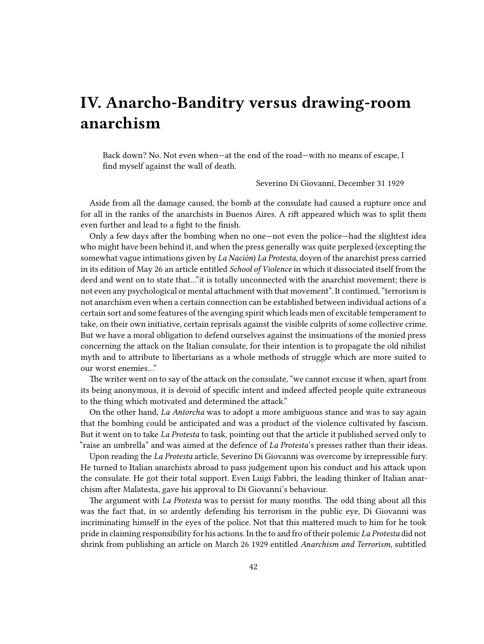# **IV. Anarcho-Banditry versus drawing-room anarchism**

Back down? No. Not even when—at the end of the road—with no means of escape, I find myself against the wall of death.

Severino Di Giovanni, December 31 1929

Aside from all the damage caused, the bomb at the consulate had caused a rupture once and for all in the ranks of the anarchists in Buenos Aires. A rift appeared which was to split them even further and lead to a fight to the finish.

Only a few days after the bombing when no one—not even the police—had the slightest idea who might have been behind it, and when the press generally was quite perplexed (excepting the somewhat vague intimations given by *La Nación*) *La Protesta*, doyen of the anarchist press carried in its edition of May 26 an article entitled *School of Violence* in which it dissociated itself from the deed and went on to state that…"it is totally unconnected with the anarchist movement; there is not even any psychological or mental attachment with that movement". It continued, "terrorism is not anarchism even when a certain connection can be established between individual actions of a certain sort and some features of the avenging spirit which leads men of excitable temperament to take, on their own initiative, certain reprisals against the visible culprits of some collective crime. But we have a moral obligation to defend ourselves against the insinuations of the monied press concerning the attack on the Italian consulate, for their intention is to propagate the old nihilist myth and to attribute to libertarians as a whole methods of struggle which are more suited to our worst enemies…"

The writer went on to say of the attack on the consulate, "we cannot excuse it when, apart from its being anonymous, it is devoid of specific intent and indeed affected people quite extraneous to the thing which motivated and determined the attack."

On the other hand, *La Antorcha* was to adopt a more ambiguous stance and was to say again that the bombing could be anticipated and was a product of the violence cultivated by fascism. But it went on to take *La Protesta* to task, pointing out that the article it published served only to "raise an umbrella" and was aimed at the defence of *La Protesta*'s presses rather than their ideas.

Upon reading the *La Protesta* article, Severino Di Giovanni was overcome by irrepressible fury. He turned to Italian anarchists abroad to pass judgement upon his conduct and his attack upon the consulate. He got their total support. Even Luigi Fabbri, the leading thinker of Italian anarchism after Malatesta, gave his approval to Di Giovanni's behaviour.

The argument with *La Protesta* was to persist for many months. The odd thing about all this was the fact that, in so ardently defending his terrorism in the public eye, Di Giovanni was incriminating himself in the eyes of the police. Not that this mattered much to him for he took pride in claiming responsibility for his actions. In the to and fro of their polemic *La Protesta* did not shrink from publishing an article on March 26 1929 entitled *Anarchism and Terrorism*, subtitled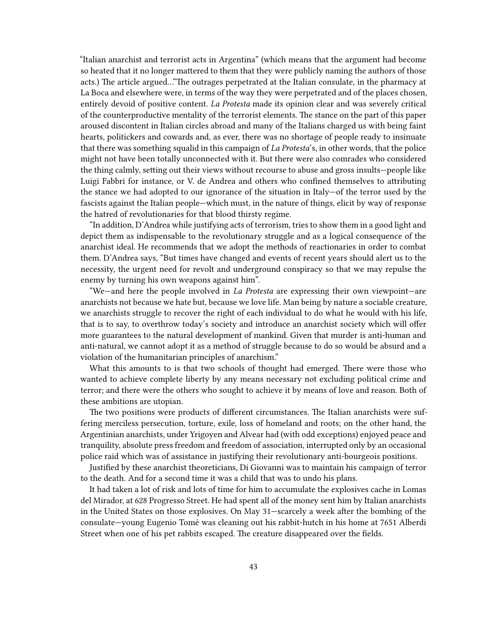"Italian anarchist and terrorist acts in Argentina" (which means that the argument had become so heated that it no longer mattered to them that they were publicly naming the authors of those acts.) The article argued…"The outrages perpetrated at the Italian consulate, in the pharmacy at La Boca and elsewhere were, in terms of the way they were perpetrated and of the places chosen, entirely devoid of positive content. *La Protesta* made its opinion clear and was severely critical of the counterproductive mentality of the terrorist elements. The stance on the part of this paper aroused discontent in Italian circles abroad and many of the Italians charged us with being faint hearts, politickers and cowards and, as ever, there was no shortage of people ready to insinuate that there was something squalid in this campaign of *La Protesta*'s, in other words, that the police might not have been totally unconnected with it. But there were also comrades who considered the thing calmly, setting out their views without recourse to abuse and gross insults—people like Luigi Fabbri for instance, or V. de Andrea and others who confined themselves to attributing the stance we had adopted to our ignorance of the situation in Italy—of the terror used by the fascists against the Italian people—which must, in the nature of things, elicit by way of response the hatred of revolutionaries for that blood thirsty regime.

"In addition, D'Andrea while justifying acts of terrorism, tries to show them in a good light and depict them as indispensable to the revolutionary struggle and as a logical consequence of the anarchist ideal. He recommends that we adopt the methods of reactionaries in order to combat them. D'Andrea says, "But times have changed and events of recent years should alert us to the necessity, the urgent need for revolt and underground conspiracy so that we may repulse the enemy by turning his own weapons against him".

"We—and here the people involved in *La Protesta* are expressing their own viewpoint—are anarchists not because we hate but, because we love life. Man being by nature a sociable creature, we anarchists struggle to recover the right of each individual to do what he would with his life, that is to say, to overthrow today's society and introduce an anarchist society which will offer more guarantees to the natural development of mankind. Given that murder is anti-human and anti-natural, we cannot adopt it as a method of struggle because to do so would be absurd and a violation of the humanitarian principles of anarchism."

What this amounts to is that two schools of thought had emerged. There were those who wanted to achieve complete liberty by any means necessary not excluding political crime and terror; and there were the others who sought to achieve it by means of love and reason. Both of these ambitions are utopian.

The two positions were products of different circumstances. The Italian anarchists were suffering merciless persecution, torture, exile, loss of homeland and roots; on the other hand, the Argentinian anarchists, under Yrigoyen and Alvear had (with odd exceptions) enjoyed peace and tranquility, absolute press freedom and freedom of association, interrupted only by an occasional police raid which was of assistance in justifying their revolutionary anti-bourgeois positions.

Justified by these anarchist theoreticians, Di Giovanni was to maintain his campaign of terror to the death. And for a second time it was a child that was to undo his plans.

It had taken a lot of risk and lots of time for him to accumulate the explosives cache in Lomas del Mirador, at 628 Progresso Street. He had spent all of the money sent him by Italian anarchists in the United States on those explosives. On May 31—scarcely a week after the bombing of the consulate—young Eugenio Tomé was cleaning out his rabbit-hutch in his home at 7651 Alberdi Street when one of his pet rabbits escaped. The creature disappeared over the fields.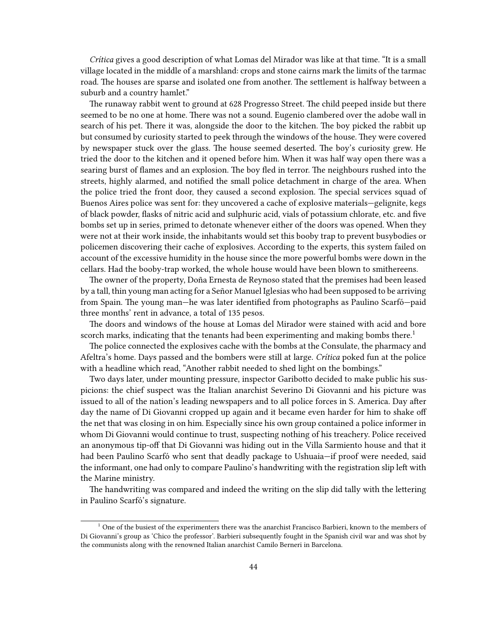*Crítica* gives a good description of what Lomas del Mirador was like at that time. "It is a small village located in the middle of a marshland: crops and stone cairns mark the limits of the tarmac road. The houses are sparse and isolated one from another. The settlement is halfway between a suburb and a country hamlet."

The runaway rabbit went to ground at 628 Progresso Street. The child peeped inside but there seemed to be no one at home. There was not a sound. Eugenio clambered over the adobe wall in search of his pet. There it was, alongside the door to the kitchen. The boy picked the rabbit up but consumed by curiosity started to peek through the windows of the house. They were covered by newspaper stuck over the glass. The house seemed deserted. The boy's curiosity grew. He tried the door to the kitchen and it opened before him. When it was half way open there was a searing burst of flames and an explosion. The boy fled in terror. The neighbours rushed into the streets, highly alarmed, and notified the small police detachment in charge of the area. When the police tried the front door, they caused a second explosion. The special services squad of Buenos Aires police was sent for: they uncovered a cache of explosive materials—gelignite, kegs of black powder, flasks of nitric acid and sulphuric acid, vials of potassium chlorate, etc. and five bombs set up in series, primed to detonate whenever either of the doors was opened. When they were not at their work inside, the inhabitants would set this booby trap to prevent busybodies or policemen discovering their cache of explosives. According to the experts, this system failed on account of the excessive humidity in the house since the more powerful bombs were down in the cellars. Had the booby-trap worked, the whole house would have been blown to smithereens.

The owner of the property, Doña Ernesta de Reynoso stated that the premises had been leased by a tall, thin young man acting for a Señor Manuel Iglesias who had been supposed to be arriving from Spain. The young man—he was later identified from photographs as Paulino Scarfó—paid three months' rent in advance, a total of 135 pesos.

The doors and windows of the house at Lomas del Mirador were stained with acid and bore scorch marks, indicating that the tenants had been experimenting and making bombs there.<sup>1</sup>

The police connected the explosives cache with the bombs at the Consulate, the pharmacy and Afeltra's home. Days passed and the bombers were still at large. *Crítica* poked fun at the police with a headline which read, "Another rabbit needed to shed light on the bombings."

Two days later, under mounting pressure, inspector Garibotto decided to make public his suspicions: the chief suspect was the Italian anarchist Severino Di Giovanni and his picture was issued to all of the nation's leading newspapers and to all police forces in S. America. Day after day the name of Di Giovanni cropped up again and it became even harder for him to shake off the net that was closing in on him. Especially since his own group contained a police informer in whom Di Giovanni would continue to trust, suspecting nothing of his treachery. Police received an anonymous tip-off that Di Giovanni was hiding out in the Villa Sarmiento house and that it had been Paulino Scarfó who sent that deadly package to Ushuaia—if proof were needed, said the informant, one had only to compare Paulino's handwriting with the registration slip left with the Marine ministry.

The handwriting was compared and indeed the writing on the slip did tally with the lettering in Paulino Scarfó's signature.

 $1$  One of the busiest of the experimenters there was the anarchist Francisco Barbieri, known to the members of Di Giovanni's group as 'Chico the professor'. Barbieri subsequently fought in the Spanish civil war and was shot by the communists along with the renowned Italian anarchist Camilo Berneri in Barcelona.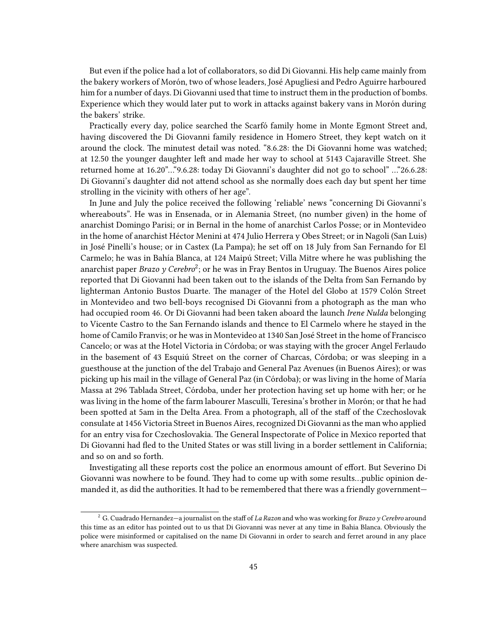But even if the police had a lot of collaborators, so did Di Giovanni. His help came mainly from the bakery workers of Morón, two of whose leaders, José Apugliesi and Pedro Aguirre harboured him for a number of days. Di Giovanni used that time to instruct them in the production of bombs. Experience which they would later put to work in attacks against bakery vans in Morón during the bakers' strike.

Practically every day, police searched the Scarfó family home in Monte Egmont Street and, having discovered the Di Giovanni family residence in Homero Street, they kept watch on it around the clock. The minutest detail was noted. "8.6.28: the Di Giovanni home was watched; at 12.50 the younger daughter left and made her way to school at 5143 Cajaraville Street. She returned home at 16.20"…"9.6.28: today Di Giovanni's daughter did not go to school" …"26.6.28: Di Giovanni's daughter did not attend school as she normally does each day but spent her time strolling in the vicinity with others of her age".

In June and July the police received the following 'reliable' news "concerning Di Giovanni's whereabouts". He was in Ensenada, or in Alemania Street, (no number given) in the home of anarchist Domingo Parisi; or in Bernal in the home of anarchist Carlos Posse; or in Montevideo in the home of anarchist Héctor Menini at 474 Julio Herrera y Obes Street; or in Nagoli (San Luis) in José Pinelli's house; or in Castex (La Pampa); he set off on 18 July from San Fernando for El Carmelo; he was in Bahía Blanca, at 124 Maipú Street; Villa Mitre where he was publishing the anarchist paper *Brazo y Cerebro<sup>2</sup>*; or he was in Fray Bentos in Uruguay. The Buenos Aires police reported that Di Giovanni had been taken out to the islands of the Delta from San Fernando by lighterman Antonio Bustos Duarte. The manager of the Hotel del Globo at 1579 Colón Street in Montevideo and two bell-boys recognised Di Giovanni from a photograph as the man who had occupied room 46. Or Di Giovanni had been taken aboard the launch *Irene Nulda* belonging to Vicente Castro to the San Fernando islands and thence to El Carmelo where he stayed in the home of Camilo Franvis; or he was in Montevideo at 1340 San José Street in the home of Francisco Cancelo; or was at the Hotel Victoria in Córdoba; or was staying with the grocer Angel Ferlaudo in the basement of 43 Esquiú Street on the corner of Charcas, Córdoba; or was sleeping in a guesthouse at the junction of the del Trabajo and General Paz Avenues (in Buenos Aires); or was picking up his mail in the village of General Paz (in Córdoba); or was living in the home of María Massa at 296 Tablada Street, Córdoba, under her protection having set up home with her; or he was living in the home of the farm labourer Masculli, Teresina's brother in Morón; or that he had been spotted at 5am in the Delta Area. From a photograph, all of the staff of the Czechoslovak consulate at 1456 Victoria Street in Buenos Aires, recognized Di Giovanni as the man who applied for an entry visa for Czechoslovakia. The General Inspectorate of Police in Mexico reported that Di Giovanni had fled to the United States or was still living in a border settlement in California; and so on and so forth.

Investigating all these reports cost the police an enormous amount of effort. But Severino Di Giovanni was nowhere to be found. They had to come up with some results…public opinion demanded it, as did the authorities. It had to be remembered that there was a friendly government—

<sup>2</sup> G. Cuadrado Hernandez—a journalist on the staff of *La Razon* and who was working for *Brazo y Cerebro* around this time as an editor has pointed out to us that Di Giovanni was never at any time in Bahia Blanca. Obviously the police were misinformed or capitalised on the name Di Giovanni in order to search and ferret around in any place where anarchism was suspected.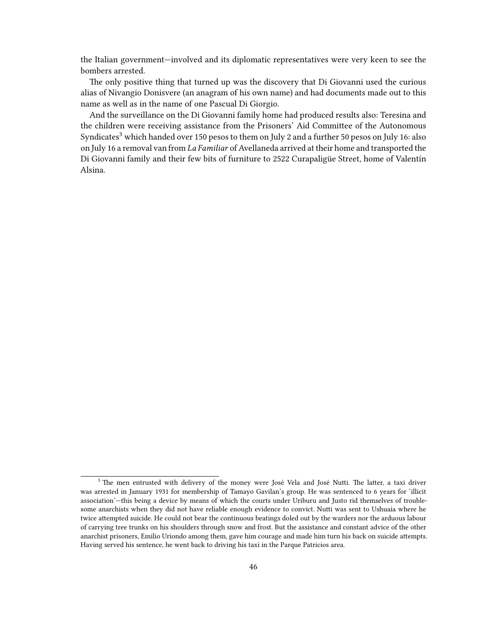the Italian government—involved and its diplomatic representatives were very keen to see the bombers arrested.

The only positive thing that turned up was the discovery that Di Giovanni used the curious alias of Nivangio Donisvere (an anagram of his own name) and had documents made out to this name as well as in the name of one Pascual Di Giorgio.

And the surveillance on the Di Giovanni family home had produced results also: Teresina and the children were receiving assistance from the Prisoners' Aid Committee of the Autonomous Syndicates<sup>3</sup> which handed over 150 pesos to them on July 2 and a further 50 pesos on July 16: also on July 16 a removal van from *La Familiar* of Avellaneda arrived at their home and transported the Di Giovanni family and their few bits of furniture to 2522 Curapaligüe Street, home of Valentín Alsina.

<sup>&</sup>lt;sup>3</sup> The men entrusted with delivery of the money were José Vela and José Nutti. The latter, a taxi driver was arrested in January 1931 for membership of Tamayo Gavilan's group. He was sentenced to 6 years for 'illicit association'—this being a device by means of which the courts under Uriburu and Justo rid themselves of troublesome anarchists when they did not have reliable enough evidence to convict. Nutti was sent to Ushuaia where he twice attempted suicide. He could not bear the continuous beatings doled out by the warders nor the arduous labour of carrying tree trunks on his shoulders through snow and frost. But the assistance and constant advice of the other anarchist prisoners, Emilio Uriondo among them, gave him courage and made him turn his back on suicide attempts. Having served his sentence, he went back to driving his taxi in the Parque Patricios area.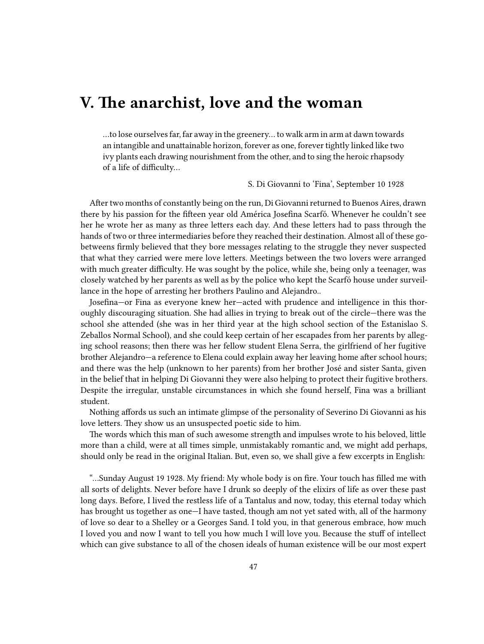#### **V. The anarchist, love and the woman**

…to lose ourselves far, far away in the greenery… to walk arm in arm at dawn towards an intangible and unattainable horizon, forever as one, forever tightly linked like two ivy plants each drawing nourishment from the other, and to sing the heroic rhapsody of a life of difficulty…

S. Di Giovanni to 'Fina', September 10 1928

After two months of constantly being on the run, Di Giovanni returned to Buenos Aires, drawn there by his passion for the fifteen year old América Josefina Scarfó. Whenever he couldn't see her he wrote her as many as three letters each day. And these letters had to pass through the hands of two or three intermediaries before they reached their destination. Almost all of these gobetweens firmly believed that they bore messages relating to the struggle they never suspected that what they carried were mere love letters. Meetings between the two lovers were arranged with much greater difficulty. He was sought by the police, while she, being only a teenager, was closely watched by her parents as well as by the police who kept the Scarfó house under surveillance in the hope of arresting her brothers Paulino and Alejandro..

Josefina—or Fina as everyone knew her—acted with prudence and intelligence in this thoroughly discouraging situation. She had allies in trying to break out of the circle—there was the school she attended (she was in her third year at the high school section of the Estanislao S. Zeballos Normal School), and she could keep certain of her escapades from her parents by alleging school reasons; then there was her fellow student Elena Serra, the girlfriend of her fugitive brother Alejandro—a reference to Elena could explain away her leaving home after school hours; and there was the help (unknown to her parents) from her brother José and sister Santa, given in the belief that in helping Di Giovanni they were also helping to protect their fugitive brothers. Despite the irregular, unstable circumstances in which she found herself, Fina was a brilliant student.

Nothing affords us such an intimate glimpse of the personality of Severino Di Giovanni as his love letters. They show us an unsuspected poetic side to him.

The words which this man of such awesome strength and impulses wrote to his beloved, little more than a child, were at all times simple, unmistakably romantic and, we might add perhaps, should only be read in the original Italian. But, even so, we shall give a few excerpts in English:

"…Sunday August 19 1928. My friend: My whole body is on fire. Your touch has filled me with all sorts of delights. Never before have I drunk so deeply of the elixirs of life as over these past long days. Before, I lived the restless life of a Tantalus and now, today, this eternal today which has brought us together as one—I have tasted, though am not yet sated with, all of the harmony of love so dear to a Shelley or a Georges Sand. I told you, in that generous embrace, how much I loved you and now I want to tell you how much I will love you. Because the stuff of intellect which can give substance to all of the chosen ideals of human existence will be our most expert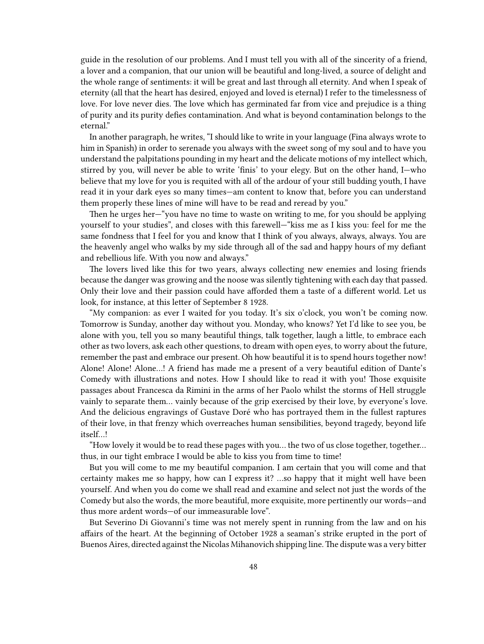guide in the resolution of our problems. And I must tell you with all of the sincerity of a friend, a lover and a companion, that our union will be beautiful and long-lived, a source of delight and the whole range of sentiments: it will be great and last through all eternity. And when I speak of eternity (all that the heart has desired, enjoyed and loved is eternal) I refer to the timelessness of love. For love never dies. The love which has germinated far from vice and prejudice is a thing of purity and its purity defies contamination. And what is beyond contamination belongs to the eternal."

In another paragraph, he writes, "I should like to write in your language (Fina always wrote to him in Spanish) in order to serenade you always with the sweet song of my soul and to have you understand the palpitations pounding in my heart and the delicate motions of my intellect which, stirred by you, will never be able to write 'finis' to your elegy. But on the other hand, I—who believe that my love for you is requited with all of the ardour of your still budding youth, I have read it in your dark eyes so many times—am content to know that, before you can understand them properly these lines of mine will have to be read and reread by you."

Then he urges her—"you have no time to waste on writing to me, for you should be applying yourself to your studies", and closes with this farewell—"kiss me as I kiss you: feel for me the same fondness that I feel for you and know that I think of you always, always, always. You are the heavenly angel who walks by my side through all of the sad and happy hours of my defiant and rebellious life. With you now and always."

The lovers lived like this for two years, always collecting new enemies and losing friends because the danger was growing and the noose was silently tightening with each day that passed. Only their love and their passion could have afforded them a taste of a different world. Let us look, for instance, at this letter of September 8 1928.

"My companion: as ever I waited for you today. It's six o'clock, you won't be coming now. Tomorrow is Sunday, another day without you. Monday, who knows? Yet I'd like to see you, be alone with you, tell you so many beautiful things, talk together, laugh a little, to embrace each other as two lovers, ask each other questions, to dream with open eyes, to worry about the future, remember the past and embrace our present. Oh how beautiful it is to spend hours together now! Alone! Alone! Alone…! A friend has made me a present of a very beautiful edition of Dante's Comedy with illustrations and notes. How I should like to read it with you! Those exquisite passages about Francesca da Rimini in the arms of her Paolo whilst the storms of Hell struggle vainly to separate them… vainly because of the grip exercised by their love, by everyone's love. And the delicious engravings of Gustave Doré who has portrayed them in the fullest raptures of their love, in that frenzy which overreaches human sensibilities, beyond tragedy, beyond life itself…!

"How lovely it would be to read these pages with you… the two of us close together, together… thus, in our tight embrace I would be able to kiss you from time to time!

But you will come to me my beautiful companion. I am certain that you will come and that certainty makes me so happy, how can I express it? …so happy that it might well have been yourself. And when you do come we shall read and examine and select not just the words of the Comedy but also the words, the more beautiful, more exquisite, more pertinently our words—and thus more ardent words—of our immeasurable love".

But Severino Di Giovanni's time was not merely spent in running from the law and on his affairs of the heart. At the beginning of October 1928 a seaman's strike erupted in the port of Buenos Aires, directed against the Nicolas Mihanovich shipping line. The dispute was a very bitter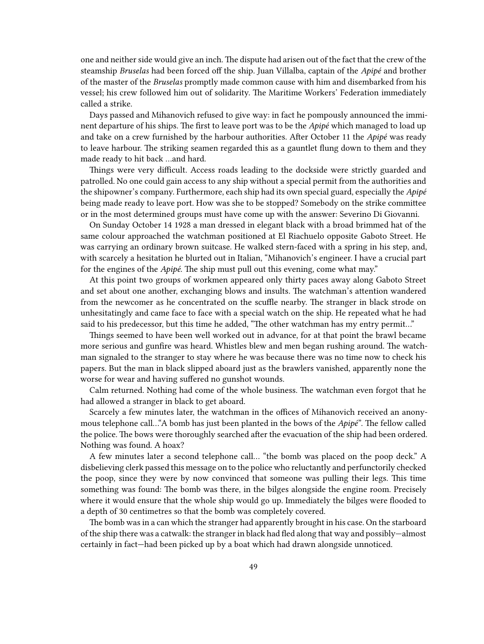one and neither side would give an inch. The dispute had arisen out of the fact that the crew of the steamship *Bruselas* had been forced off the ship. Juan Villalba, captain of the *Apipé* and brother of the master of the *Bruselas* promptly made common cause with him and disembarked from his vessel; his crew followed him out of solidarity. The Maritime Workers' Federation immediately called a strike.

Days passed and Mihanovich refused to give way: in fact he pompously announced the imminent departure of his ships. The first to leave port was to be the *Apipé* which managed to load up and take on a crew furnished by the harbour authorities. After October 11 the *Apipé* was ready to leave harbour. The striking seamen regarded this as a gauntlet flung down to them and they made ready to hit back …and hard.

Things were very difficult. Access roads leading to the dockside were strictly guarded and patrolled. No one could gain access to any ship without a special permit from the authorities and the shipowner's company. Furthermore, each ship had its own special guard, especially the *Apipé* being made ready to leave port. How was she to be stopped? Somebody on the strike committee or in the most determined groups must have come up with the answer: Severino Di Giovanni.

On Sunday October 14 1928 a man dressed in elegant black with a broad brimmed hat of the same colour approached the watchman positioned at El Riachuelo opposite Gaboto Street. He was carrying an ordinary brown suitcase. He walked stern-faced with a spring in his step, and, with scarcely a hesitation he blurted out in Italian, "Mihanovich's engineer. I have a crucial part for the engines of the *Apipé*. The ship must pull out this evening, come what may."

At this point two groups of workmen appeared only thirty paces away along Gaboto Street and set about one another, exchanging blows and insults. The watchman's attention wandered from the newcomer as he concentrated on the scuffle nearby. The stranger in black strode on unhesitatingly and came face to face with a special watch on the ship. He repeated what he had said to his predecessor, but this time he added, "The other watchman has my entry permit…"

Things seemed to have been well worked out in advance, for at that point the brawl became more serious and gunfire was heard. Whistles blew and men began rushing around. The watchman signaled to the stranger to stay where he was because there was no time now to check his papers. But the man in black slipped aboard just as the brawlers vanished, apparently none the worse for wear and having suffered no gunshot wounds.

Calm returned. Nothing had come of the whole business. The watchman even forgot that he had allowed a stranger in black to get aboard.

Scarcely a few minutes later, the watchman in the offices of Mihanovich received an anonymous telephone call…"A bomb has just been planted in the bows of the *Apipé*". The fellow called the police. The bows were thoroughly searched after the evacuation of the ship had been ordered. Nothing was found. A hoax?

A few minutes later a second telephone call… "the bomb was placed on the poop deck." A disbelieving clerk passed this message on to the police who reluctantly and perfunctorily checked the poop, since they were by now convinced that someone was pulling their legs. This time something was found: The bomb was there, in the bilges alongside the engine room. Precisely where it would ensure that the whole ship would go up. Immediately the bilges were flooded to a depth of 30 centimetres so that the bomb was completely covered.

The bomb was in a can which the stranger had apparently brought in his case. On the starboard of the ship there was a catwalk: the stranger in black had fled along that way and possibly—almost certainly in fact—had been picked up by a boat which had drawn alongside unnoticed.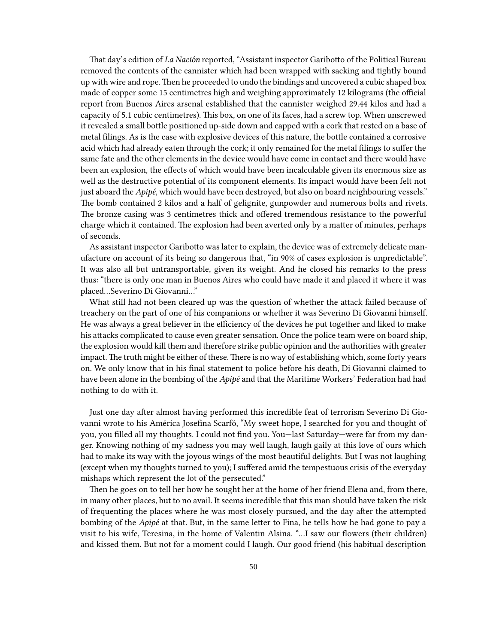That day's edition of *La Nación* reported, "Assistant inspector Garibotto of the Political Bureau removed the contents of the cannister which had been wrapped with sacking and tightly bound up with wire and rope. Then he proceeded to undo the bindings and uncovered a cubic shaped box made of copper some 15 centimetres high and weighing approximately 12 kilograms (the official report from Buenos Aires arsenal established that the cannister weighed 29.44 kilos and had a capacity of 5.1 cubic centimetres). This box, on one of its faces, had a screw top. When unscrewed it revealed a small bottle positioned up-side down and capped with a cork that rested on a base of metal filings. As is the case with explosive devices of this nature, the bottle contained a corrosive acid which had already eaten through the cork; it only remained for the metal filings to suffer the same fate and the other elements in the device would have come in contact and there would have been an explosion, the effects of which would have been incalculable given its enormous size as well as the destructive potential of its component elements. Its impact would have been felt not just aboard the *Apipé*, which would have been destroyed, but also on board neighbouring vessels." The bomb contained 2 kilos and a half of gelignite, gunpowder and numerous bolts and rivets. The bronze casing was 3 centimetres thick and offered tremendous resistance to the powerful charge which it contained. The explosion had been averted only by a matter of minutes, perhaps of seconds.

As assistant inspector Garibotto was later to explain, the device was of extremely delicate manufacture on account of its being so dangerous that, "in 90% of cases explosion is unpredictable". It was also all but untransportable, given its weight. And he closed his remarks to the press thus: "there is only one man in Buenos Aires who could have made it and placed it where it was placed…Severino Di Giovanni…"

What still had not been cleared up was the question of whether the attack failed because of treachery on the part of one of his companions or whether it was Severino Di Giovanni himself. He was always a great believer in the efficiency of the devices he put together and liked to make his attacks complicated to cause even greater sensation. Once the police team were on board ship, the explosion would kill them and therefore strike public opinion and the authorities with greater impact. The truth might be either of these. There is no way of establishing which, some forty years on. We only know that in his final statement to police before his death, Di Giovanni claimed to have been alone in the bombing of the *Apipé* and that the Maritime Workers' Federation had had nothing to do with it.

Just one day after almost having performed this incredible feat of terrorism Severino Di Giovanni wrote to his América Josefina Scarfó, "My sweet hope, I searched for you and thought of you, you filled all my thoughts. I could not find you. You—last Saturday—were far from my danger. Knowing nothing of my sadness you may well laugh, laugh gaily at this love of ours which had to make its way with the joyous wings of the most beautiful delights. But I was not laughing (except when my thoughts turned to you); I suffered amid the tempestuous crisis of the everyday mishaps which represent the lot of the persecuted."

Then he goes on to tell her how he sought her at the home of her friend Elena and, from there, in many other places, but to no avail. It seems incredible that this man should have taken the risk of frequenting the places where he was most closely pursued, and the day after the attempted bombing of the *Apipé* at that. But, in the same letter to Fina, he tells how he had gone to pay a visit to his wife, Teresina, in the home of Valentin Alsina. "…I saw our flowers (their children) and kissed them. But not for a moment could I laugh. Our good friend (his habitual description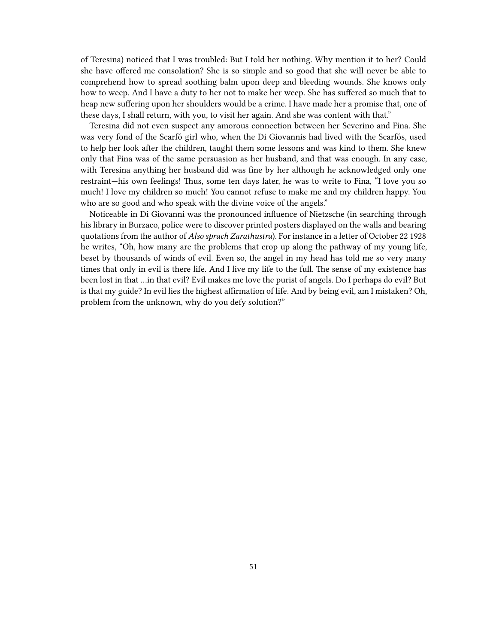of Teresina) noticed that I was troubled: But I told her nothing. Why mention it to her? Could she have offered me consolation? She is so simple and so good that she will never be able to comprehend how to spread soothing balm upon deep and bleeding wounds. She knows only how to weep. And I have a duty to her not to make her weep. She has suffered so much that to heap new suffering upon her shoulders would be a crime. I have made her a promise that, one of these days, I shall return, with you, to visit her again. And she was content with that."

Teresina did not even suspect any amorous connection between her Severino and Fina. She was very fond of the Scarfó girl who, when the Di Giovannis had lived with the Scarfós, used to help her look after the children, taught them some lessons and was kind to them. She knew only that Fina was of the same persuasion as her husband, and that was enough. In any case, with Teresina anything her husband did was fine by her although he acknowledged only one restraint—his own feelings! Thus, some ten days later, he was to write to Fina, "I love you so much! I love my children so much! You cannot refuse to make me and my children happy. You who are so good and who speak with the divine voice of the angels."

Noticeable in Di Giovanni was the pronounced influence of Nietzsche (in searching through his library in Burzaco, police were to discover printed posters displayed on the walls and bearing quotations from the author of *Also sprach Zarathustra*). For instance in a letter of October 22 1928 he writes, "Oh, how many are the problems that crop up along the pathway of my young life, beset by thousands of winds of evil. Even so, the angel in my head has told me so very many times that only in evil is there life. And I live my life to the full. The sense of my existence has been lost in that …in that evil? Evil makes me love the purist of angels. Do I perhaps do evil? But is that my guide? In evil lies the highest affirmation of life. And by being evil, am I mistaken? Oh, problem from the unknown, why do you defy solution?"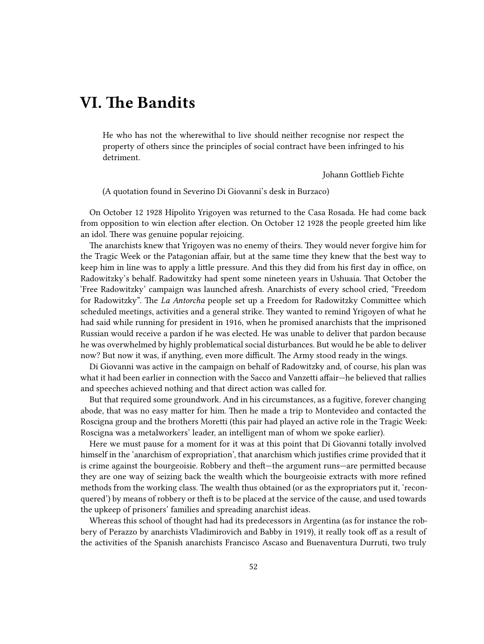## **VI. The Bandits**

He who has not the wherewithal to live should neither recognise nor respect the property of others since the principles of social contract have been infringed to his detriment.

Johann Gottlieb Fichte

(A quotation found in Severino Di Giovanni's desk in Burzaco)

On October 12 1928 Hípolito Yrigoyen was returned to the Casa Rosada. He had come back from opposition to win election after election. On October 12 1928 the people greeted him like an idol. There was genuine popular rejoicing.

The anarchists knew that Yrigoyen was no enemy of theirs. They would never forgive him for the Tragic Week or the Patagonian affair, but at the same time they knew that the best way to keep him in line was to apply a little pressure. And this they did from his first day in office, on Radowitzky's behalf. Radowitzky had spent some nineteen years in Ushuaia. That October the 'Free Radowitzky' campaign was launched afresh. Anarchists of every school cried, "Freedom for Radowitzky". The *La Antorcha* people set up a Freedom for Radowitzky Committee which scheduled meetings, activities and a general strike. They wanted to remind Yrigoyen of what he had said while running for president in 1916, when he promised anarchists that the imprisoned Russian would receive a pardon if he was elected. He was unable to deliver that pardon because he was overwhelmed by highly problematical social disturbances. But would he be able to deliver now? But now it was, if anything, even more difficult. The Army stood ready in the wings.

Di Giovanni was active in the campaign on behalf of Radowitzky and, of course, his plan was what it had been earlier in connection with the Sacco and Vanzetti affair—he believed that rallies and speeches achieved nothing and that direct action was called for.

But that required some groundwork. And in his circumstances, as a fugitive, forever changing abode, that was no easy matter for him. Then he made a trip to Montevideo and contacted the Roscigna group and the brothers Moretti (this pair had played an active role in the Tragic Week: Roscigna was a metalworkers' leader, an intelligent man of whom we spoke earlier).

Here we must pause for a moment for it was at this point that Di Giovanni totally involved himself in the 'anarchism of expropriation', that anarchism which justifies crime provided that it is crime against the bourgeoisie. Robbery and theft—the argument runs—are permitted because they are one way of seizing back the wealth which the bourgeoisie extracts with more refined methods from the working class. The wealth thus obtained (or as the expropriators put it, 'reconquered') by means of robbery or theft is to be placed at the service of the cause, and used towards the upkeep of prisoners' families and spreading anarchist ideas.

Whereas this school of thought had had its predecessors in Argentina (as for instance the robbery of Perazzo by anarchists Vladimirovich and Babby in 1919), it really took off as a result of the activities of the Spanish anarchists Francisco Ascaso and Buenaventura Durruti, two truly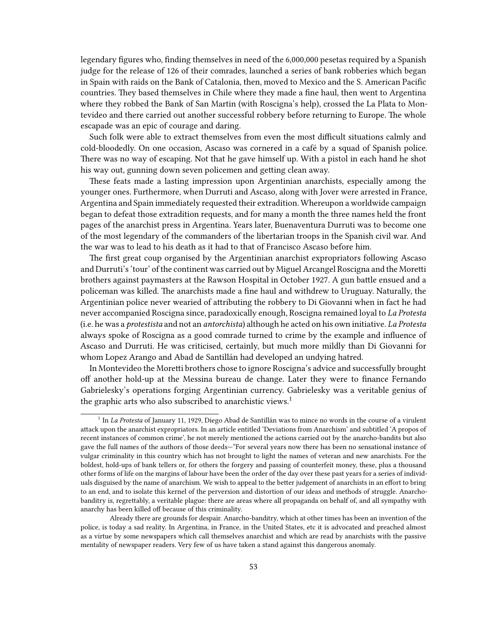legendary figures who, finding themselves in need of the 6,000,000 pesetas required by a Spanish judge for the release of 126 of their comrades, launched a series of bank robberies which began in Spain with raids on the Bank of Catalonia, then, moved to Mexico and the S. American Pacific countries. They based themselves in Chile where they made a fine haul, then went to Argentina where they robbed the Bank of San Martin (with Roscigna's help), crossed the La Plata to Montevideo and there carried out another successful robbery before returning to Europe. The whole escapade was an epic of courage and daring.

Such folk were able to extract themselves from even the most difficult situations calmly and cold-bloodedly. On one occasion, Ascaso was cornered in a café by a squad of Spanish police. There was no way of escaping. Not that he gave himself up. With a pistol in each hand he shot his way out, gunning down seven policemen and getting clean away.

These feats made a lasting impression upon Argentinian anarchists, especially among the younger ones. Furthermore, when Durruti and Ascaso, along with Jover were arrested in France, Argentina and Spain immediately requested their extradition. Whereupon a worldwide campaign began to defeat those extradition requests, and for many a month the three names held the front pages of the anarchist press in Argentina. Years later, Buenaventura Durruti was to become one of the most legendary of the commanders of the libertarian troops in the Spanish civil war. And the war was to lead to his death as it had to that of Francisco Ascaso before him.

The first great coup organised by the Argentinian anarchist expropriators following Ascaso and Durruti's 'tour' of the continent was carried out by Miguel Arcangel Roscigna and the Moretti brothers against paymasters at the Rawson Hospital in October 1927. A gun battle ensued and a policeman was killed. The anarchists made a fine haul and withdrew to Uruguay. Naturally, the Argentinian police never wearied of attributing the robbery to Di Giovanni when in fact he had never accompanied Roscigna since, paradoxically enough, Roscigna remained loyal to *La Protesta* (i.e. he was a *protestista* and not an *antorchista*) although he acted on his own initiative. *La Protesta* always spoke of Roscigna as a good comrade turned to crime by the example and influence of Ascaso and Durruti. He was criticised, certainly, but much more mildly than Di Giovanni for whom Lopez Arango and Abad de Santillán had developed an undying hatred.

In Montevideo the Moretti brothers chose to ignore Roscigna's advice and successfully brought off another hold-up at the Messina bureau de change. Later they were to finance Fernando Gabrielesky's operations forging Argentinian currency. Gabrielesky was a veritable genius of the graphic arts who also subscribed to anarchistic views.<sup>1</sup>

<sup>&</sup>lt;sup>1</sup> In *La Protesta* of January 11, 1929, Diego Abad de Santillán was to mince no words in the course of a virulent attack upon the anarchist expropriators. In an article entitled 'Deviations from Anarchism' and subtitled 'A propos of recent instances of common crime', he not merely mentioned the actions carried out by the anarcho-bandits but also gave the full names of the authors of those deeds—"For several years now there has been no sensational instance of vulgar criminality in this country which has not brought to light the names of veteran and new anarchists. For the boldest, hold-ups of bank tellers or, for others the forgery and passing of counterfeit money, these, plus a thousand other forms of life on the margins of labour have been the order of the day over these past years for a series of individuals disguised by the name of anarchism. We wish to appeal to the better judgement of anarchists in an effort to bring to an end, and to isolate this kernel of the perversion and distortion of our ideas and methods of struggle. Anarchobanditry is, regrettably, a veritable plague: there are areas where all propaganda on behalf of, and all sympathy with anarchy has been killed off because of this criminality.

Already there are grounds for despair. Anarcho-banditry, which at other times has been an invention of the police, is today a sad reality. In Argentina, in France, in the United States, etc it is advocated and preached almost as a virtue by some newspapers which call themselves anarchist and which are read by anarchists with the passive mentality of newspaper readers. Very few of us have taken a stand against this dangerous anomaly.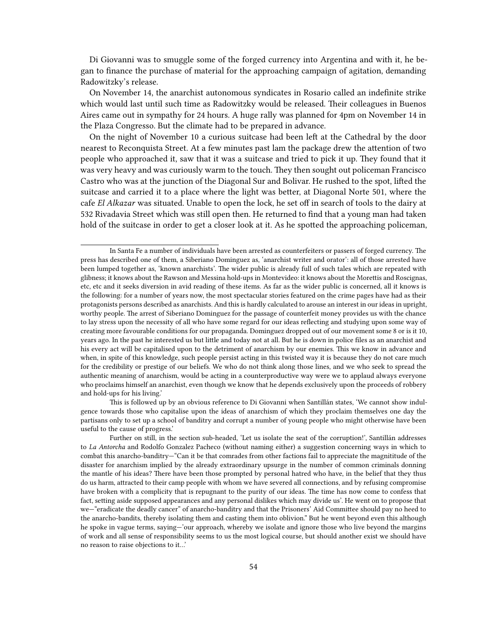Di Giovanni was to smuggle some of the forged currency into Argentina and with it, he began to finance the purchase of material for the approaching campaign of agitation, demanding Radowitzky's release.

On November 14, the anarchist autonomous syndicates in Rosario called an indefinite strike which would last until such time as Radowitzky would be released. Their colleagues in Buenos Aires came out in sympathy for 24 hours. A huge rally was planned for 4pm on November 14 in the Plaza Congresso. But the climate had to be prepared in advance.

On the night of November 10 a curious suitcase had been left at the Cathedral by the door nearest to Reconquista Street. At a few minutes past lam the package drew the attention of two people who approached it, saw that it was a suitcase and tried to pick it up. They found that it was very heavy and was curiously warm to the touch. They then sought out policeman Francisco Castro who was at the junction of the Diagonal Sur and Bolivar. He rushed to the spot, lifted the suitcase and carried it to a place where the light was better, at Diagonal Norte 501, where the cafe *El Alkazar* was situated. Unable to open the lock, he set off in search of tools to the dairy at 532 Rivadavia Street which was still open then. He returned to find that a young man had taken hold of the suitcase in order to get a closer look at it. As he spotted the approaching policeman,

This is followed up by an obvious reference to Di Giovanni when Santillán states, 'We cannot show indulgence towards those who capitalise upon the ideas of anarchism of which they proclaim themselves one day the partisans only to set up a school of banditry and corrupt a number of young people who might otherwise have been useful to the cause of progress.'

In Santa Fe a number of individuals have been arrested as counterfeiters or passers of forged currency. The press has described one of them, a Siberiano Dominguez as, 'anarchist writer and orator': all of those arrested have been lumped together as, 'known anarchists'. The wider public is already full of such tales which are repeated with glibness; it knows about the Rawson and Messina hold-ups in Montevideo: it knows about the Morettis and Roscignas, etc, etc and it seeks diversion in avid reading of these items. As far as the wider public is concerned, all it knows is the following: for a number of years now, the most spectacular stories featured on the crime pages have had as their protagonists persons described as anarchists. And this is hardly calculated to arouse an interest in our ideas in upright, worthy people. The arrest of Siberiano Dominguez for the passage of counterfeit money provides us with the chance to lay stress upon the necessity of all who have some regard for our ideas reflecting and studying upon some way of creating more favourable conditions for our propaganda. Dominguez dropped out of our movement some 8 or is it 10, years ago. In the past he interested us but little and today not at all. But he is down in police files as an anarchist and his every act will be capitalised upon to the detriment of anarchism by our enemies. This we know in advance and when, in spite of this knowledge, such people persist acting in this twisted way it is because they do not care much for the credibility or prestige of our beliefs. We who do not think along those lines, and we who seek to spread the authentic meaning of anarchism, would be acting in a counterproductive way were we to applaud always everyone who proclaims himself an anarchist, even though we know that he depends exclusively upon the proceeds of robbery and hold-ups for his living.'

Further on still, in the section sub-headed, 'Let us isolate the seat of the corruption!', Santillán addresses to *La Antorcha* and Rodolfo Gonzalez Pacheco (without naming either) a suggestion concerning ways in which to combat this anarcho-banditry—"Can it be that comrades from other factions fail to appreciate the magnititude of the disaster for anarchism implied by the already extraordinary upsurge in the number of common criminals donning the mantle of his ideas? There have been those prompted by personal hatred who have, in the belief that they thus do us harm, attracted to their camp people with whom we have severed all connections, and by refusing compromise have broken with a complicity that is repugnant to the purity of our ideas. The time has now come to confess that fact, setting aside supposed appearances and any personal dislikes which may divide us'. He went on to propose that we—"eradicate the deadly cancer" of anarcho-banditry and that the Prisoners' Aid Committee should pay no heed to the anarcho-bandits, thereby isolating them and casting them into oblivion." But he went beyond even this although he spoke in vague terms, saying—'our approach, whereby we isolate and ignore those who live beyond the margins of work and all sense of responsibility seems to us the most logical course, but should another exist we should have no reason to raise objections to it…'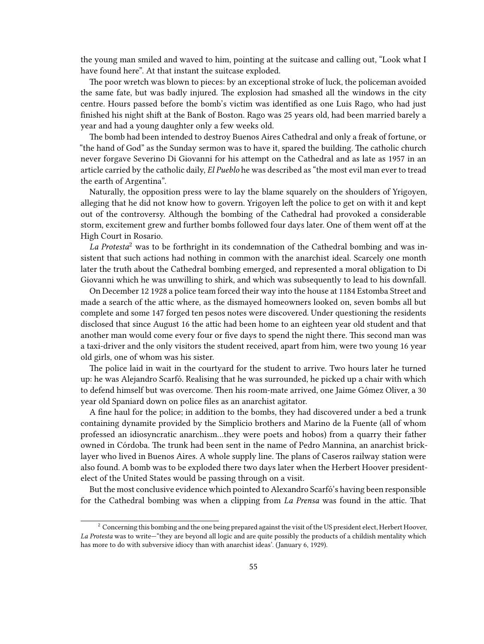the young man smiled and waved to him, pointing at the suitcase and calling out, "Look what I have found here". At that instant the suitcase exploded.

The poor wretch was blown to pieces: by an exceptional stroke of luck, the policeman avoided the same fate, but was badly injured. The explosion had smashed all the windows in the city centre. Hours passed before the bomb's victim was identified as one Luis Rago, who had just finished his night shift at the Bank of Boston. Rago was 25 years old, had been married barely a year and had a young daughter only a few weeks old.

The bomb had been intended to destroy Buenos Aires Cathedral and only a freak of fortune, or "the hand of God" as the Sunday sermon was to have it, spared the building. The catholic church never forgave Severino Di Giovanni for his attempt on the Cathedral and as late as 1957 in an article carried by the catholic daily, *El Pueblo* he was described as "the most evil man ever to tread the earth of Argentina".

Naturally, the opposition press were to lay the blame squarely on the shoulders of Yrigoyen, alleging that he did not know how to govern. Yrigoyen left the police to get on with it and kept out of the controversy. Although the bombing of the Cathedral had provoked a considerable storm, excitement grew and further bombs followed four days later. One of them went off at the High Court in Rosario.

*La Protesta*<sup>2</sup> was to be forthright in its condemnation of the Cathedral bombing and was insistent that such actions had nothing in common with the anarchist ideal. Scarcely one month later the truth about the Cathedral bombing emerged, and represented a moral obligation to Di Giovanni which he was unwilling to shirk, and which was subsequently to lead to his downfall.

On December 12 1928 a police team forced their way into the house at 1184 Estomba Street and made a search of the attic where, as the dismayed homeowners looked on, seven bombs all but complete and some 147 forged ten pesos notes were discovered. Under questioning the residents disclosed that since August 16 the attic had been home to an eighteen year old student and that another man would come every four or five days to spend the night there. This second man was a taxi-driver and the only visitors the student received, apart from him, were two young 16 year old girls, one of whom was his sister.

The police laid in wait in the courtyard for the student to arrive. Two hours later he turned up: he was Alejandro Scarfó. Realising that he was surrounded, he picked up a chair with which to defend himself but was overcome. Then his room-mate arrived, one Jaime Gómez Oliver, a 30 year old Spaniard down on police files as an anarchist agitator.

A fine haul for the police; in addition to the bombs, they had discovered under a bed a trunk containing dynamite provided by the Simplicio brothers and Marino de la Fuente (all of whom professed an idiosyncratic anarchism…they were poets and hobos) from a quarry their father owned in Córdoba. The trunk had been sent in the name of Pedro Mannina, an anarchist bricklayer who lived in Buenos Aires. A whole supply line. The plans of Caseros railway station were also found. A bomb was to be exploded there two days later when the Herbert Hoover presidentelect of the United States would be passing through on a visit.

But the most conclusive evidence which pointed to Alexandro Scarfó's having been responsible for the Cathedral bombing was when a clipping from *La Prensa* was found in the attic. That

<sup>&</sup>lt;sup>2</sup> Concerning this bombing and the one being prepared against the visit of the US president elect, Herbert Hoover, *La Protesta* was to write—"they are beyond all logic and are quite possibly the products of a childish mentality which has more to do with subversive idiocy than with anarchist ideas'. (January 6, 1929).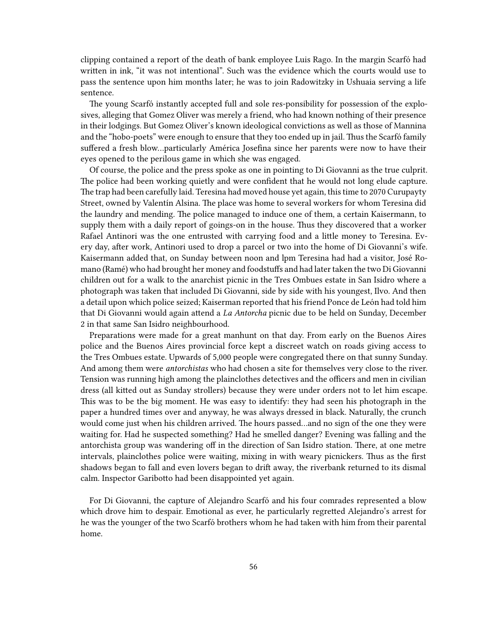clipping contained a report of the death of bank employee Luis Rago. In the margin Scarfó had written in ink, "it was not intentional". Such was the evidence which the courts would use to pass the sentence upon him months later; he was to join Radowitzky in Ushuaia serving a life sentence.

The young Scarfó instantly accepted full and sole res-ponsibility for possession of the explosives, alleging that Gomez Oliver was merely a friend, who had known nothing of their presence in their lodgings. But Gomez Oliver's known ideological convictions as well as those of Mannina and the "hobo-poets" were enough to ensure that they too ended up in jail. Thus the Scarfó family suffered a fresh blow…particularly América Josefina since her parents were now to have their eyes opened to the perilous game in which she was engaged.

Of course, the police and the press spoke as one in pointing to Di Giovanni as the true culprit. The police had been working quietly and were confident that he would not long elude capture. The trap had been carefully laid. Teresina had moved house yet again, this time to 2070 Curupayty Street, owned by Valentín Alsina. The place was home to several workers for whom Teresina did the laundry and mending. The police managed to induce one of them, a certain Kaisermann, to supply them with a daily report of goings-on in the house. Thus they discovered that a worker Rafael Antinori was the one entrusted with carrying food and a little money to Teresina. Every day, after work, Antinori used to drop a parcel or two into the home of Di Giovanni's wife. Kaisermann added that, on Sunday between noon and lpm Teresina had had a visitor, José Romano (Ramé) who had brought her money and foodstuffs and had later taken the two Di Giovanni children out for a walk to the anarchist picnic in the Tres Ombues estate in San Isidro where a photograph was taken that included Di Giovanni, side by side with his youngest, Ilvo. And then a detail upon which police seized; Kaiserman reported that his friend Ponce de León had told him that Di Giovanni would again attend a *La Antorcha* picnic due to be held on Sunday, December 2 in that same San Isidro neighbourhood.

Preparations were made for a great manhunt on that day. From early on the Buenos Aires police and the Buenos Aires provincial force kept a discreet watch on roads giving access to the Tres Ombues estate. Upwards of 5,000 people were congregated there on that sunny Sunday. And among them were *antorchistas* who had chosen a site for themselves very close to the river. Tension was running high among the plainclothes detectives and the officers and men in civilian dress (all kitted out as Sunday strollers) because they were under orders not to let him escape. This was to be the big moment. He was easy to identify: they had seen his photograph in the paper a hundred times over and anyway, he was always dressed in black. Naturally, the crunch would come just when his children arrived. The hours passed…and no sign of the one they were waiting for. Had he suspected something? Had he smelled danger? Evening was falling and the antorchista group was wandering off in the direction of San Isidro station. There, at one metre intervals, plainclothes police were waiting, mixing in with weary picnickers. Thus as the first shadows began to fall and even lovers began to drift away, the riverbank returned to its dismal calm. Inspector Garibotto had been disappointed yet again.

For Di Giovanni, the capture of Alejandro Scarfó and his four comrades represented a blow which drove him to despair. Emotional as ever, he particularly regretted Alejandro's arrest for he was the younger of the two Scarfó brothers whom he had taken with him from their parental home.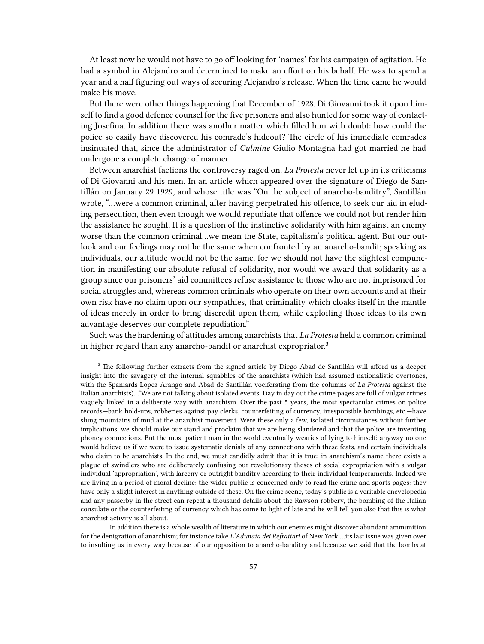At least now he would not have to go off looking for 'names' for his campaign of agitation. He had a symbol in Alejandro and determined to make an effort on his behalf. He was to spend a year and a half figuring out ways of securing Alejandro's release. When the time came he would make his move.

But there were other things happening that December of 1928. Di Giovanni took it upon himself to find a good defence counsel for the five prisoners and also hunted for some way of contacting Josefina. In addition there was another matter which filled him with doubt: how could the police so easily have discovered his comrade's hideout? The circle of his immediate comrades insinuated that, since the administrator of *Culmine* Giulio Montagna had got married he had undergone a complete change of manner.

Between anarchist factions the controversy raged on. *La Protesta* never let up in its criticisms of Di Giovanni and his men. In an article which appeared over the signature of Diego de Santillán on January 29 1929, and whose title was "On the subject of anarcho-banditry", Santillán wrote, "…were a common criminal, after having perpetrated his offence, to seek our aid in eluding persecution, then even though we would repudiate that offence we could not but render him the assistance he sought. It is a question of the instinctive solidarity with him against an enemy worse than the common criminal…we mean the State, capitalism's political agent. But our outlook and our feelings may not be the same when confronted by an anarcho-bandit; speaking as individuals, our attitude would not be the same, for we should not have the slightest compunction in manifesting our absolute refusal of solidarity, nor would we award that solidarity as a group since our prisoners' aid committees refuse assistance to those who are not imprisoned for social struggles and, whereas common criminals who operate on their own accounts and at their own risk have no claim upon our sympathies, that criminality which cloaks itself in the mantle of ideas merely in order to bring discredit upon them, while exploiting those ideas to its own advantage deserves our complete repudiation."

Such was the hardening of attitudes among anarchists that *La Protesta* held a common criminal in higher regard than any anarcho-bandit or anarchist expropriator.<sup>3</sup>

<sup>&</sup>lt;sup>3</sup> The following further extracts from the signed article by Diego Abad de Santillán will afford us a deeper insight into the savagery of the internal squabbles of the anarchists (which had assumed nationalistic overtones, with the Spaniards Lopez Arango and Abad de Santillán vociferating from the columns of *La Protesta* against the Italian anarchists)…"We are not talking about isolated events. Day in day out the crime pages are full of vulgar crimes vaguely linked in a deliberate way with anarchism. Over the past 5 years, the most spectacular crimes on police records—bank hold-ups, robberies against pay clerks, counterfeiting of currency, irresponsible bombings, etc,—have slung mountains of mud at the anarchist movement. Were these only a few, isolated circumstances without further implications, we should make our stand and proclaim that we are being slandered and that the police are inventing phoney connections. But the most patient man in the world eventually wearies of lying to himself: anyway no one would believe us if we were to issue systematic denials of any connections with these feats, and certain individuals who claim to be anarchists. In the end, we must candidly admit that it is true: in anarchism's name there exists a plague of swindlers who are deliberately confusing our revolutionary theses of social expropriation with a vulgar individual 'appropriation', with larceny or outright banditry according to their individual temperaments. Indeed we are living in a period of moral decline: the wider public is concerned only to read the crime and sports pages: they have only a slight interest in anything outside of these. On the crime scene, today's public is a veritable encyclopedia and any passerby in the street can repeat a thousand details about the Rawson robbery, the bombing of the Italian consulate or the counterfeiting of currency which has come to light of late and he will tell you also that this is what anarchist activity is all about.

In addition there is a whole wealth of literature in which our enemies might discover abundant ammunition for the denigration of anarchism; for instance take *L'Adunata dei Refrattari* of New York …its last issue was given over to insulting us in every way because of our opposition to anarcho-banditry and because we said that the bombs at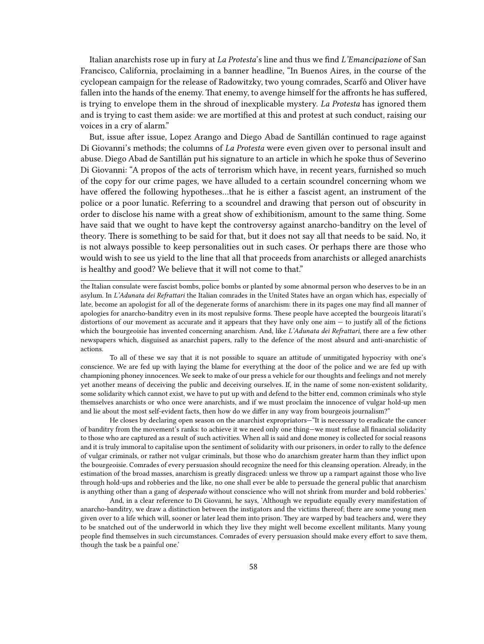Italian anarchists rose up in fury at *La Protesta*'s line and thus we find *L'Emancipazione* of San Francisco, California, proclaiming in a banner headline, "In Buenos Aires, in the course of the cyclopean campaign for the release of Radowitzky, two young comrades, Scarfó and Oliver have fallen into the hands of the enemy. That enemy, to avenge himself for the affronts he has suffered, is trying to envelope them in the shroud of inexplicable mystery. *La Protesta* has ignored them and is trying to cast them aside: we are mortified at this and protest at such conduct, raising our voices in a cry of alarm."

But, issue after issue, Lopez Arango and Diego Abad de Santillán continued to rage against Di Giovanni's methods; the columns of *La Protesta* were even given over to personal insult and abuse. Diego Abad de Santillán put his signature to an article in which he spoke thus of Severino Di Giovanni: "A propos of the acts of terrorism which have, in recent years, furnished so much of the copy for our crime pages, we have alluded to a certain scoundrel concerning whom we have offered the following hypotheses…that he is either a fascist agent, an instrument of the police or a poor lunatic. Referring to a scoundrel and drawing that person out of obscurity in order to disclose his name with a great show of exhibitionism, amount to the same thing. Some have said that we ought to have kept the controversy against anarcho-banditry on the level of theory. There is something to be said for that, but it does not say all that needs to be said. No, it is not always possible to keep personalities out in such cases. Or perhaps there are those who would wish to see us yield to the line that all that proceeds from anarchists or alleged anarchists is healthy and good? We believe that it will not come to that."

He closes by declaring open season on the anarchist expropriators—"It is necessary to eradicate the cancer of banditry from the movement's ranks: to achieve it we need only one thing—we must refuse all financial solidarity to those who are captured as a result of such activities. When all is said and done money is collected for social reasons and it is truly immoral to capitalise upon the sentiment of solidarity with our prisoners, in order to rally to the defence of vulgar criminals, or rather not vulgar criminals, but those who do anarchism greater harm than they inflict upon the bourgeoisie. Comrades of every persuasion should recognize the need for this cleansing operation. Already, in the estimation of the broad masses, anarchism is greatly disgraced: unless we throw up a rampart against those who live through hold-ups and robberies and the like, no one shall ever be able to persuade the general public that anarchism is anything other than a gang of *desperado* without conscience who will not shrink from murder and bold robberies.'

And, in a clear reference to Di Giovanni, he says, 'Although we repudiate equally every manifestation of anarcho-banditry, we draw a distinction between the instigators and the victims thereof; there are some young men given over to a life which will, sooner or later lead them into prison. They are warped by bad teachers and, were they to be snatched out of the underworld in which they live they might well become excellent militants. Many young people find themselves in such circumstances. Comrades of every persuasion should make every effort to save them, though the task be a painful one.'

the Italian consulate were fascist bombs, police bombs or planted by some abnormal person who deserves to be in an asylum. In *L'Adunata dei Refrattari* the Italian comrades in the United States have an organ which has, especially of late, become an apologist for all of the degenerate forms of anarchism: there in its pages one may find all manner of apologies for anarcho-banditry even in its most repulsive forms. These people have accepted the bourgeois litarati's distortions of our movement as accurate and it appears that they have only one aim — to justify all of the fictions which the bourgeoisie has invented concerning anarchism. And, like *L'Adunata dei Refrattari*, there are a few other newspapers which, disguised as anarchist papers, rally to the defence of the most absurd and anti-anarchistic of actions.

To all of these we say that it is not possible to square an attitude of unmitigated hypocrisy with one's conscience. We are fed up with laying the blame for everything at the door of the police and we are fed up with championing phoney innocences. We seek to make of our press a vehicle for our thoughts and feelings and not merely yet another means of deceiving the public and deceiving ourselves. If, in the name of some non-existent solidarity, some solidarity which cannot exist, we have to put up with and defend to the bitter end, common criminals who style themselves anarchists or who once were anarchists, and if we must proclaim the innocence of vulgar hold-up men and lie about the most self-evident facts, then how do we differ in any way from bourgeois journalism?"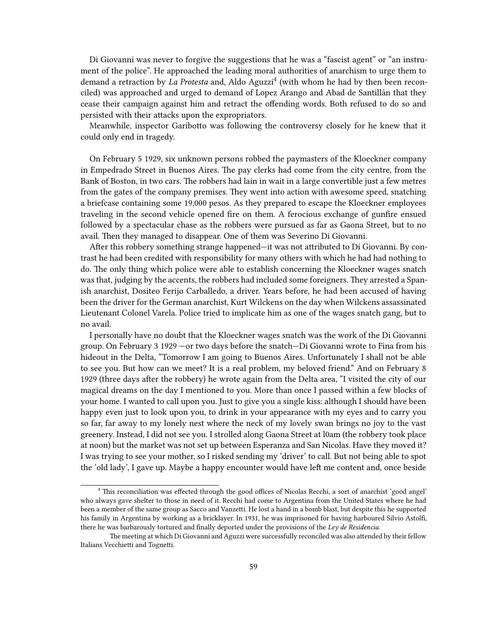Di Giovanni was never to forgive the suggestions that he was a "fascist agent" or "an instrument of the police". He approached the leading moral authorities of anarchism to urge them to demand a retraction by *La Protesta* and, Aldo Aguzzi<sup>4</sup> (with whom he had by then been reconciled) was approached and urged to demand of Lopez Arango and Abad de Santillán that they cease their campaign against him and retract the offending words. Both refused to do so and persisted with their attacks upon the expropriators.

Meanwhile, inspector Garibotto was following the controversy closely for he knew that it could only end in tragedy.

On February 5 1929, six unknown persons robbed the paymasters of the Kloeckner company in Empedrado Street in Buenos Aires. The pay clerks had come from the city centre, from the Bank of Boston, in two cars. The robbers had lain in wait in a large convertible just a few metres from the gates of the company premises. They went into action with awesome speed, snatching a briefcase containing some 19,000 pesos. As they prepared to escape the Kloeckner employees traveling in the second vehicle opened fire on them. A ferocious exchange of gunfire ensued followed by a spectacular chase as the robbers were pursued as far as Gaona Street, but to no avail. Then they managed to disappear. One of them was Severino Di Giovanni.

After this robbery something strange happened—it was not attributed to Di Giovanni. By contrast he had been credited with responsibility for many others with which he had had nothing to do. The only thing which police were able to establish concerning the Kloeckner wages snatch was that, judging by the accents, the robbers had included some foreigners. They arrested a Spanish anarchist, Dositeo Ferijo Carballedo, a driver. Years before, he had been accused of having been the driver for the German anarchist, Kurt Wilckens on the day when Wilckens assassinated Lieutenant Colonel Varela. Police tried to implicate him as one of the wages snatch gang, but to no avail.

I personally have no doubt that the Kloeckner wages snatch was the work of the Di Giovanni group. On February 3 1929 —or two days before the snatch—Di Giovanni wrote to Fina from his hideout in the Delta, "Tomorrow I am going to Buenos Aires. Unfortunately I shall not be able to see you. But how can we meet? It is a real problem, my beloved friend." And on February 8 1929 (three days after the robbery) he wrote again from the Delta area, "I visited the city of our magical dreams on the day I mentioned to you. More than once I passed within a few blocks of your home. I wanted to call upon you. Just to give you a single kiss: although I should have been happy even just to look upon you, to drink in your appearance with my eyes and to carry you so far, far away to my lonely nest where the neck of my lovely swan brings no joy to the vast greenery. Instead, I did not see you. I strolled along Gaona Street at l0am (the robbery took place at noon) but the market was not set up between Esperanza and San Nicolas. Have they moved it? I was trying to see your mother, so I risked sending my 'driver' to call. But not being able to spot the 'old lady', I gave up. Maybe a happy encounter would have left me content and, once beside

<sup>4</sup> This reconciliation was effected through the good offices of Nicolas Recchi, a sort of anarchist 'good angel' who always gave shelter to those in need of it. Recchi had come to Argentina from the United States where he had been a member of the same group as Sacco and Vanzetti. He lost a hand in a bomb blast, but despite this he supported his family in Argentina by working as a bricklayer. In 1931, he was imprisoned for having harboured Silvio Astolfi, there he was barbarously tortured and finally deported under the provisions of the *Ley de Residencia*.

The meeting at which Di Giovanni and Aguzzi were successfully reconciled was also attended by their fellow Italians Vecchietti and Tognetti.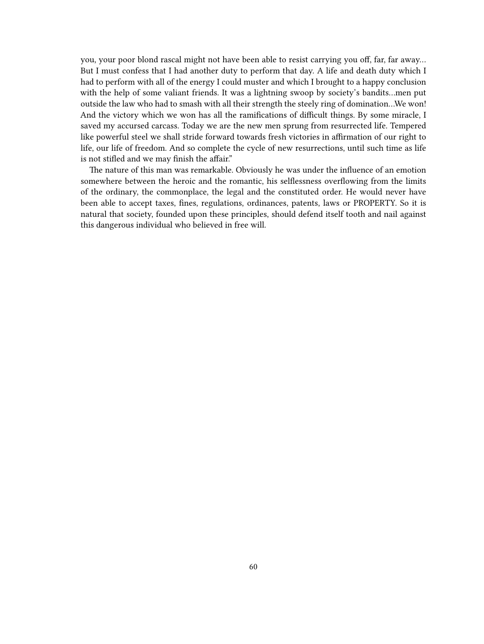you, your poor blond rascal might not have been able to resist carrying you off, far, far away… But I must confess that I had another duty to perform that day. A life and death duty which I had to perform with all of the energy I could muster and which I brought to a happy conclusion with the help of some valiant friends. It was a lightning swoop by society's bandits…men put outside the law who had to smash with all their strength the steely ring of domination…We won! And the victory which we won has all the ramifications of difficult things. By some miracle, I saved my accursed carcass. Today we are the new men sprung from resurrected life. Tempered like powerful steel we shall stride forward towards fresh victories in affirmation of our right to life, our life of freedom. And so complete the cycle of new resurrections, until such time as life is not stifled and we may finish the affair."

The nature of this man was remarkable. Obviously he was under the influence of an emotion somewhere between the heroic and the romantic, his selflessness overflowing from the limits of the ordinary, the commonplace, the legal and the constituted order. He would never have been able to accept taxes, fines, regulations, ordinances, patents, laws or PROPERTY. So it is natural that society, founded upon these principles, should defend itself tooth and nail against this dangerous individual who believed in free will.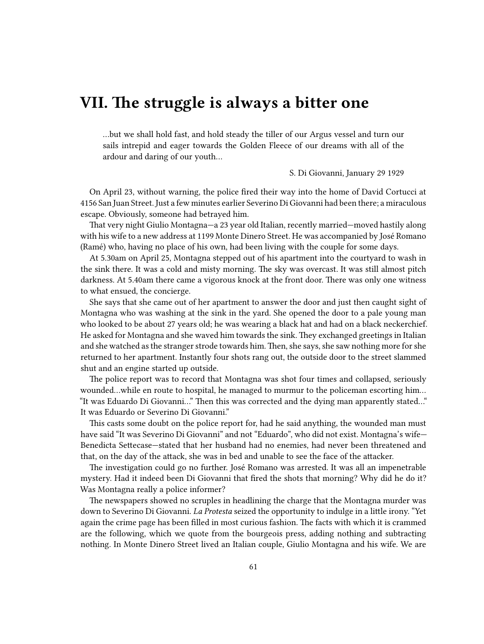### **VII. The struggle is always a bitter one**

…but we shall hold fast, and hold steady the tiller of our Argus vessel and turn our sails intrepid and eager towards the Golden Fleece of our dreams with all of the ardour and daring of our youth…

S. Di Giovanni, January 29 1929

On April 23, without warning, the police fired their way into the home of David Cortucci at 4156 San Juan Street. Just a few minutes earlier Severino Di Giovanni had been there; a miraculous escape. Obviously, someone had betrayed him.

That very night Giulio Montagna—a 23 year old Italian, recently married—moved hastily along with his wife to a new address at 1199 Monte Dinero Street. He was accompanied by José Romano (Ramé) who, having no place of his own, had been living with the couple for some days.

At 5.30am on April 25, Montagna stepped out of his apartment into the courtyard to wash in the sink there. It was a cold and misty morning. The sky was overcast. It was still almost pitch darkness. At 5.40am there came a vigorous knock at the front door. There was only one witness to what ensued, the concierge.

She says that she came out of her apartment to answer the door and just then caught sight of Montagna who was washing at the sink in the yard. She opened the door to a pale young man who looked to be about 27 years old; he was wearing a black hat and had on a black neckerchief. He asked for Montagna and she waved him towards the sink. They exchanged greetings in Italian and she watched as the stranger strode towards him. Then, she says, she saw nothing more for she returned to her apartment. Instantly four shots rang out, the outside door to the street slammed shut and an engine started up outside.

The police report was to record that Montagna was shot four times and collapsed, seriously wounded…while en route to hospital, he managed to murmur to the policeman escorting him… "It was Eduardo Di Giovanni…" Then this was corrected and the dying man apparently stated…" It was Eduardo or Severino Di Giovanni."

This casts some doubt on the police report for, had he said anything, the wounded man must have said "It was Severino Di Giovanni" and not "Eduardo", who did not exist. Montagna's wife— Benedicta Settecase—stated that her husband had no enemies, had never been threatened and that, on the day of the attack, she was in bed and unable to see the face of the attacker.

The investigation could go no further. José Romano was arrested. It was all an impenetrable mystery. Had it indeed been Di Giovanni that fired the shots that morning? Why did he do it? Was Montagna really a police informer?

The newspapers showed no scruples in headlining the charge that the Montagna murder was down to Severino Di Giovanni. *La Protesta* seized the opportunity to indulge in a little irony. "Yet again the crime page has been filled in most curious fashion. The facts with which it is crammed are the following, which we quote from the bourgeois press, adding nothing and subtracting nothing. In Monte Dinero Street lived an Italian couple, Giulio Montagna and his wife. We are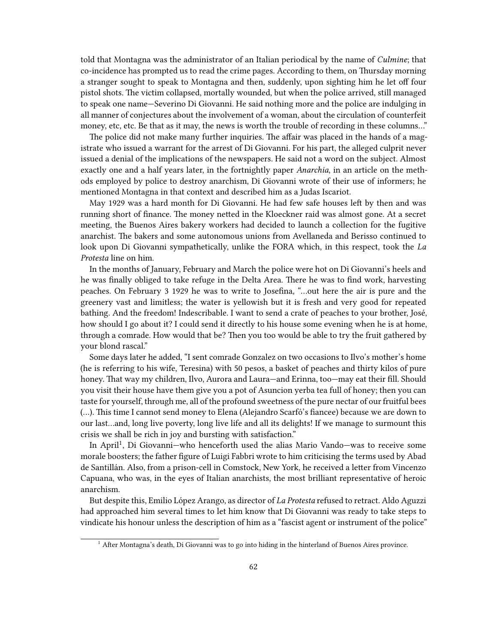told that Montagna was the administrator of an Italian periodical by the name of *Culmine*; that co-incidence has prompted us to read the crime pages. According to them, on Thursday morning a stranger sought to speak to Montagna and then, suddenly, upon sighting him he let off four pistol shots. The victim collapsed, mortally wounded, but when the police arrived, still managed to speak one name—Severino Di Giovanni. He said nothing more and the police are indulging in all manner of conjectures about the involvement of a woman, about the circulation of counterfeit money, etc, etc. Be that as it may, the news is worth the trouble of recording in these columns…"

The police did not make many further inquiries. The affair was placed in the hands of a magistrate who issued a warrant for the arrest of Di Giovanni. For his part, the alleged culprit never issued a denial of the implications of the newspapers. He said not a word on the subject. Almost exactly one and a half years later, in the fortnightly paper *Anarchia*, in an article on the methods employed by police to destroy anarchism, Di Giovanni wrote of their use of informers; he mentioned Montagna in that context and described him as a Judas Iscariot.

May 1929 was a hard month for Di Giovanni. He had few safe houses left by then and was running short of finance. The money netted in the Kloeckner raid was almost gone. At a secret meeting, the Buenos Aires bakery workers had decided to launch a collection for the fugitive anarchist. The bakers and some autonomous unions from Avellaneda and Berisso continued to look upon Di Giovanni sympathetically, unlike the FORA which, in this respect, took the *La Protesta* line on him.

In the months of January, February and March the police were hot on Di Giovanni's heels and he was finally obliged to take refuge in the Delta Area. There he was to find work, harvesting peaches. On February 3 1929 he was to write to Josefina, "…out here the air is pure and the greenery vast and limitless; the water is yellowish but it is fresh and very good for repeated bathing. And the freedom! Indescribable. I want to send a crate of peaches to your brother, José, how should I go about it? I could send it directly to his house some evening when he is at home, through a comrade. How would that be? Then you too would be able to try the fruit gathered by your blond rascal."

Some days later he added, "I sent comrade Gonzalez on two occasions to Ilvo's mother's home (he is referring to his wife, Teresina) with 50 pesos, a basket of peaches and thirty kilos of pure honey. That way my children, Ilvo, Aurora and Laura—and Erinna, too—may eat their fill. Should you visit their house have them give you a pot of Asuncion yerba tea full of honey; then you can taste for yourself, through me, all of the profound sweetness of the pure nectar of our fruitful bees (…). This time I cannot send money to Elena (Alejandro Scarfó's fiancee) because we are down to our last…and, long live poverty, long live life and all its delights! If we manage to surmount this crisis we shall be rich in joy and bursting with satisfaction."

In April<sup>1</sup>, Di Giovanni-who henceforth used the alias Mario Vando-was to receive some morale boosters; the father figure of Luigi Fabbri wrote to him criticising the terms used by Abad de Santillán. Also, from a prison-cell in Comstock, New York, he received a letter from Vincenzo Capuana, who was, in the eyes of Italian anarchists, the most brilliant representative of heroic anarchism.

But despite this, Emilio López Arango, as director of *La Protesta* refused to retract. Aldo Aguzzi had approached him several times to let him know that Di Giovanni was ready to take steps to vindicate his honour unless the description of him as a "fascist agent or instrument of the police"

<sup>&</sup>lt;sup>1</sup> After Montagna's death, Di Giovanni was to go into hiding in the hinterland of Buenos Aires province.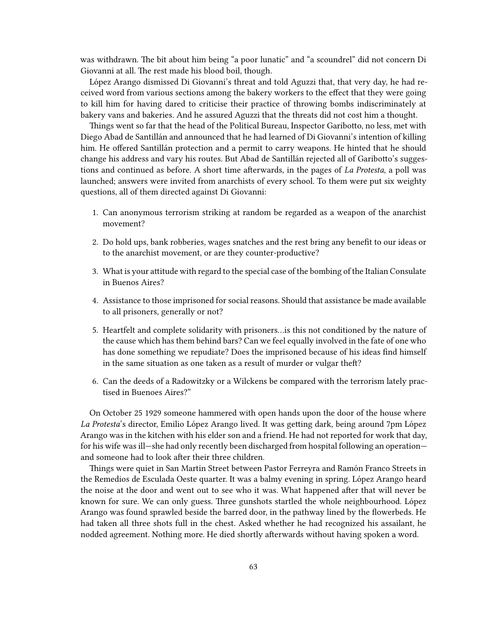was withdrawn. The bit about him being "a poor lunatic" and "a scoundrel" did not concern Di Giovanni at all. The rest made his blood boil, though.

López Arango dismissed Di Giovanni's threat and told Aguzzi that, that very day, he had received word from various sections among the bakery workers to the effect that they were going to kill him for having dared to criticise their practice of throwing bombs indiscriminately at bakery vans and bakeries. And he assured Aguzzi that the threats did not cost him a thought.

Things went so far that the head of the Political Bureau, Inspector Garibotto, no less, met with Diego Abad de Santillán and announced that he had learned of Di Giovanni's intention of killing him. He offered Santillán protection and a permit to carry weapons. He hinted that he should change his address and vary his routes. But Abad de Santillán rejected all of Garibotto's suggestions and continued as before. A short time afterwards, in the pages of *La Protesta*, a poll was launched; answers were invited from anarchists of every school. To them were put six weighty questions, all of them directed against Di Giovanni:

- 1. Can anonymous terrorism striking at random be regarded as a weapon of the anarchist movement?
- 2. Do hold ups, bank robberies, wages snatches and the rest bring any benefit to our ideas or to the anarchist movement, or are they counter-productive?
- 3. What is your attitude with regard to the special case of the bombing of the Italian Consulate in Buenos Aires?
- 4. Assistance to those imprisoned for social reasons. Should that assistance be made available to all prisoners, generally or not?
- 5. Heartfelt and complete solidarity with prisoners…is this not conditioned by the nature of the cause which has them behind bars? Can we feel equally involved in the fate of one who has done something we repudiate? Does the imprisoned because of his ideas find himself in the same situation as one taken as a result of murder or vulgar theft?
- 6. Can the deeds of a Radowitzky or a Wilckens be compared with the terrorism lately practised in Buenoes Aires?"

On October 25 1929 someone hammered with open hands upon the door of the house where *La Protesta*'s director, Emilio López Arango lived. It was getting dark, being around 7pm López Arango was in the kitchen with his elder son and a friend. He had not reported for work that day, for his wife was ill—she had only recently been discharged from hospital following an operation and someone had to look after their three children.

Things were quiet in San Martin Street between Pastor Ferreyra and Ramón Franco Streets in the Remedios de Esculada Oeste quarter. It was a balmy evening in spring. López Arango heard the noise at the door and went out to see who it was. What happened after that will never be known for sure. We can only guess. Three gunshots startled the whole neighbourhood. López Arango was found sprawled beside the barred door, in the pathway lined by the flowerbeds. He had taken all three shots full in the chest. Asked whether he had recognized his assailant, he nodded agreement. Nothing more. He died shortly afterwards without having spoken a word.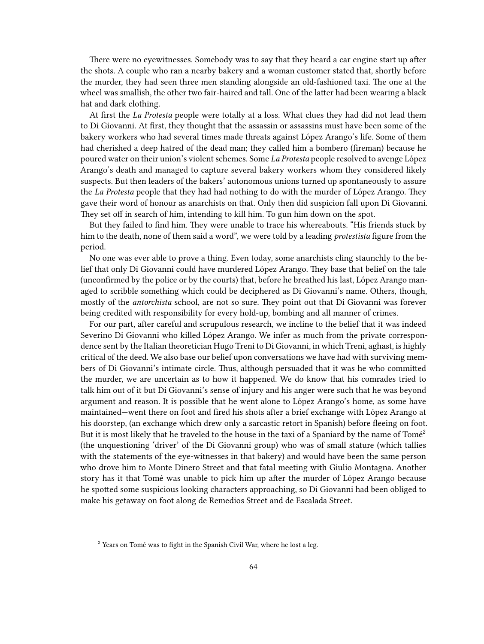There were no eyewitnesses. Somebody was to say that they heard a car engine start up after the shots. A couple who ran a nearby bakery and a woman customer stated that, shortly before the murder, they had seen three men standing alongside an old-fashioned taxi. The one at the wheel was smallish, the other two fair-haired and tall. One of the latter had been wearing a black hat and dark clothing.

At first the *La Protesta* people were totally at a loss. What clues they had did not lead them to Di Giovanni. At first, they thought that the assassin or assassins must have been some of the bakery workers who had several times made threats against López Arango's life. Some of them had cherished a deep hatred of the dead man; they called him a bombero (fireman) because he poured water on their union's violent schemes. Some *La Protesta* people resolved to avenge López Arango's death and managed to capture several bakery workers whom they considered likely suspects. But then leaders of the bakers' autonomous unions turned up spontaneously to assure the *La Protesta* people that they had had nothing to do with the murder of López Arango. They gave their word of honour as anarchists on that. Only then did suspicion fall upon Di Giovanni. They set off in search of him, intending to kill him. To gun him down on the spot.

But they failed to find him. They were unable to trace his whereabouts. "His friends stuck by him to the death, none of them said a word", we were told by a leading *protestista* figure from the period.

No one was ever able to prove a thing. Even today, some anarchists cling staunchly to the belief that only Di Giovanni could have murdered López Arango. They base that belief on the tale (unconfirmed by the police or by the courts) that, before he breathed his last, López Arango managed to scribble something which could be deciphered as Di Giovanni's name. Others, though, mostly of the *antorchista* school, are not so sure. They point out that Di Giovanni was forever being credited with responsibility for every hold-up, bombing and all manner of crimes.

For our part, after careful and scrupulous research, we incline to the belief that it was indeed Severino Di Giovanni who killed López Arango. We infer as much from the private correspondence sent by the Italian theoretician Hugo Treni to Di Giovanni, in which Treni, aghast, is highly critical of the deed. We also base our belief upon conversations we have had with surviving members of Di Giovanni's intimate circle. Thus, although persuaded that it was he who committed the murder, we are uncertain as to how it happened. We do know that his comrades tried to talk him out of it but Di Giovanni's sense of injury and his anger were such that he was beyond argument and reason. It is possible that he went alone to López Arango's home, as some have maintained—went there on foot and fired his shots after a brief exchange with López Arango at his doorstep, (an exchange which drew only a sarcastic retort in Spanish) before fleeing on foot. But it is most likely that he traveled to the house in the taxi of a Spaniard by the name of Tomé<sup>2</sup> (the unquestioning 'driver' of the Di Giovanni group) who was of small stature (which tallies with the statements of the eye-witnesses in that bakery) and would have been the same person who drove him to Monte Dinero Street and that fatal meeting with Giulio Montagna. Another story has it that Tomé was unable to pick him up after the murder of López Arango because he spotted some suspicious looking characters approaching, so Di Giovanni had been obliged to make his getaway on foot along de Remedios Street and de Escalada Street.

 $2$  Years on Tomé was to fight in the Spanish Civil War, where he lost a leg.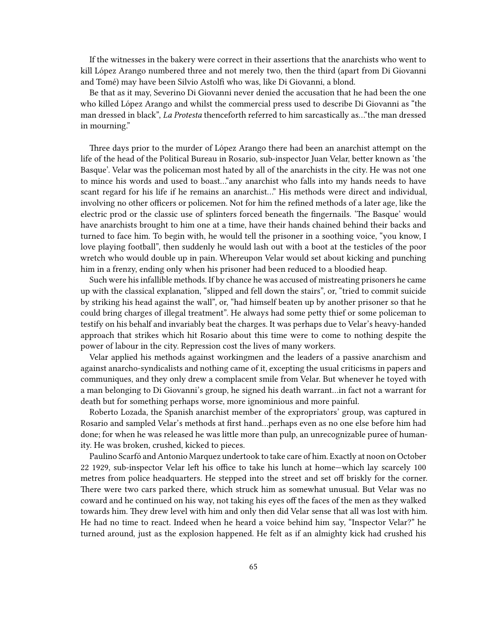If the witnesses in the bakery were correct in their assertions that the anarchists who went to kill López Arango numbered three and not merely two, then the third (apart from Di Giovanni and Tomé) may have been Silvio Astolfi who was, like Di Giovanni, a blond.

Be that as it may, Severino Di Giovanni never denied the accusation that he had been the one who killed López Arango and whilst the commercial press used to describe Di Giovanni as "the man dressed in black", *La Protesta* thenceforth referred to him sarcastically as…"the man dressed in mourning."

Three days prior to the murder of López Arango there had been an anarchist attempt on the life of the head of the Political Bureau in Rosario, sub-inspector Juan Velar, better known as 'the Basque'. Velar was the policeman most hated by all of the anarchists in the city. He was not one to mince his words and used to boast…"any anarchist who falls into my hands needs to have scant regard for his life if he remains an anarchist…" His methods were direct and individual, involving no other officers or policemen. Not for him the refined methods of a later age, like the electric prod or the classic use of splinters forced beneath the fingernails. 'The Basque' would have anarchists brought to him one at a time, have their hands chained behind their backs and turned to face him. To begin with, he would tell the prisoner in a soothing voice, "you know, I love playing football", then suddenly he would lash out with a boot at the testicles of the poor wretch who would double up in pain. Whereupon Velar would set about kicking and punching him in a frenzy, ending only when his prisoner had been reduced to a bloodied heap.

Such were his infallible methods. If by chance he was accused of mistreating prisoners he came up with the classical explanation, "slipped and fell down the stairs", or, "tried to commit suicide by striking his head against the wall", or, "had himself beaten up by another prisoner so that he could bring charges of illegal treatment". He always had some petty thief or some policeman to testify on his behalf and invariably beat the charges. It was perhaps due to Velar's heavy-handed approach that strikes which hit Rosario about this time were to come to nothing despite the power of labour in the city. Repression cost the lives of many workers.

Velar applied his methods against workingmen and the leaders of a passive anarchism and against anarcho-syndicalists and nothing came of it, excepting the usual criticisms in papers and communiques, and they only drew a complacent smile from Velar. But whenever he toyed with a man belonging to Di Giovanni's group, he signed his death warrant…in fact not a warrant for death but for something perhaps worse, more ignominious and more painful.

Roberto Lozada, the Spanish anarchist member of the expropriators' group, was captured in Rosario and sampled Velar's methods at first hand…perhaps even as no one else before him had done; for when he was released he was little more than pulp, an unrecognizable puree of humanity. He was broken, crushed, kicked to pieces.

Paulino Scarfó and Antonio Marquez undertook to take care of him. Exactly at noon on October 22 1929, sub-inspector Velar left his office to take his lunch at home—which lay scarcely 100 metres from police headquarters. He stepped into the street and set off briskly for the corner. There were two cars parked there, which struck him as somewhat unusual. But Velar was no coward and he continued on his way, not taking his eyes off the faces of the men as they walked towards him. They drew level with him and only then did Velar sense that all was lost with him. He had no time to react. Indeed when he heard a voice behind him say, "Inspector Velar?" he turned around, just as the explosion happened. He felt as if an almighty kick had crushed his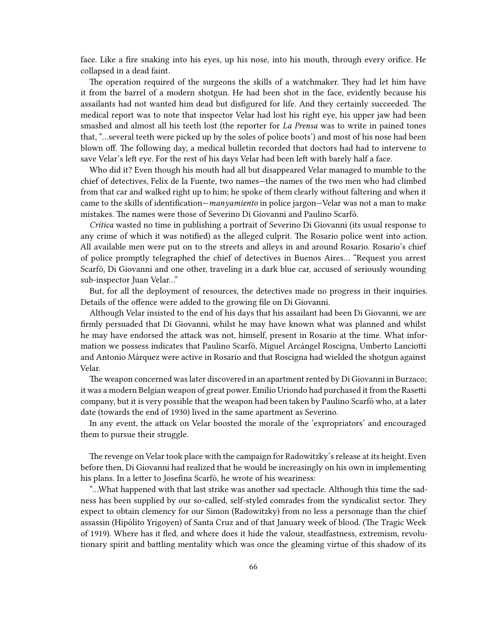face. Like a fire snaking into his eyes, up his nose, into his mouth, through every orifice. He collapsed in a dead faint.

The operation required of the surgeons the skills of a watchmaker. They had let him have it from the barrel of a modern shotgun. He had been shot in the face, evidently because his assailants had not wanted him dead but disfigured for life. And they certainly succeeded. The medical report was to note that inspector Velar had lost his right eye, his upper jaw had been smashed and almost all his teeth lost (the reporter for *La Prensa* was to write in pained tones that, "…several teeth were picked up by the soles of police boots') and most of his nose had been blown off. The following day, a medical bulletin recorded that doctors had had to intervene to save Velar's left eye. For the rest of his days Velar had been left with barely half a face.

Who did it? Even though his mouth had all but disappeared Velar managed to mumble to the chief of detectives, Felix de la Fuente, two names—the names of the two men who had climbed from that car and walked right up to him; he spoke of them clearly without faltering and when it came to the skills of identification—*manyamiento* in police jargon—Velar was not a man to make mistakes. The names were those of Severino Di Giovanni and Paulino Scarfó.

*Crítica* wasted no time in publishing a portrait of Severino Di Giovanni (its usual response to any crime of which it was notified) as the alleged culprit. The Rosario police went into action. All available men were put on to the streets and alleys in and around Rosario. Rosario's chief of police promptly telegraphed the chief of detectives in Buenos Aires… "Request you arrest Scarfó, Di Giovanni and one other, traveling in a dark blue car, accused of seriously wounding sub-inspector Juan Velar…"

But, for all the deployment of resources, the detectives made no progress in their inquiries. Details of the offence were added to the growing file on Di Giovanni.

Although Velar insisted to the end of his days that his assailant had been Di Giovanni, we are firmly persuaded that Di Giovanni, whilst he may have known what was planned and whilst he may have endorsed the attack was not, himself, present in Rosario at the time. What information we possess indicates that Paulino Scarfó, Miguel Arcángel Roscigna, Umberto Lanciotti and Antonio Márquez were active in Rosario and that Roscigna had wielded the shotgun against Velar.

The weapon concerned was later discovered in an apartment rented by Di Giovanni in Burzaco; it was a modern Belgian weapon of great power. Emilio Uriondo had purchased it from the Rasetti company, but it is very possible that the weapon had been taken by Paulino Scarfó who, at a later date (towards the end of 1930) lived in the same apartment as Severino.

In any event, the attack on Velar boosted the morale of the 'expropriators' and encouraged them to pursue their struggle.

The revenge on Velar took place with the campaign for Radowitzky's release at its height. Even before then, Di Giovanni had realized that he would be increasingly on his own in implementing his plans. In a letter to Josefina Scarfó, he wrote of his weariness:

"…What happened with that last strike was another sad spectacle. Although this time the sadness has been supplied by our so-called, self-styled comrades from the syndicalist sector. They expect to obtain clemency for our Simon (Radowitzky) from no less a personage than the chief assassin (Hipólito Yrigoyen) of Santa Cruz and of that January week of blood. (The Tragic Week of 1919). Where has it fled, and where does it hide the valour, steadfastness, extremism, revolutionary spirit and battling mentality which was once the gleaming virtue of this shadow of its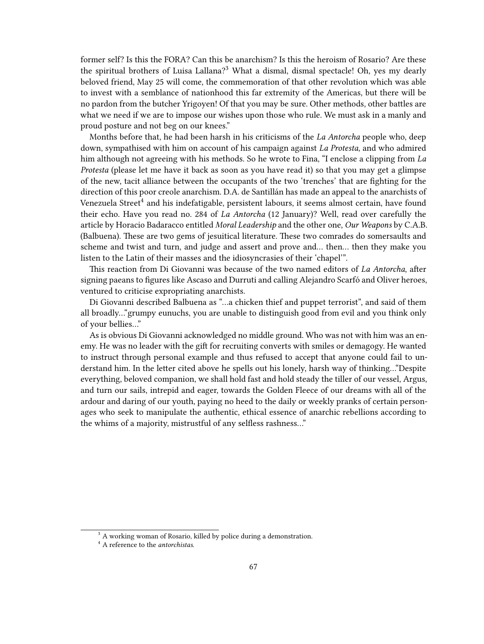former self? Is this the FORA? Can this be anarchism? Is this the heroism of Rosario? Are these the spiritual brothers of Luisa Lallana?<sup>3</sup> What a dismal, dismal spectacle! Oh, yes my dearly beloved friend, May 25 will come, the commemoration of that other revolution which was able to invest with a semblance of nationhood this far extremity of the Americas, but there will be no pardon from the butcher Yrigoyen! Of that you may be sure. Other methods, other battles are what we need if we are to impose our wishes upon those who rule. We must ask in a manly and proud posture and not beg on our knees."

Months before that, he had been harsh in his criticisms of the *La Antorcha* people who, deep down, sympathised with him on account of his campaign against *La Protesta*, and who admired him although not agreeing with his methods. So he wrote to Fina, "I enclose a clipping from *La Protesta* (please let me have it back as soon as you have read it) so that you may get a glimpse of the new, tacit alliance between the occupants of the two 'trenches' that are fighting for the direction of this poor creole anarchism. D.A. de Santillán has made an appeal to the anarchists of Venezuela Street $^4$  and his indefatigable, persistent labours, it seems almost certain, have found their echo. Have you read no. 284 of *La Antorcha* (12 January)? Well, read over carefully the article by Horacio Badaracco entitled *Moral Leadership* and the other one, *Our Weapons* by C.A.B. (Balbuena). These are two gems of jesuitical literature. These two comrades do somersaults and scheme and twist and turn, and judge and assert and prove and… then… then they make you listen to the Latin of their masses and the idiosyncrasies of their 'chapel'".

This reaction from Di Giovanni was because of the two named editors of *La Antorcha*, after signing paeans to figures like Ascaso and Durruti and calling Alejandro Scarfó and Oliver heroes, ventured to criticise expropriating anarchists.

Di Giovanni described Balbuena as "…a chicken thief and puppet terrorist", and said of them all broadly…"grumpy eunuchs, you are unable to distinguish good from evil and you think only of your bellies…"

As is obvious Di Giovanni acknowledged no middle ground. Who was not with him was an enemy. He was no leader with the gift for recruiting converts with smiles or demagogy. He wanted to instruct through personal example and thus refused to accept that anyone could fail to understand him. In the letter cited above he spells out his lonely, harsh way of thinking…"Despite everything, beloved companion, we shall hold fast and hold steady the tiller of our vessel, Argus, and turn our sails, intrepid and eager, towards the Golden Fleece of our dreams with all of the ardour and daring of our youth, paying no heed to the daily or weekly pranks of certain personages who seek to manipulate the authentic, ethical essence of anarchic rebellions according to the whims of a majority, mistrustful of any selfless rashness…"

<sup>&</sup>lt;sup>3</sup> A working woman of Rosario, killed by police during a demonstration.

<sup>4</sup> A reference to the *antorchistas*.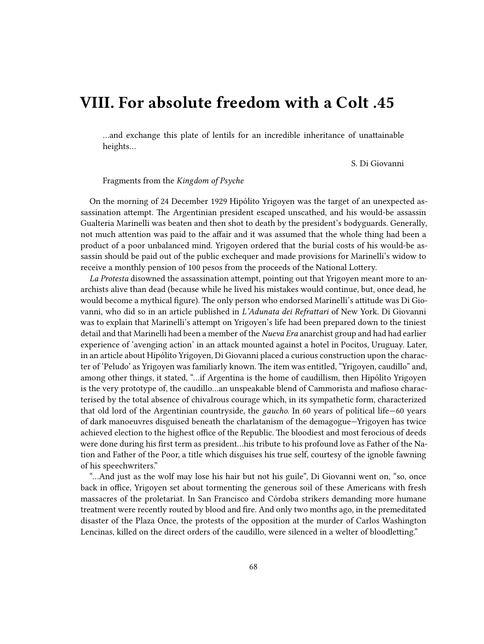#### **VIII. For absolute freedom with a Colt .45**

…and exchange this plate of lentils for an incredible inheritance of unattainable heights…

S. Di Giovanni

Fragments from the *Kingdom of Psyche*

On the morning of 24 December 1929 Hipólito Yrigoyen was the target of an unexpected assassination attempt. The Argentinian president escaped unscathed, and his would-be assassin Gualteria Marinelli was beaten and then shot to death by the president's bodyguards. Generally, not much attention was paid to the affair and it was assumed that the whole thing had been a product of a poor unbalanced mind. Yrigoyen ordered that the burial costs of his would-be assassin should be paid out of the public exchequer and made provisions for Marinelli's widow to receive a monthly pension of 100 pesos from the proceeds of the National Lottery.

*La Protesta* disowned the assassination attempt, pointing out that Yrigoyen meant more to anarchists alive than dead (because while he lived his mistakes would continue, but, once dead, he would become a mythical figure). The only person who endorsed Marinelli's attitude was Di Giovanni, who did so in an article published in *L'Adunata dei Refrattari* of New York. Di Giovanni was to explain that Marinelli's attempt on Yrigoyen's life had been prepared down to the tiniest detail and that Marinelli had been a member of the *Nueva Era* anarchist group and had had earlier experience of 'avenging action' in an attack mounted against a hotel in Pocitos, Uruguay. Later, in an article about Hipólito Yrigoyen, Di Giovanni placed a curious construction upon the character of 'Peludo' as Yrigoyen was familiarly known. The item was entitled, "Yrigoyen, caudillo" and, among other things, it stated, "…if Argentina is the home of caudillism, then Hipólito Yrigoyen is the very prototype of, the caudillo…an unspeakable blend of Cammorista and mafioso characterised by the total absence of chivalrous courage which, in its sympathetic form, characterized that old lord of the Argentinian countryside, the *gaucho*. In 60 years of political life—60 years of dark manoeuvres disguised beneath the charlatanism of the demagogue—Yrigoyen has twice achieved election to the highest office of the Republic. The bloodiest and most ferocious of deeds were done during his first term as president…his tribute to his profound love as Father of the Nation and Father of the Poor, a title which disguises his true self, courtesy of the ignoble fawning of his speechwriters."

"…And just as the wolf may lose his hair but not his guile", Di Giovanni went on, "so, once back in office, Yrigoyen set about tormenting the generous soil of these Americans with fresh massacres of the proletariat. In San Francisco and Córdoba strikers demanding more humane treatment were recently routed by blood and fire. And only two months ago, in the premeditated disaster of the Plaza Once, the protests of the opposition at the murder of Carlos Washington Lencinas, killed on the direct orders of the caudillo, were silenced in a welter of bloodletting."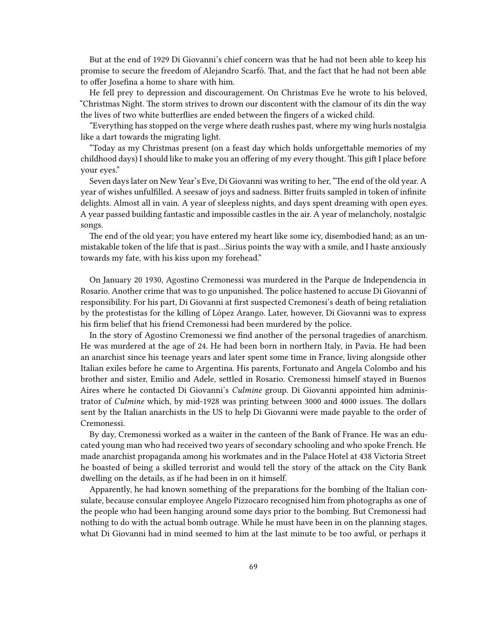But at the end of 1929 Di Giovanni's chief concern was that he had not been able to keep his promise to secure the freedom of Alejandro Scarfó. That, and the fact that he had not been able to offer Josefina a home to share with him.

He fell prey to depression and discouragement. On Christmas Eve he wrote to his beloved, "Christmas Night. The storm strives to drown our discontent with the clamour of its din the way the lives of two white butterflies are ended between the fingers of a wicked child.

"Everything has stopped on the verge where death rushes past, where my wing hurls nostalgia like a dart towards the migrating light.

"Today as my Christmas present (on a feast day which holds unforgettable memories of my childhood days) I should like to make you an offering of my every thought. This gift I place before your eyes."

Seven days later on New Year's Eve, Di Giovanni was writing to her, "The end of the old year. A year of wishes unfulfilled. A seesaw of joys and sadness. Bitter fruits sampled in token of infinite delights. Almost all in vain. A year of sleepless nights, and days spent dreaming with open eyes. A year passed building fantastic and impossible castles in the air. A year of melancholy, nostalgic songs.

The end of the old year; you have entered my heart like some icy, disembodied hand; as an unmistakable token of the life that is past…Sirius points the way with a smile, and I haste anxiously towards my fate, with his kiss upon my forehead."

On January 20 1930, Agostino Cremonessi was murdered in the Parque de Independencia in Rosario. Another crime that was to go unpunished. The police hastened to accuse Di Giovanni of responsibility. For his part, Di Giovanni at first suspected Cremonesi's death of being retaliation by the protestistas for the killing of López Arango. Later, however, Di Giovanni was to express his firm belief that his friend Cremonessi had been murdered by the police.

In the story of Agostino Cremonessi we find another of the personal tragedies of anarchism. He was murdered at the age of 24. He had been born in northern Italy, in Pavia. He had been an anarchist since his teenage years and later spent some time in France, living alongside other Italian exiles before he came to Argentina. His parents, Fortunato and Angela Colombo and his brother and sister, Emilio and Adele, settled in Rosario. Cremonessi himself stayed in Buenos Aires where he contacted Di Giovanni's *Culmine* group. Di Giovanni appointed him administrator of *Culmine* which, by mid-1928 was printing between 3000 and 4000 issues. The dollars sent by the Italian anarchists in the US to help Di Giovanni were made payable to the order of Cremonessi.

By day, Cremonessi worked as a waiter in the canteen of the Bank of France. He was an educated young man who had received two years of secondary schooling and who spoke French. He made anarchist propaganda among his workmates and in the Palace Hotel at 438 Victoria Street he boasted of being a skilled terrorist and would tell the story of the attack on the City Bank dwelling on the details, as if he had been in on it himself.

Apparently, he had known something of the preparations for the bombing of the Italian consulate, because consular employee Angelo Pizzocaro recognised him from photographs as one of the people who had been hanging around some days prior to the bombing. But Cremonessi had nothing to do with the actual bomb outrage. While he must have been in on the planning stages, what Di Giovanni had in mind seemed to him at the last minute to be too awful, or perhaps it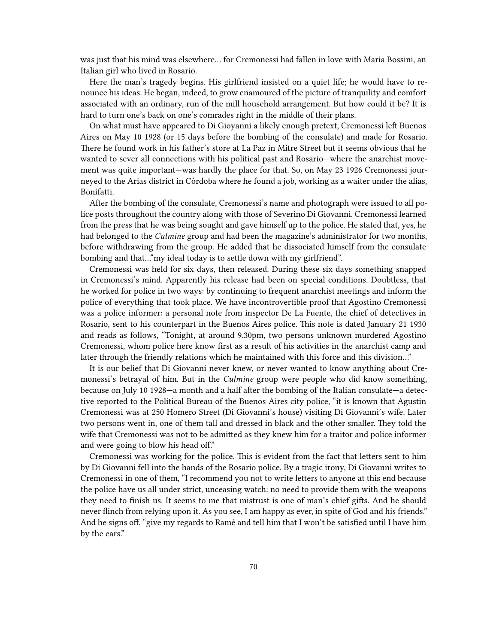was just that his mind was elsewhere… for Cremonessi had fallen in love with Maria Bossini, an Italian girl who lived in Rosario.

Here the man's tragedy begins. His girlfriend insisted on a quiet life; he would have to renounce his ideas. He began, indeed, to grow enamoured of the picture of tranquility and comfort associated with an ordinary, run of the mill household arrangement. But how could it be? It is hard to turn one's back on one's comrades right in the middle of their plans.

On what must have appeared to Di Gioyanni a likely enough pretext, Cremonessi left Buenos Aires on May 10 1928 (or 15 days before the bombing of the consulate) and made for Rosario. There he found work in his father's store at La Paz in Mitre Street but it seems obvious that he wanted to sever all connections with his political past and Rosario—where the anarchist movement was quite important—was hardly the place for that. So, on May 23 1926 Cremonessi journeyed to the Arias district in Córdoba where he found a job, working as a waiter under the alias, Bonifatti.

After the bombing of the consulate, Cremonessi's name and photograph were issued to all police posts throughout the country along with those of Severino Di Giovanni. Cremonessi learned from the press that he was being sought and gave himself up to the police. He stated that, yes, he had belonged to the *Culmine* group and had been the magazine's administrator for two months, before withdrawing from the group. He added that he dissociated himself from the consulate bombing and that…"my ideal today is to settle down with my girlfriend".

Cremonessi was held for six days, then released. During these six days something snapped in Cremonessi's mind. Apparently his release had been on special conditions. Doubtless, that he worked for police in two ways: by continuing to frequent anarchist meetings and inform the police of everything that took place. We have incontrovertible proof that Agostino Cremonessi was a police informer: a personal note from inspector De La Fuente, the chief of detectives in Rosario, sent to his counterpart in the Buenos Aires police. This note is dated January 21 1930 and reads as follows, "Tonight, at around 9.30pm, two persons unknown murdered Agostino Cremonessi, whom police here know first as a result of his activities in the anarchist camp and later through the friendly relations which he maintained with this force and this division…"

It is our belief that Di Giovanni never knew, or never wanted to know anything about Cremonessi's betrayal of him. But in the *Culmine* group were people who did know something, because on July 10 1928—a month and a half after the bombing of the Italian consulate—a detective reported to the Political Bureau of the Buenos Aires city police, "it is known that Agustin Cremonessi was at 250 Homero Street (Di Giovanni's house) visiting Di Giovanni's wife. Later two persons went in, one of them tall and dressed in black and the other smaller. They told the wife that Cremonessi was not to be admitted as they knew him for a traitor and police informer and were going to blow his head off."

Cremonessi was working for the police. This is evident from the fact that letters sent to him by Di Giovanni fell into the hands of the Rosario police. By a tragic irony, Di Giovanni writes to Cremonessi in one of them, "I recommend you not to write letters to anyone at this end because the police have us all under strict, unceasing watch: no need to provide them with the weapons they need to finish us. It seems to me that mistrust is one of man's chief gifts. And he should never flinch from relying upon it. As you see, I am happy as ever, in spite of God and his friends." And he signs off, "give my regards to Ramé and tell him that I won't be satisfied until I have him by the ears."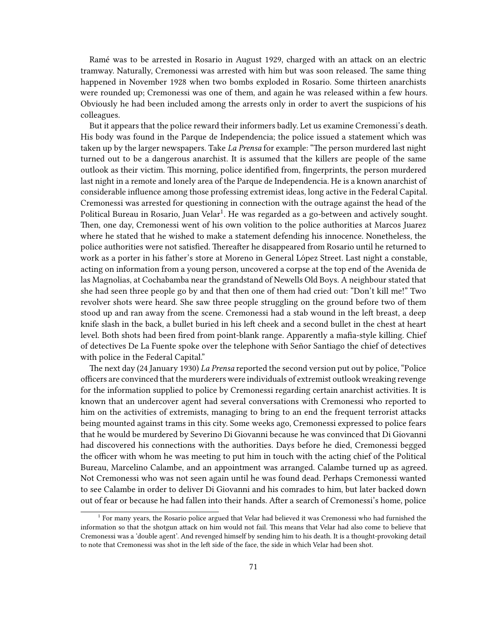Ramé was to be arrested in Rosario in August 1929, charged with an attack on an electric tramway. Naturally, Cremonessi was arrested with him but was soon released. The same thing happened in November 1928 when two bombs exploded in Rosario. Some thirteen anarchists were rounded up; Cremonessi was one of them, and again he was released within a few hours. Obviously he had been included among the arrests only in order to avert the suspicions of his colleagues.

But it appears that the police reward their informers badly. Let us examine Cremonessi's death. His body was found in the Parque de Independencia; the police issued a statement which was taken up by the larger newspapers. Take *La Prensa* for example: "The person murdered last night turned out to be a dangerous anarchist. It is assumed that the killers are people of the same outlook as their victim. This morning, police identified from, fingerprints, the person murdered last night in a remote and lonely area of the Parque de Independencia. He is a known anarchist of considerable influence among those professing extremist ideas, long active in the Federal Capital. Cremonessi was arrested for questioning in connection with the outrage against the head of the Political Bureau in Rosario, Juan Velar<sup>1</sup>. He was regarded as a go-between and actively sought. Then, one day, Cremonessi went of his own volition to the police authorities at Marcos Juarez where he stated that he wished to make a statement defending his innocence. Nonetheless, the police authorities were not satisfied. Thereafter he disappeared from Rosario until he returned to work as a porter in his father's store at Moreno in General López Street. Last night a constable, acting on information from a young person, uncovered a corpse at the top end of the Avenida de las Magnolias, at Cochabamba near the grandstand of Newells Old Boys. A neighbour stated that she had seen three people go by and that then one of them had cried out: "Don't kill me!" Two revolver shots were heard. She saw three people struggling on the ground before two of them stood up and ran away from the scene. Cremonessi had a stab wound in the left breast, a deep knife slash in the back, a bullet buried in his left cheek and a second bullet in the chest at heart level. Both shots had been fired from point-blank range. Apparently a mafia-style killing. Chief of detectives De La Fuente spoke over the telephone with Señor Santiago the chief of detectives with police in the Federal Capital."

The next day (24 January 1930) *La Prensa* reported the second version put out by police, "Police officers are convinced that the murderers were individuals of extremist outlook wreaking revenge for the information supplied to police by Cremonessi regarding certain anarchist activities. It is known that an undercover agent had several conversations with Cremonessi who reported to him on the activities of extremists, managing to bring to an end the frequent terrorist attacks being mounted against trams in this city. Some weeks ago, Cremonessi expressed to police fears that he would be murdered by Severino Di Giovanni because he was convinced that Di Giovanni had discovered his connections with the authorities. Days before he died, Cremonessi begged the officer with whom he was meeting to put him in touch with the acting chief of the Political Bureau, Marcelino Calambe, and an appointment was arranged. Calambe turned up as agreed. Not Cremonessi who was not seen again until he was found dead. Perhaps Cremonessi wanted to see Calambe in order to deliver Di Giovanni and his comrades to him, but later backed down out of fear or because he had fallen into their hands. After a search of Cremonessi's home, police

<sup>&</sup>lt;sup>1</sup> For many years, the Rosario police argued that Velar had believed it was Cremonessi who had furnished the information so that the shotgun attack on him would not fail. This means that Velar had also come to believe that Cremonessi was a 'double agent'. And revenged himself by sending him to his death. It is a thought-provoking detail to note that Cremonessi was shot in the left side of the face, the side in which Velar had been shot.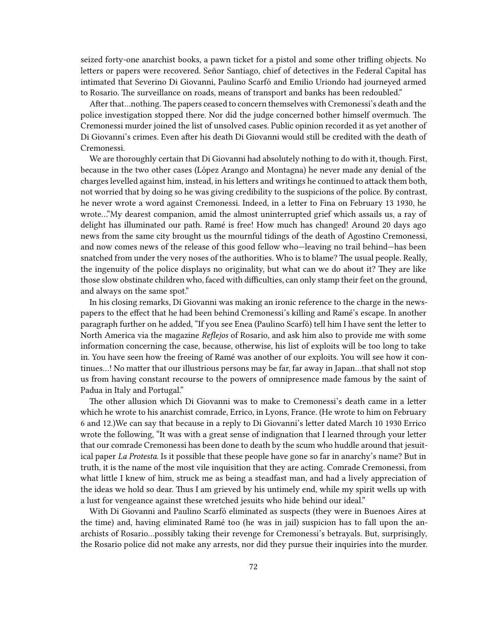seized forty-one anarchist books, a pawn ticket for a pistol and some other trifling objects. No letters or papers were recovered. Señor Santiago, chief of detectives in the Federal Capital has intimated that Severino Di Giovanni, Paulino Scarfó and Emilio Uriondo had journeyed armed to Rosario. The surveillance on roads, means of transport and banks has been redoubled."

After that…nothing. The papers ceased to concern themselves with Cremonessi's death and the police investigation stopped there. Nor did the judge concerned bother himself overmuch. The Cremonessi murder joined the list of unsolved cases. Public opinion recorded it as yet another of Di Giovanni's crimes. Even after his death Di Giovanni would still be credited with the death of Cremonessi.

We are thoroughly certain that Di Giovanni had absolutely nothing to do with it, though. First, because in the two other cases (López Arango and Montagna) he never made any denial of the charges levelled against him, instead, in his letters and writings he continued to attack them both, not worried that by doing so he was giving credibility to the suspicions of the police. By contrast, he never wrote a word against Cremonessi. Indeed, in a letter to Fina on February 13 1930, he wrote…"My dearest companion, amid the almost uninterrupted grief which assails us, a ray of delight has illuminated our path. Ramé is free! How much has changed! Around 20 days ago news from the same city brought us the mournful tidings of the death of Agostino Cremonessi, and now comes news of the release of this good fellow who—leaving no trail behind—has been snatched from under the very noses of the authorities. Who is to blame? The usual people. Really, the ingenuity of the police displays no originality, but what can we do about it? They are like those slow obstinate children who, faced with difficulties, can only stamp their feet on the ground, and always on the same spot."

In his closing remarks, Di Giovanni was making an ironic reference to the charge in the newspapers to the effect that he had been behind Cremonessi's killing and Ramé's escape. In another paragraph further on he added, "If you see Enea (Paulino Scarfó) tell him I have sent the letter to North America via the magazine *Reflejos* of Rosario, and ask him also to provide me with some information concerning the case, because, otherwise, his list of exploits will be too long to take in. You have seen how the freeing of Ramé was another of our exploits. You will see how it continues…! No matter that our illustrious persons may be far, far away in Japan…that shall not stop us from having constant recourse to the powers of omnipresence made famous by the saint of Padua in Italy and Portugal."

The other allusion which Di Giovanni was to make to Cremonessi's death came in a letter which he wrote to his anarchist comrade, Errico, in Lyons, France. (He wrote to him on February 6 and 12.)We can say that because in a reply to Di Giovanni's letter dated March 10 1930 Errico wrote the following, "It was with a great sense of indignation that I learned through your letter that our comrade Cremonessi has been done to death by the scum who huddle around that jesuitical paper *La Protesta*. Is it possible that these people have gone so far in anarchy's name? But in truth, it is the name of the most vile inquisition that they are acting. Comrade Cremonessi, from what little I knew of him, struck me as being a steadfast man, and had a lively appreciation of the ideas we hold so dear. Thus I am grieved by his untimely end, while my spirit wells up with a lust for vengeance against these wretched jesuits who hide behind our ideal."

With Di Giovanni and Paulino Scarfó eliminated as suspects (they were in Buenoes Aires at the time) and, having eliminated Ramé too (he was in jail) suspicion has to fall upon the anarchists of Rosario…possibly taking their revenge for Cremonessi's betrayals. But, surprisingly, the Rosario police did not make any arrests, nor did they pursue their inquiries into the murder.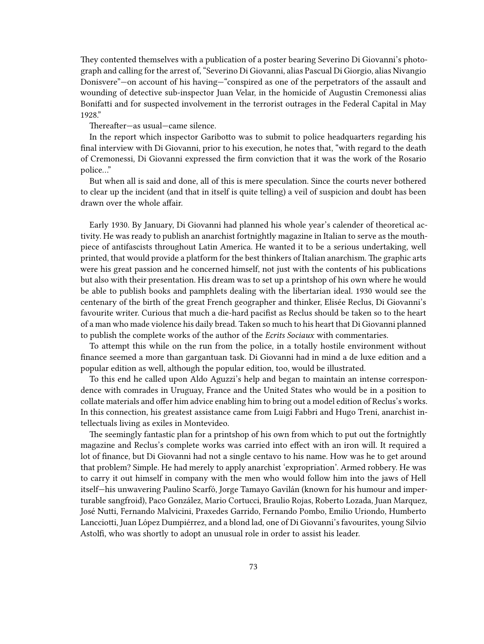They contented themselves with a publication of a poster bearing Severino Di Giovanni's photograph and calling for the arrest of, "Severino Di Giovanni, alias Pascual Di Giorgio, alias Nivangio Donisvere"—on account of his having—"conspired as one of the perpetrators of the assault and wounding of detective sub-inspector Juan Velar, in the homicide of Augustin Cremonessi alias Bonifatti and for suspected involvement in the terrorist outrages in the Federal Capital in May 1928."

Thereafter—as usual—came silence.

In the report which inspector Garibotto was to submit to police headquarters regarding his final interview with Di Giovanni, prior to his execution, he notes that, "with regard to the death of Cremonessi, Di Giovanni expressed the firm conviction that it was the work of the Rosario police…"

But when all is said and done, all of this is mere speculation. Since the courts never bothered to clear up the incident (and that in itself is quite telling) a veil of suspicion and doubt has been drawn over the whole affair.

Early 1930. By January, Di Giovanni had planned his whole year's calender of theoretical activity. He was ready to publish an anarchist fortnightly magazine in Italian to serve as the mouthpiece of antifascists throughout Latin America. He wanted it to be a serious undertaking, well printed, that would provide a platform for the best thinkers of Italian anarchism. The graphic arts were his great passion and he concerned himself, not just with the contents of his publications but also with their presentation. His dream was to set up a printshop of his own where he would be able to publish books and pamphlets dealing with the libertarian ideal. 1930 would see the centenary of the birth of the great French geographer and thinker, Elisée Reclus, Di Giovanni's favourite writer. Curious that much a die-hard pacifist as Reclus should be taken so to the heart of a man who made violence his daily bread. Taken so much to his heart that Di Giovanni planned to publish the complete works of the author of the *Ecrits Sociaux* with commentaries.

To attempt this while on the run from the police, in a totally hostile environment without finance seemed a more than gargantuan task. Di Giovanni had in mind a de luxe edition and a popular edition as well, although the popular edition, too, would be illustrated.

To this end he called upon Aldo Aguzzi's help and began to maintain an intense correspondence with comrades in Uruguay, France and the United States who would be in a position to collate materials and offer him advice enabling him to bring out a model edition of Reclus's works. In this connection, his greatest assistance came from Luigi Fabbri and Hugo Treni, anarchist intellectuals living as exiles in Montevideo.

The seemingly fantastic plan for a printshop of his own from which to put out the fortnightly magazine and Reclus's complete works was carried into effect with an iron will. It required a lot of finance, but Di Giovanni had not a single centavo to his name. How was he to get around that problem? Simple. He had merely to apply anarchist 'expropriation'. Armed robbery. He was to carry it out himself in company with the men who would follow him into the jaws of Hell itself—his unwavering Paulino Scarfó, Jorge Tamayo Gavilán (known for his humour and imperturable sangfroid), Paco González, Mario Cortucci, Braulio Rojas, Roberto Lozada, Juan Marquez, José Nutti, Fernando Malvicini, Praxedes Garrido, Fernando Pombo, Emilio Uriondo, Humberto Lancciotti, Juan López Dumpiérrez, and a blond lad, one of Di Giovanni's favourites, young Silvio Astolfi, who was shortly to adopt an unusual role in order to assist his leader.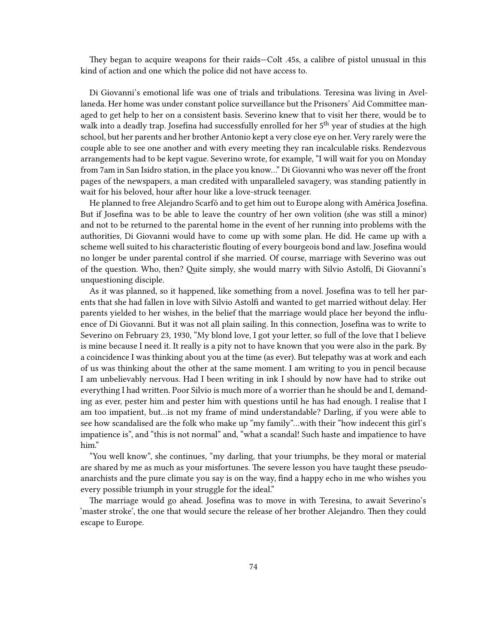They began to acquire weapons for their raids—Colt .45s, a calibre of pistol unusual in this kind of action and one which the police did not have access to.

Di Giovanni's emotional life was one of trials and tribulations. Teresina was living in Avellaneda. Her home was under constant police surveillance but the Prisoners' Aid Committee managed to get help to her on a consistent basis. Severino knew that to visit her there, would be to walk into a deadly trap. Josefina had successfully enrolled for her 5<sup>th</sup> year of studies at the high school, but her parents and her brother Antonio kept a very close eye on her. Very rarely were the couple able to see one another and with every meeting they ran incalculable risks. Rendezvous arrangements had to be kept vague. Severino wrote, for example, "I will wait for you on Monday from 7am in San Isidro station, in the place you know…" Di Giovanni who was never off the front pages of the newspapers, a man credited with unparalleled savagery, was standing patiently in wait for his beloved, hour after hour like a love-struck teenager.

He planned to free Alejandro Scarfó and to get him out to Europe along with América Josefina. But if Josefina was to be able to leave the country of her own volition (she was still a minor) and not to be returned to the parental home in the event of her running into problems with the authorities, Di Giovanni would have to come up with some plan. He did. He came up with a scheme well suited to his characteristic flouting of every bourgeois bond and law. Josefina would no longer be under parental control if she married. Of course, marriage with Severino was out of the question. Who, then? Quite simply, she would marry with Silvio Astolfi, Di Giovanni's unquestioning disciple.

As it was planned, so it happened, like something from a novel. Josefina was to tell her parents that she had fallen in love with Silvio Astolfi and wanted to get married without delay. Her parents yielded to her wishes, in the belief that the marriage would place her beyond the influence of Di Giovanni. But it was not all plain sailing. In this connection, Josefina was to write to Severino on February 23, 1930, "My blond love, I got your letter, so full of the love that I believe is mine because I need it. It really is a pity not to have known that you were also in the park. By a coincidence I was thinking about you at the time (as ever). But telepathy was at work and each of us was thinking about the other at the same moment. I am writing to you in pencil because I am unbelievably nervous. Had I been writing in ink I should by now have had to strike out everything I had written. Poor Silvio is much more of a worrier than he should be and I, demanding as ever, pester him and pester him with questions until he has had enough. I realise that I am too impatient, but…is not my frame of mind understandable? Darling, if you were able to see how scandalised are the folk who make up "my family"…with their "how indecent this girl's impatience is", and "this is not normal" and, "what a scandal! Such haste and impatience to have him."

"You well know", she continues, "my darling, that your triumphs, be they moral or material are shared by me as much as your misfortunes. The severe lesson you have taught these pseudoanarchists and the pure climate you say is on the way, find a happy echo in me who wishes you every possible triumph in your struggle for the ideal."

The marriage would go ahead. Josefina was to move in with Teresina, to await Severino's 'master stroke', the one that would secure the release of her brother Alejandro. Then they could escape to Europe.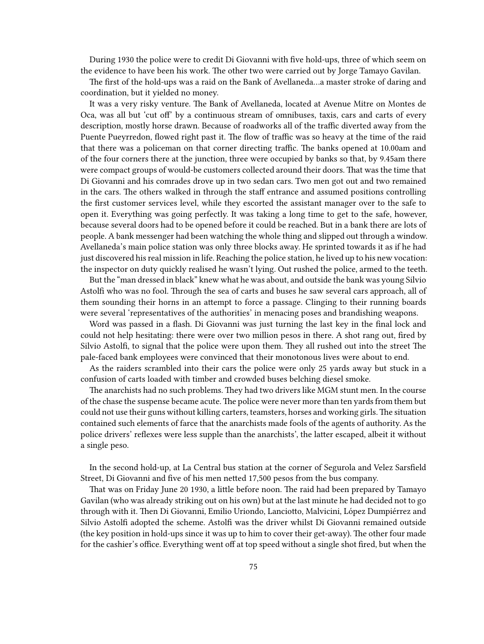During 1930 the police were to credit Di Giovanni with five hold-ups, three of which seem on the evidence to have been his work. The other two were carried out by Jorge Tamayo Gavilan.

The first of the hold-ups was a raid on the Bank of Avellaneda…a master stroke of daring and coordination, but it yielded no money.

It was a very risky venture. The Bank of Avellaneda, located at Avenue Mitre on Montes de Oca, was all but 'cut of' by a continuous stream of omnibuses, taxis, cars and carts of every description, mostly horse drawn. Because of roadworks all of the traffic diverted away from the Puente Pueyrredon, flowed right past it. The flow of traffic was so heavy at the time of the raid that there was a policeman on that corner directing traffic. The banks opened at 10.00am and of the four corners there at the junction, three were occupied by banks so that, by 9.45am there were compact groups of would-be customers collected around their doors. That was the time that Di Giovanni and his comrades drove up in two sedan cars. Two men got out and two remained in the cars. The others walked in through the staff entrance and assumed positions controlling the first customer services level, while they escorted the assistant manager over to the safe to open it. Everything was going perfectly. It was taking a long time to get to the safe, however, because several doors had to be opened before it could be reached. But in a bank there are lots of people. A bank messenger had been watching the whole thing and slipped out through a window. Avellaneda's main police station was only three blocks away. He sprinted towards it as if he had just discovered his real mission in life. Reaching the police station, he lived up to his new vocation: the inspector on duty quickly realised he wasn't lying. Out rushed the police, armed to the teeth.

But the "man dressed in black" knew what he was about, and outside the bank was young Silvio Astolfi who was no fool. Through the sea of carts and buses he saw several cars approach, all of them sounding their horns in an attempt to force a passage. Clinging to their running boards were several 'representatives of the authorities' in menacing poses and brandishing weapons.

Word was passed in a flash. Di Giovanni was just turning the last key in the final lock and could not help hesitating: there were over two million pesos in there. A shot rang out, fired by Silvio Astolfi, to signal that the police were upon them. They all rushed out into the street The pale-faced bank employees were convinced that their monotonous lives were about to end.

As the raiders scrambled into their cars the police were only 25 yards away but stuck in a confusion of carts loaded with timber and crowded buses belching diesel smoke.

The anarchists had no such problems. They had two drivers like MGM stunt men. In the course of the chase the suspense became acute. The police were never more than ten yards from them but could not use their guns without killing carters, teamsters, horses and working girls. The situation contained such elements of farce that the anarchists made fools of the agents of authority. As the police drivers' reflexes were less supple than the anarchists', the latter escaped, albeit it without a single peso.

In the second hold-up, at La Central bus station at the corner of Segurola and Velez Sarsfield Street, Di Giovanni and five of his men netted 17,500 pesos from the bus company.

That was on Friday June 20 1930, a little before noon. The raid had been prepared by Tamayo Gavilan (who was already striking out on his own) but at the last minute he had decided not to go through with it. Then Di Giovanni, Emilio Uriondo, Lanciotto, Malvicini, López Dumpiérrez and Silvio Astolfi adopted the scheme. Astolfi was the driver whilst Di Giovanni remained outside (the key position in hold-ups since it was up to him to cover their get-away). The other four made for the cashier's office. Everything went off at top speed without a single shot fired, but when the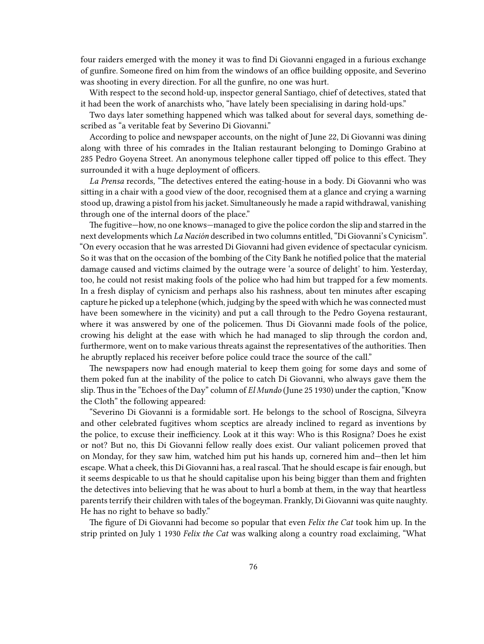four raiders emerged with the money it was to find Di Giovanni engaged in a furious exchange of gunfire. Someone fired on him from the windows of an office building opposite, and Severino was shooting in every direction. For all the gunfire, no one was hurt.

With respect to the second hold-up, inspector general Santiago, chief of detectives, stated that it had been the work of anarchists who, "have lately been specialising in daring hold-ups."

Two days later something happened which was talked about for several days, something described as "a veritable feat by Severino Di Giovanni."

According to police and newspaper accounts, on the night of June 22, Di Giovanni was dining along with three of his comrades in the Italian restaurant belonging to Domingo Grabino at 285 Pedro Goyena Street. An anonymous telephone caller tipped off police to this effect. They surrounded it with a huge deployment of officers.

*La Prensa* records, "The detectives entered the eating-house in a body. Di Giovanni who was sitting in a chair with a good view of the door, recognised them at a glance and crying a warning stood up, drawing a pistol from his jacket. Simultaneously he made a rapid withdrawal, vanishing through one of the internal doors of the place."

The fugitive—how, no one knows—managed to give the police cordon the slip and starred in the next developments which *La Nación* described in two columns entitled, "Di Giovanni's Cynicism". "On every occasion that he was arrested Di Giovanni had given evidence of spectacular cynicism. So it was that on the occasion of the bombing of the City Bank he notified police that the material damage caused and victims claimed by the outrage were 'a source of delight' to him. Yesterday, too, he could not resist making fools of the police who had him but trapped for a few moments. In a fresh display of cynicism and perhaps also his rashness, about ten minutes after escaping capture he picked up a telephone (which, judging by the speed with which he was connected must have been somewhere in the vicinity) and put a call through to the Pedro Goyena restaurant, where it was answered by one of the policemen. Thus Di Giovanni made fools of the police, crowing his delight at the ease with which he had managed to slip through the cordon and, furthermore, went on to make various threats against the representatives of the authorities. Then he abruptly replaced his receiver before police could trace the source of the call."

The newspapers now had enough material to keep them going for some days and some of them poked fun at the inability of the police to catch Di Giovanni, who always gave them the slip. Thus in the "Echoes of the Day" column of *El Mundo* (June 25 1930) under the caption, "Know the Cloth" the following appeared:

"Severino Di Giovanni is a formidable sort. He belongs to the school of Roscigna, Silveyra and other celebrated fugitives whom sceptics are already inclined to regard as inventions by the police, to excuse their inefficiency. Look at it this way: Who is this Rosigna? Does he exist or not? But no, this Di Giovanni fellow really does exist. Our valiant policemen proved that on Monday, for they saw him, watched him put his hands up, cornered him and—then let him escape. What a cheek, this Di Giovanni has, a real rascal. That he should escape is fair enough, but it seems despicable to us that he should capitalise upon his being bigger than them and frighten the detectives into believing that he was about to hurl a bomb at them, in the way that heartless parents terrify their children with tales of the bogeyman. Frankly, Di Giovanni was quite naughty. He has no right to behave so badly."

The figure of Di Giovanni had become so popular that even *Felix the Cat* took him up. In the strip printed on July 1 1930 *Felix the Cat* was walking along a country road exclaiming, "What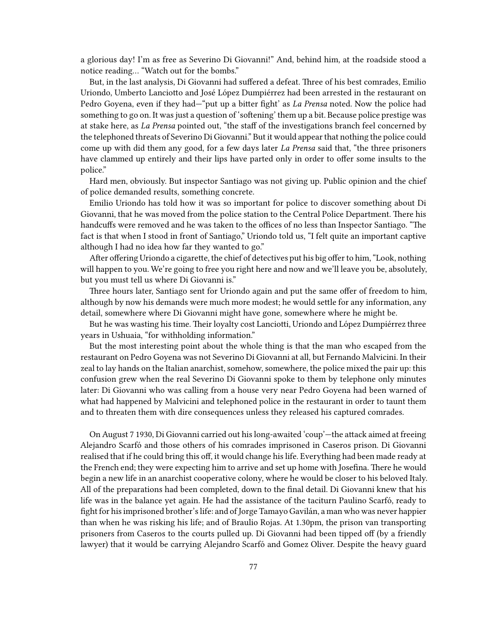a glorious day! I'm as free as Severino Di Giovanni!" And, behind him, at the roadside stood a notice reading… "Watch out for the bombs."

But, in the last analysis, Di Giovanni had suffered a defeat. Three of his best comrades, Emilio Uriondo, Umberto Lanciotto and José López Dumpiérrez had been arrested in the restaurant on Pedro Goyena, even if they had—"put up a bitter fight' as *La Prensa* noted. Now the police had something to go on. It was just a question of 'softening' them up a bit. Because police prestige was at stake here, as *La Prensa* pointed out, "the staff of the investigations branch feel concerned by the telephoned threats of Severino Di Giovanni." But it would appear that nothing the police could come up with did them any good, for a few days later *La Prensa* said that, "the three prisoners have clammed up entirely and their lips have parted only in order to offer some insults to the police."

Hard men, obviously. But inspector Santiago was not giving up. Public opinion and the chief of police demanded results, something concrete.

Emilio Uriondo has told how it was so important for police to discover something about Di Giovanni, that he was moved from the police station to the Central Police Department. There his handcuffs were removed and he was taken to the offices of no less than Inspector Santiago. "The fact is that when I stood in front of Santiago," Uriondo told us, "I felt quite an important captive although I had no idea how far they wanted to go."

After offering Uriondo a cigarette, the chief of detectives put his big offer to him, "Look, nothing will happen to you. We're going to free you right here and now and we'll leave you be, absolutely, but you must tell us where Di Giovanni is."

Three hours later, Santiago sent for Uriondo again and put the same offer of freedom to him, although by now his demands were much more modest; he would settle for any information, any detail, somewhere where Di Giovanni might have gone, somewhere where he might be.

But he was wasting his time. Their loyalty cost Lanciotti, Uriondo and López Dumpiérrez three years in Ushuaia, "for withholding information."

But the most interesting point about the whole thing is that the man who escaped from the restaurant on Pedro Goyena was not Severino Di Giovanni at all, but Fernando Malvicini. In their zeal to lay hands on the Italian anarchist, somehow, somewhere, the police mixed the pair up: this confusion grew when the real Severino Di Giovanni spoke to them by telephone only minutes later: Di Giovanni who was calling from a house very near Pedro Goyena had been warned of what had happened by Malvicini and telephoned police in the restaurant in order to taunt them and to threaten them with dire consequences unless they released his captured comrades.

On August 7 1930, Di Giovanni carried out his long-awaited 'coup'—the attack aimed at freeing Alejandro Scarfó and those others of his comrades imprisoned in Caseros prison. Di Giovanni realised that if he could bring this off, it would change his life. Everything had been made ready at the French end; they were expecting him to arrive and set up home with Josefina. There he would begin a new life in an anarchist cooperative colony, where he would be closer to his beloved Italy. All of the preparations had been completed, down to the final detail. Di Giovanni knew that his life was in the balance yet again. He had the assistance of the taciturn Paulino Scarfó, ready to fight for his imprisoned brother's life: and of Jorge Tamayo Gavilán, a man who was never happier than when he was risking his life; and of Braulio Rojas. At 1.30pm, the prison van transporting prisoners from Caseros to the courts pulled up. Di Giovanni had been tipped off (by a friendly lawyer) that it would be carrying Alejandro Scarfó and Gomez Oliver. Despite the heavy guard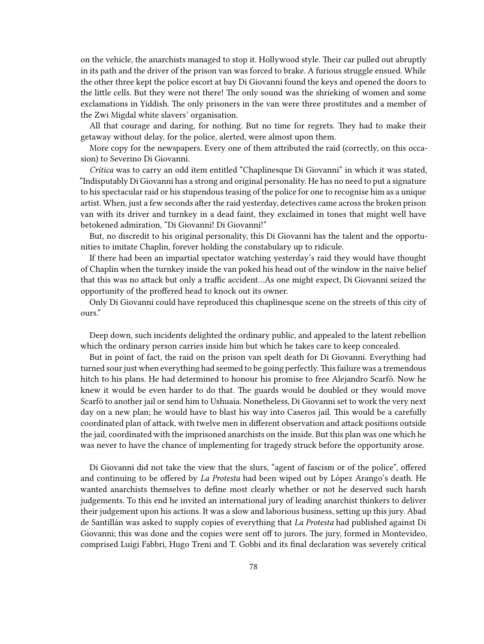on the vehicle, the anarchists managed to stop it. Hollywood style. Their car pulled out abruptly in its path and the driver of the prison van was forced to brake. A furious struggle ensued. While the other three kept the police escort at bay Di Giovanni found the keys and opened the doors to the little cells. But they were not there! The only sound was the shrieking of women and some exclamations in Yiddish. The only prisoners in the van were three prostitutes and a member of the Zwi Migdal white slavers' organisation.

All that courage and daring, for nothing. But no time for regrets. They had to make their getaway without delay, for the police, alerted, were almost upon them.

More copy for the newspapers. Every one of them attributed the raid (correctly, on this occasion) to Severino Di Giovanni.

*Crítica* was to carry an odd item entitled "Chaplinesque Di Giovanni" in which it was stated, "Indisputably Di Giovanni has a strong and original personality. He has no need to put a signature to his spectacular raid or his stupendous teasing of the police for one to recognise him as a unique artist. When, just a few seconds after the raid yesterday, detectives came across the broken prison van with its driver and turnkey in a dead faint, they exclaimed in tones that might well have betokened admiration, "Di Giovanni! Di Giovanni!"

But, no discredit to his original personality, this Di Giovanni has the talent and the opportunities to imitate Chaplin, forever holding the constabulary up to ridicule.

If there had been an impartial spectator watching yesterday's raid they would have thought of Chaplin when the turnkey inside the van poked his head out of the window in the naive belief that this was no attack but only a traffic accident…As one might expect, Di Giovanni seized the opportunity of the proffered head to knock out its owner.

Only Di Giovanni could have reproduced this chaplinesque scene on the streets of this city of ours."

Deep down, such incidents delighted the ordinary public, and appealed to the latent rebellion which the ordinary person carries inside him but which he takes care to keep concealed.

But in point of fact, the raid on the prison van spelt death for Di Giovanni. Everything had turned sour just when everything had seemed to be going perfectly.This failure was a tremendous hitch to his plans. He had determined to honour his promise to free Alejandro Scarfó. Now he knew it would be even harder to do that. The guards would be doubled or they would move Scarfó to another jail or send him to Ushuaia. Nonetheless, Di Giovanni set to work the very next day on a new plan; he would have to blast his way into Caseros jail. This would be a carefully coordinated plan of attack, with twelve men in different observation and attack positions outside the jail, coordinated with the imprisoned anarchists on the inside. But this plan was one which he was never to have the chance of implementing for tragedy struck before the opportunity arose.

Di Giovanni did not take the view that the slurs, "agent of fascism or of the police", offered and continuing to be offered by *La Protesta* had been wiped out by López Arango's death. He wanted anarchists themselves to define most clearly whether or not he deserved such harsh judgements. To this end he invited an international jury of leading anarchist thinkers to deliver their judgement upon his actions. It was a slow and laborious business, setting up this jury. Abad de Santillán was asked to supply copies of everything that *La Protesta* had published against Di Giovanni; this was done and the copies were sent off to jurors. The jury, formed in Montevideo, comprised Luigi Fabbri, Hugo Treni and T. Gobbi and its final declaration was severely critical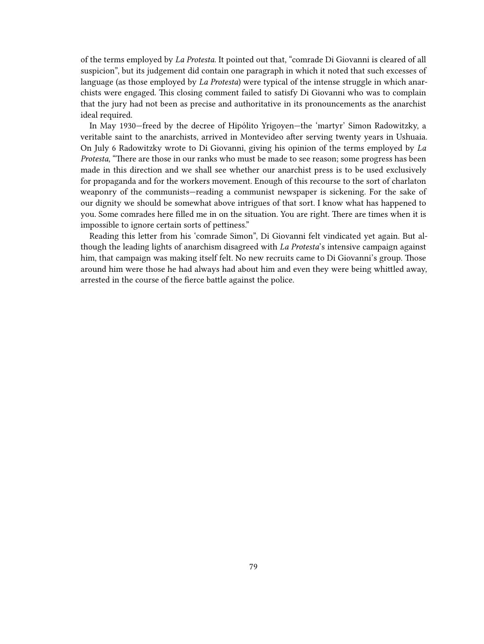of the terms employed by *La Protesta*. It pointed out that, "comrade Di Giovanni is cleared of all suspicion", but its judgement did contain one paragraph in which it noted that such excesses of language (as those employed by *La Protesta*) were typical of the intense struggle in which anarchists were engaged. This closing comment failed to satisfy Di Giovanni who was to complain that the jury had not been as precise and authoritative in its pronouncements as the anarchist ideal required.

In May 1930—freed by the decree of Hipólito Yrigoyen—the 'martyr' Simon Radowitzky, a veritable saint to the anarchists, arrived in Montevideo after serving twenty years in Ushuaia. On July 6 Radowitzky wrote to Di Giovanni, giving his opinion of the terms employed by *La Protesta*, "There are those in our ranks who must be made to see reason; some progress has been made in this direction and we shall see whether our anarchist press is to be used exclusively for propaganda and for the workers movement. Enough of this recourse to the sort of charlaton weaponry of the communists—reading a communist newspaper is sickening. For the sake of our dignity we should be somewhat above intrigues of that sort. I know what has happened to you. Some comrades here filled me in on the situation. You are right. There are times when it is impossible to ignore certain sorts of pettiness."

Reading this letter from his 'comrade Simon", Di Giovanni felt vindicated yet again. But although the leading lights of anarchism disagreed with *La Protesta*'s intensive campaign against him, that campaign was making itself felt. No new recruits came to Di Giovanni's group. Those around him were those he had always had about him and even they were being whittled away, arrested in the course of the fierce battle against the police.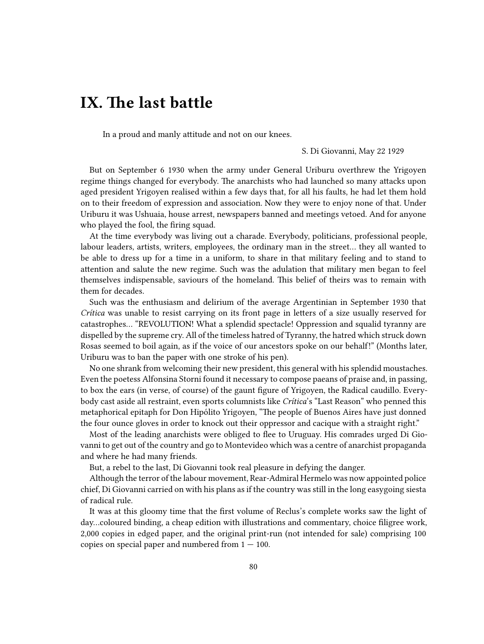## **IX. The last battle**

In a proud and manly attitude and not on our knees.

S. Di Giovanni, May 22 1929

But on September 6 1930 when the army under General Uriburu overthrew the Yrigoyen regime things changed for everybody. The anarchists who had launched so many attacks upon aged president Yrigoyen realised within a few days that, for all his faults, he had let them hold on to their freedom of expression and association. Now they were to enjoy none of that. Under Uriburu it was Ushuaia, house arrest, newspapers banned and meetings vetoed. And for anyone who played the fool, the firing squad.

At the time everybody was living out a charade. Everybody, politicians, professional people, labour leaders, artists, writers, employees, the ordinary man in the street… they all wanted to be able to dress up for a time in a uniform, to share in that military feeling and to stand to attention and salute the new regime. Such was the adulation that military men began to feel themselves indispensable, saviours of the homeland. This belief of theirs was to remain with them for decades.

Such was the enthusiasm and delirium of the average Argentinian in September 1930 that *Crítica* was unable to resist carrying on its front page in letters of a size usually reserved for catastrophes… "REVOLUTION! What a splendid spectacle! Oppression and squalid tyranny are dispelled by the supreme cry. All of the timeless hatred of Tyranny, the hatred which struck down Rosas seemed to boil again, as if the voice of our ancestors spoke on our behalf!" (Months later, Uriburu was to ban the paper with one stroke of his pen).

No one shrank from welcoming their new president, this general with his splendid moustaches. Even the poetess Alfonsina Storni found it necessary to compose paeans of praise and, in passing, to box the ears (in verse, of course) of the gaunt figure of Yrigoyen, the Radical caudillo. Everybody cast aside all restraint, even sports columnists like *Crítica*'s "Last Reason" who penned this metaphorical epitaph for Don Hipólito Yrigoyen, "The people of Buenos Aires have just donned the four ounce gloves in order to knock out their oppressor and cacique with a straight right."

Most of the leading anarchists were obliged to flee to Uruguay. His comrades urged Di Giovanni to get out of the country and go to Montevideo which was a centre of anarchist propaganda and where he had many friends.

But, a rebel to the last, Di Giovanni took real pleasure in defying the danger.

Although the terror of the labour movement, Rear-Admiral Hermelo was now appointed police chief, Di Giovanni carried on with his plans as if the country was still in the long easygoing siesta of radical rule.

It was at this gloomy time that the first volume of Reclus's complete works saw the light of day…coloured binding, a cheap edition with illustrations and commentary, choice filigree work, 2,000 copies in edged paper, and the original print-run (not intended for sale) comprising 100 copies on special paper and numbered from  $1 - 100$ .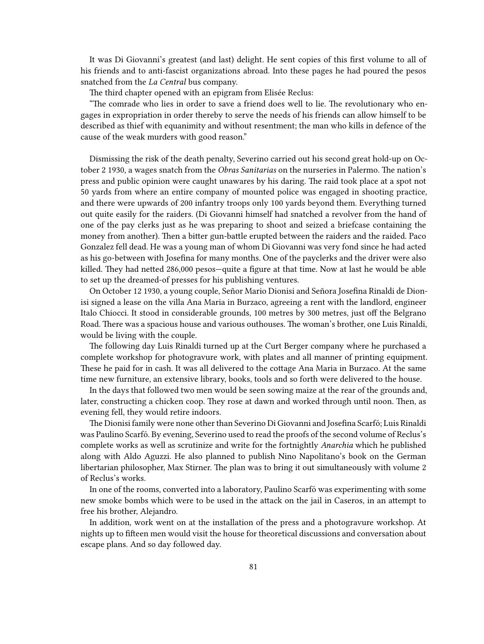It was Di Giovanni's greatest (and last) delight. He sent copies of this first volume to all of his friends and to anti-fascist organizations abroad. Into these pages he had poured the pesos snatched from the *La Central* bus company.

The third chapter opened with an epigram from Elisée Reclus:

"The comrade who lies in order to save a friend does well to lie. The revolutionary who engages in expropriation in order thereby to serve the needs of his friends can allow himself to be described as thief with equanimity and without resentment; the man who kills in defence of the cause of the weak murders with good reason."

Dismissing the risk of the death penalty, Severino carried out his second great hold-up on October 2 1930, a wages snatch from the *Obras Sanitarias* on the nurseries in Palermo. The nation's press and public opinion were caught unawares by his daring. The raid took place at a spot not 50 yards from where an entire company of mounted police was engaged in shooting practice, and there were upwards of 200 infantry troops only 100 yards beyond them. Everything turned out quite easily for the raiders. (Di Giovanni himself had snatched a revolver from the hand of one of the pay clerks just as he was preparing to shoot and seized a briefcase containing the money from another). Then a bitter gun-battle erupted between the raiders and the raided. Paco Gonzalez fell dead. He was a young man of whom Di Giovanni was very fond since he had acted as his go-between with Josefina for many months. One of the payclerks and the driver were also killed. They had netted 286,000 pesos—quite a figure at that time. Now at last he would be able to set up the dreamed-of presses for his publishing ventures.

On October 12 1930, a young couple, Señor Mario Dionisi and Señora Josefina Rinaldi de Dionisi signed a lease on the villa Ana Maria in Burzaco, agreeing a rent with the landlord, engineer Italo Chiocci. It stood in considerable grounds, 100 metres by 300 metres, just off the Belgrano Road. There was a spacious house and various outhouses. The woman's brother, one Luis Rinaldi, would be living with the couple.

The following day Luis Rinaldi turned up at the Curt Berger company where he purchased a complete workshop for photogravure work, with plates and all manner of printing equipment. These he paid for in cash. It was all delivered to the cottage Ana Maria in Burzaco. At the same time new furniture, an extensive library, books, tools and so forth were delivered to the house.

In the days that followed two men would be seen sowing maize at the rear of the grounds and, later, constructing a chicken coop. They rose at dawn and worked through until noon. Then, as evening fell, they would retire indoors.

The Dionisi family were none other than Severino Di Giovanni and Josefina Scarfó; Luis Rinaldi was Paulino Scarfó. By evening, Severino used to read the proofs of the second volume of Reclus's complete works as well as scrutinize and write for the fortnightly *Anarchia* which he published along with Aldo Aguzzi. He also planned to publish Nino Napolitano's book on the German libertarian philosopher, Max Stirner. The plan was to bring it out simultaneously with volume 2 of Reclus's works.

In one of the rooms, converted into a laboratory, Paulino Scarfó was experimenting with some new smoke bombs which were to be used in the attack on the jail in Caseros, in an attempt to free his brother, Alejandro.

In addition, work went on at the installation of the press and a photogravure workshop. At nights up to fifteen men would visit the house for theoretical discussions and conversation about escape plans. And so day followed day.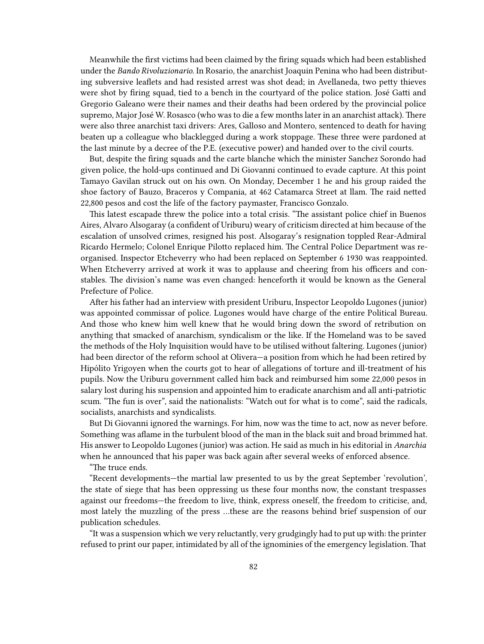Meanwhile the first victims had been claimed by the firing squads which had been established under the *Bando Rivoluzionario*. In Rosario, the anarchist Joaquin Penina who had been distributing subversive leaflets and had resisted arrest was shot dead; in Avellaneda, two petty thieves were shot by firing squad, tied to a bench in the courtyard of the police station. José Gatti and Gregorio Galeano were their names and their deaths had been ordered by the provincial police supremo, Major José W. Rosasco (who was to die a few months later in an anarchist attack). There were also three anarchist taxi drivers: Ares, Galloso and Montero, sentenced to death for having beaten up a colleague who blacklegged during a work stoppage. These three were pardoned at the last minute by a decree of the P.E. (executive power) and handed over to the civil courts.

But, despite the firing squads and the carte blanche which the minister Sanchez Sorondo had given police, the hold-ups continued and Di Giovanni continued to evade capture. At this point Tamayo Gavilan struck out on his own. On Monday, December 1 he and his group raided the shoe factory of Bauzo, Braceros y Compania, at 462 Catamarca Street at llam. The raid netted 22,800 pesos and cost the life of the factory paymaster, Francisco Gonzalo.

This latest escapade threw the police into a total crisis. "The assistant police chief in Buenos Aires, Alvaro Alsogaray (a confident of Uriburu) weary of criticism directed at him because of the escalation of unsolved crimes, resigned his post. Alsogaray's resignation toppled Rear-Admiral Ricardo Hermelo; Colonel Enrique Pilotto replaced him. The Central Police Department was reorganised. Inspector Etcheverry who had been replaced on September 6 1930 was reappointed. When Etcheverry arrived at work it was to applause and cheering from his officers and constables. The division's name was even changed: henceforth it would be known as the General Prefecture of Police.

After his father had an interview with president Uriburu, Inspector Leopoldo Lugones (junior) was appointed commissar of police. Lugones would have charge of the entire Political Bureau. And those who knew him well knew that he would bring down the sword of retribution on anything that smacked of anarchism, syndicalism or the like. If the Homeland was to be saved the methods of the Holy Inquisition would have to be utilised without faltering. Lugones (junior) had been director of the reform school at Olivera-a position from which he had been retired by Hipólito Yrigoyen when the courts got to hear of allegations of torture and ill-treatment of his pupils. Now the Uriburu government called him back and reimbursed him some 22,000 pesos in salary lost during his suspension and appointed him to eradicate anarchism and all anti-patriotic scum. "The fun is over", said the nationalists: "Watch out for what is to come", said the radicals, socialists, anarchists and syndicalists.

But Di Giovanni ignored the warnings. For him, now was the time to act, now as never before. Something was aflame in the turbulent blood of the man in the black suit and broad brimmed hat. His answer to Leopoldo Lugones (junior) was action. He said as much in his editorial in *Anarchia* when he announced that his paper was back again after several weeks of enforced absence.

"The truce ends.

"Recent developments—the martial law presented to us by the great September 'revolution', the state of siege that has been oppressing us these four months now, the constant trespasses against our freedoms—the freedom to live, think, express oneself, the freedom to criticise, and, most lately the muzzling of the press …these are the reasons behind brief suspension of our publication schedules.

"It was a suspension which we very reluctantly, very grudgingly had to put up with: the printer refused to print our paper, intimidated by all of the ignominies of the emergency legislation. That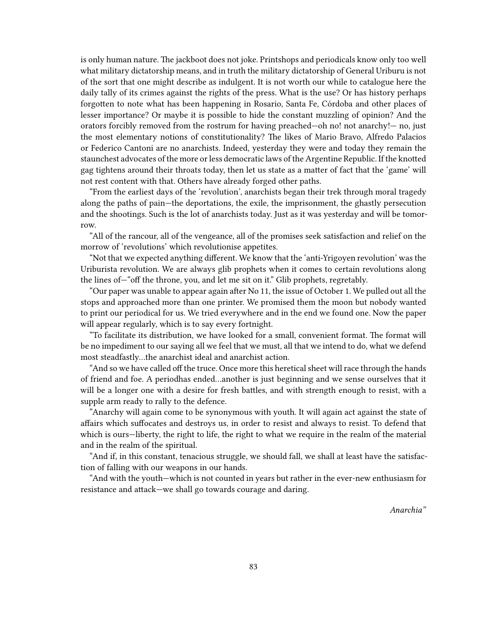is only human nature. The jackboot does not joke. Printshops and periodicals know only too well what military dictatorship means, and in truth the military dictatorship of General Uriburu is not of the sort that one might describe as indulgent. It is not worth our while to catalogue here the daily tally of its crimes against the rights of the press. What is the use? Or has history perhaps forgotten to note what has been happening in Rosario, Santa Fe, Córdoba and other places of lesser importance? Or maybe it is possible to hide the constant muzzling of opinion? And the orators forcibly removed from the rostrum for having preached—oh no! not anarchy!— no, just the most elementary notions of constitutionality? The likes of Mario Bravo, Alfredo Palacios or Federico Cantoni are no anarchists. Indeed, yesterday they were and today they remain the staunchest advocates of the more or less democratic laws of the Argentine Republic. If the knotted gag tightens around their throats today, then let us state as a matter of fact that the 'game' will not rest content with that. Others have already forged other paths.

"From the earliest days of the 'revolution', anarchists began their trek through moral tragedy along the paths of pain—the deportations, the exile, the imprisonment, the ghastly persecution and the shootings. Such is the lot of anarchists today. Just as it was yesterday and will be tomorrow.

"All of the rancour, all of the vengeance, all of the promises seek satisfaction and relief on the morrow of 'revolutions' which revolutionise appetites.

"Not that we expected anything different. We know that the 'anti-Yrigoyen revolution' was the Uriburista revolution. We are always glib prophets when it comes to certain revolutions along the lines of—"off the throne, you, and let me sit on it." Glib prophets, regretably.

"Our paper was unable to appear again after No 11, the issue of October 1. We pulled out all the stops and approached more than one printer. We promised them the moon but nobody wanted to print our periodical for us. We tried everywhere and in the end we found one. Now the paper will appear regularly, which is to say every fortnight.

"To facilitate its distribution, we have looked for a small, convenient format. The format will be no impediment to our saying all we feel that we must, all that we intend to do, what we defend most steadfastly…the anarchist ideal and anarchist action.

"And so we have called off the truce. Once more this heretical sheet will race through the hands of friend and foe. A periodhas ended…another is just beginning and we sense ourselves that it will be a longer one with a desire for fresh battles, and with strength enough to resist, with a supple arm ready to rally to the defence.

"Anarchy will again come to be synonymous with youth. It will again act against the state of affairs which suffocates and destroys us, in order to resist and always to resist. To defend that which is ours—liberty, the right to life, the right to what we require in the realm of the material and in the realm of the spiritual.

"And if, in this constant, tenacious struggle, we should fall, we shall at least have the satisfaction of falling with our weapons in our hands.

"And with the youth—which is not counted in years but rather in the ever-new enthusiasm for resistance and attack—we shall go towards courage and daring.

*Anarchia"*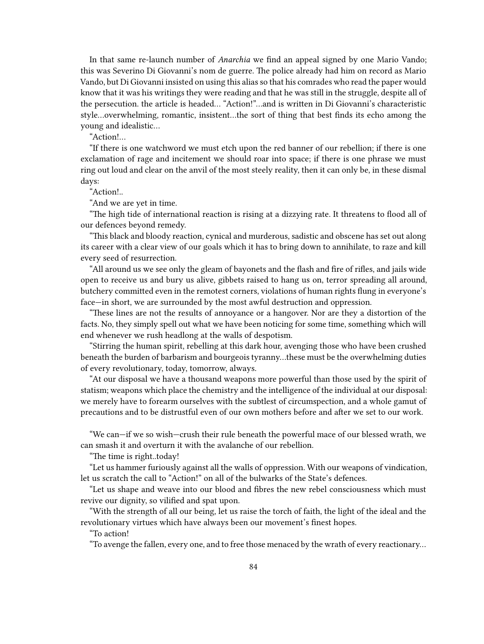In that same re-launch number of *Anarchia* we find an appeal signed by one Mario Vando; this was Severino Di Giovanni's nom de guerre. The police already had him on record as Mario Vando, but Di Giovanni insisted on using this alias so that his comrades who read the paper would know that it was his writings they were reading and that he was still in the struggle, despite all of the persecution. the article is headed… "Action!"…and is written in Di Giovanni's characteristic style…overwhelming, romantic, insistent…the sort of thing that best finds its echo among the young and idealistic…

"Action!…

"If there is one watchword we must etch upon the red banner of our rebellion; if there is one exclamation of rage and incitement we should roar into space; if there is one phrase we must ring out loud and clear on the anvil of the most steely reality, then it can only be, in these dismal days:

"Action!..

"And we are yet in time.

"The high tide of international reaction is rising at a dizzying rate. It threatens to flood all of our defences beyond remedy.

"This black and bloody reaction, cynical and murderous, sadistic and obscene has set out along its career with a clear view of our goals which it has to bring down to annihilate, to raze and kill every seed of resurrection.

"All around us we see only the gleam of bayonets and the flash and fire of rifles, and jails wide open to receive us and bury us alive, gibbets raised to hang us on, terror spreading all around, butchery committed even in the remotest corners, violations of human rights flung in everyone's face—in short, we are surrounded by the most awful destruction and oppression.

"These lines are not the results of annoyance or a hangover. Nor are they a distortion of the facts. No, they simply spell out what we have been noticing for some time, something which will end whenever we rush headlong at the walls of despotism.

"Stirring the human spirit, rebelling at this dark hour, avenging those who have been crushed beneath the burden of barbarism and bourgeois tyranny…these must be the overwhelming duties of every revolutionary, today, tomorrow, always.

"At our disposal we have a thousand weapons more powerful than those used by the spirit of statism; weapons which place the chemistry and the intelligence of the individual at our disposal: we merely have to forearm ourselves with the subtlest of circumspection, and a whole gamut of precautions and to be distrustful even of our own mothers before and after we set to our work.

"We can—if we so wish—crush their rule beneath the powerful mace of our blessed wrath, we can smash it and overturn it with the avalanche of our rebellion.

"The time is right..today!

"Let us hammer furiously against all the walls of oppression. With our weapons of vindication, let us scratch the call to "Action!" on all of the bulwarks of the State's defences.

"Let us shape and weave into our blood and fibres the new rebel consciousness which must revive our dignity, so vilified and spat upon.

"With the strength of all our being, let us raise the torch of faith, the light of the ideal and the revolutionary virtues which have always been our movement's finest hopes.

"To action!

"To avenge the fallen, every one, and to free those menaced by the wrath of every reactionary…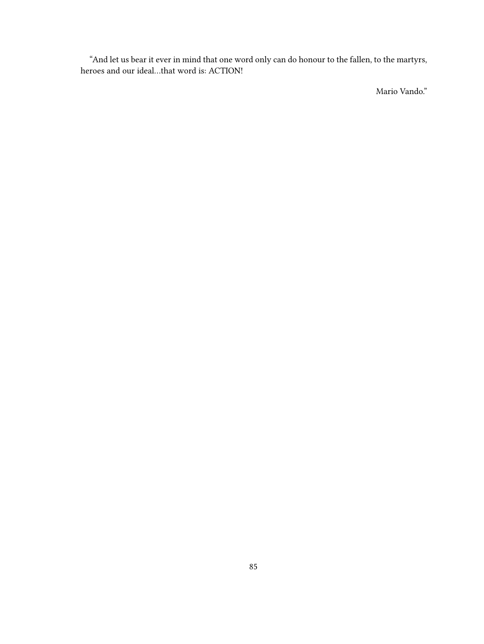"And let us bear it ever in mind that one word only can do honour to the fallen, to the martyrs, heroes and our ideal…that word is: ACTION!

Mario Vando."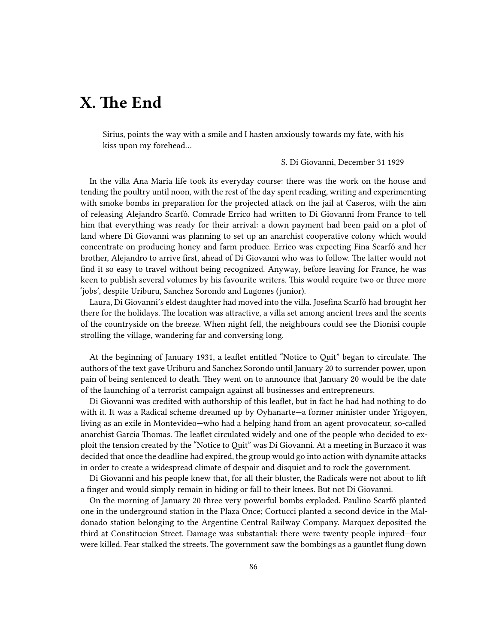## **X. The End**

Sirius, points the way with a smile and I hasten anxiously towards my fate, with his kiss upon my forehead…

S. Di Giovanni, December 31 1929

In the villa Ana Maria life took its everyday course: there was the work on the house and tending the poultry until noon, with the rest of the day spent reading, writing and experimenting with smoke bombs in preparation for the projected attack on the jail at Caseros, with the aim of releasing Alejandro Scarfó. Comrade Errico had written to Di Giovanni from France to tell him that everything was ready for their arrival: a down payment had been paid on a plot of land where Di Giovanni was planning to set up an anarchist cooperative colony which would concentrate on producing honey and farm produce. Errico was expecting Fina Scarfó and her brother, Alejandro to arrive first, ahead of Di Giovanni who was to follow. The latter would not find it so easy to travel without being recognized. Anyway, before leaving for France, he was keen to publish several volumes by his favourite writers. This would require two or three more 'jobs', despite Uriburu, Sanchez Sorondo and Lugones (junior).

Laura, Di Giovanni's eldest daughter had moved into the villa. Josefina Scarfó had brought her there for the holidays. The location was attractive, a villa set among ancient trees and the scents of the countryside on the breeze. When night fell, the neighbours could see the Dionisi couple strolling the village, wandering far and conversing long.

At the beginning of January 1931, a leaflet entitled "Notice to Quit" began to circulate. The authors of the text gave Uriburu and Sanchez Sorondo until January 20 to surrender power, upon pain of being sentenced to death. They went on to announce that January 20 would be the date of the launching of a terrorist campaign against all businesses and entrepreneurs.

Di Giovanni was credited with authorship of this leaflet, but in fact he had had nothing to do with it. It was a Radical scheme dreamed up by Oyhanarte—a former minister under Yrigoyen, living as an exile in Montevideo—who had a helping hand from an agent provocateur, so-called anarchist Garcia Thomas. The leaflet circulated widely and one of the people who decided to exploit the tension created by the "Notice to Quit" was Di Giovanni. At a meeting in Burzaco it was decided that once the deadline had expired, the group would go into action with dynamite attacks in order to create a widespread climate of despair and disquiet and to rock the government.

Di Giovanni and his people knew that, for all their bluster, the Radicals were not about to lift a finger and would simply remain in hiding or fall to their knees. But not Di Giovanni.

On the morning of January 20 three very powerful bombs exploded. Paulino Scarfó planted one in the underground station in the Plaza Once; Cortucci planted a second device in the Maldonado station belonging to the Argentine Central Railway Company. Marquez deposited the third at Constitucion Street. Damage was substantial: there were twenty people injured—four were killed. Fear stalked the streets. The government saw the bombings as a gauntlet flung down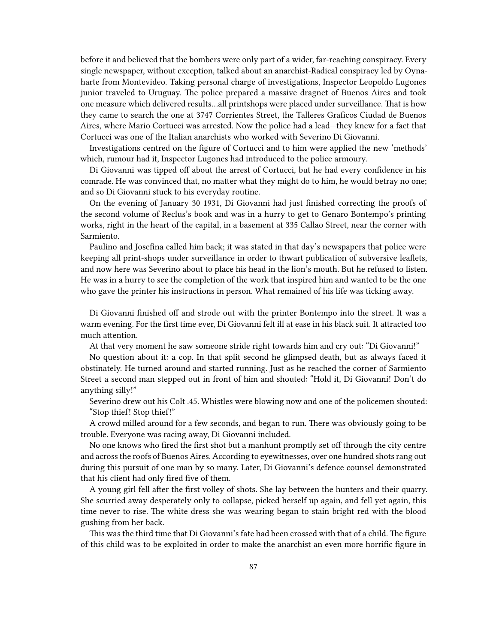before it and believed that the bombers were only part of a wider, far-reaching conspiracy. Every single newspaper, without exception, talked about an anarchist-Radical conspiracy led by Oynaharte from Montevideo. Taking personal charge of investigations, Inspector Leopoldo Lugones junior traveled to Uruguay. The police prepared a massive dragnet of Buenos Aires and took one measure which delivered results…all printshops were placed under surveillance. That is how they came to search the one at 3747 Corrientes Street, the Talleres Graficos Ciudad de Buenos Aires, where Mario Cortucci was arrested. Now the police had a lead—they knew for a fact that Cortucci was one of the Italian anarchists who worked with Severino Di Giovanni.

Investigations centred on the figure of Cortucci and to him were applied the new 'methods' which, rumour had it, Inspector Lugones had introduced to the police armoury.

Di Giovanni was tipped off about the arrest of Cortucci, but he had every confidence in his comrade. He was convinced that, no matter what they might do to him, he would betray no one; and so Di Giovanni stuck to his everyday routine.

On the evening of January 30 1931, Di Giovanni had just finished correcting the proofs of the second volume of Reclus's book and was in a hurry to get to Genaro Bontempo's printing works, right in the heart of the capital, in a basement at 335 Callao Street, near the corner with Sarmiento.

Paulino and Josefina called him back; it was stated in that day's newspapers that police were keeping all print-shops under surveillance in order to thwart publication of subversive leaflets, and now here was Severino about to place his head in the lion's mouth. But he refused to listen. He was in a hurry to see the completion of the work that inspired him and wanted to be the one who gave the printer his instructions in person. What remained of his life was ticking away.

Di Giovanni finished off and strode out with the printer Bontempo into the street. It was a warm evening. For the first time ever, Di Giovanni felt ill at ease in his black suit. It attracted too much attention.

At that very moment he saw someone stride right towards him and cry out: "Di Giovanni!"

No question about it: a cop. In that split second he glimpsed death, but as always faced it obstinately. He turned around and started running. Just as he reached the corner of Sarmiento Street a second man stepped out in front of him and shouted: "Hold it, Di Giovanni! Don't do anything silly!"

Severino drew out his Colt .45. Whistles were blowing now and one of the policemen shouted: "Stop thief! Stop thief!"

A crowd milled around for a few seconds, and began to run. There was obviously going to be trouble. Everyone was racing away, Di Giovanni included.

No one knows who fired the first shot but a manhunt promptly set off through the city centre and across the roofs of Buenos Aires. According to eyewitnesses, over one hundred shots rang out during this pursuit of one man by so many. Later, Di Giovanni's defence counsel demonstrated that his client had only fired five of them.

A young girl fell after the first volley of shots. She lay between the hunters and their quarry. She scurried away desperately only to collapse, picked herself up again, and fell yet again, this time never to rise. The white dress she was wearing began to stain bright red with the blood gushing from her back.

This was the third time that Di Giovanni's fate had been crossed with that of a child. The figure of this child was to be exploited in order to make the anarchist an even more horrific figure in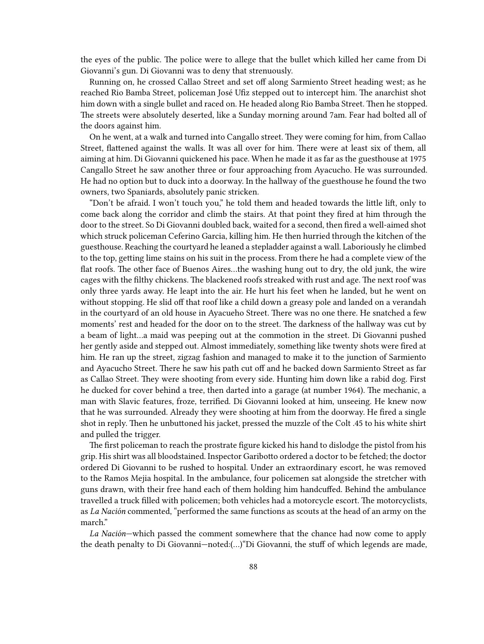the eyes of the public. The police were to allege that the bullet which killed her came from Di Giovanni's gun. Di Giovanni was to deny that strenuously.

Running on, he crossed Callao Street and set off along Sarmiento Street heading west; as he reached Rio Bamba Street, policeman José Ufiz stepped out to intercept him. The anarchist shot him down with a single bullet and raced on. He headed along Rio Bamba Street. Then he stopped. The streets were absolutely deserted, like a Sunday morning around 7am. Fear had bolted all of the doors against him.

On he went, at a walk and turned into Cangallo street. They were coming for him, from Callao Street, flattened against the walls. It was all over for him. There were at least six of them, all aiming at him. Di Giovanni quickened his pace. When he made it as far as the guesthouse at 1975 Cangallo Street he saw another three or four approaching from Ayacucho. He was surrounded. He had no option but to duck into a doorway. In the hallway of the guesthouse he found the two owners, two Spaniards, absolutely panic stricken.

"Don't be afraid. I won't touch you," he told them and headed towards the little lift, only to come back along the corridor and climb the stairs. At that point they fired at him through the door to the street. So Di Giovanni doubled back, waited for a second, then fired a well-aimed shot which struck policeman Ceferino Garcia, killing him. He then hurried through the kitchen of the guesthouse. Reaching the courtyard he leaned a stepladder against a wall. Laboriously he climbed to the top, getting lime stains on his suit in the process. From there he had a complete view of the flat roofs. The other face of Buenos Aires…the washing hung out to dry, the old junk, the wire cages with the filthy chickens. The blackened roofs streaked with rust and age. The next roof was only three yards away. He leapt into the air. He hurt his feet when he landed, but he went on without stopping. He slid off that roof like a child down a greasy pole and landed on a verandah in the courtyard of an old house in Ayacueho Street. There was no one there. He snatched a few moments' rest and headed for the door on to the street. The darkness of the hallway was cut by a beam of light…a maid was peeping out at the commotion in the street. Di Giovanni pushed her gently aside and stepped out. Almost immediately, something like twenty shots were fired at him. He ran up the street, zigzag fashion and managed to make it to the junction of Sarmiento and Ayacucho Street. There he saw his path cut off and he backed down Sarmiento Street as far as Callao Street. They were shooting from every side. Hunting him down like a rabid dog. First he ducked for cover behind a tree, then darted into a garage (at number 1964). The mechanic, a man with Slavic features, froze, terrified. Di Giovanni looked at him, unseeing. He knew now that he was surrounded. Already they were shooting at him from the doorway. He fired a single shot in reply. Then he unbuttoned his jacket, pressed the muzzle of the Colt .45 to his white shirt and pulled the trigger.

The first policeman to reach the prostrate figure kicked his hand to dislodge the pistol from his grip. His shirt was all bloodstained. Inspector Garibotto ordered a doctor to be fetched; the doctor ordered Di Giovanni to be rushed to hospital. Under an extraordinary escort, he was removed to the Ramos Mejia hospital. In the ambulance, four policemen sat alongside the stretcher with guns drawn, with their free hand each of them holding him handcuffed. Behind the ambulance travelled a truck filled with policemen; both vehicles had a motorcycle escort. The motorcyclists, as *La Nación* commented, "performed the same functions as scouts at the head of an army on the march."

*La Nación*—which passed the comment somewhere that the chance had now come to apply the death penalty to Di Giovanni—noted:(…)"Di Giovanni, the stuff of which legends are made,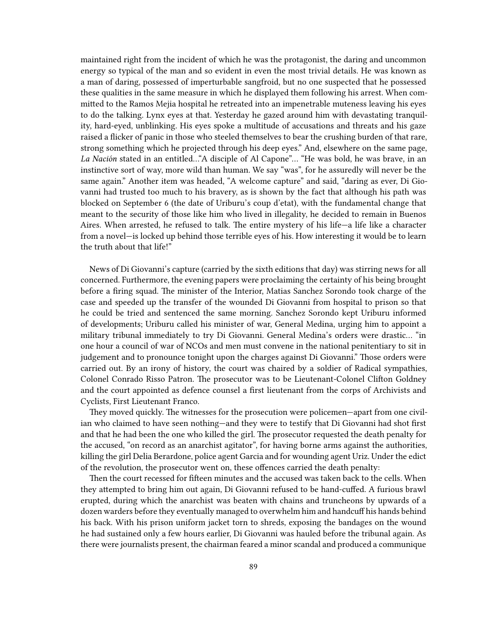maintained right from the incident of which he was the protagonist, the daring and uncommon energy so typical of the man and so evident in even the most trivial details. He was known as a man of daring, possessed of imperturbable sangfroid, but no one suspected that he possessed these qualities in the same measure in which he displayed them following his arrest. When committed to the Ramos Mejia hospital he retreated into an impenetrable muteness leaving his eyes to do the talking. Lynx eyes at that. Yesterday he gazed around him with devastating tranquility, hard-eyed, unblinking. His eyes spoke a multitude of accusations and threats and his gaze raised a flicker of panic in those who steeled themselves to bear the crushing burden of that rare, strong something which he projected through his deep eyes." And, elsewhere on the same page, *La Nación* stated in an entitled…"A disciple of Al Capone"… "He was bold, he was brave, in an instinctive sort of way, more wild than human. We say "was", for he assuredly will never be the same again." Another item was headed, "A welcome capture" and said, "daring as ever, Di Giovanni had trusted too much to his bravery, as is shown by the fact that although his path was blocked on September 6 (the date of Uriburu's coup d'etat), with the fundamental change that meant to the security of those like him who lived in illegality, he decided to remain in Buenos Aires. When arrested, he refused to talk. The entire mystery of his life—a life like a character from a novel—is locked up behind those terrible eyes of his. How interesting it would be to learn the truth about that life!"

News of Di Giovanni's capture (carried by the sixth editions that day) was stirring news for all concerned. Furthermore, the evening papers were proclaiming the certainty of his being brought before a firing squad. The minister of the Interior, Matias Sanchez Sorondo took charge of the case and speeded up the transfer of the wounded Di Giovanni from hospital to prison so that he could be tried and sentenced the same morning. Sanchez Sorondo kept Uriburu informed of developments; Uriburu called his minister of war, General Medina, urging him to appoint a military tribunal immediately to try Di Giovanni. General Medina's orders were drastic… "in one hour a council of war of NCOs and men must convene in the national penitentiary to sit in judgement and to pronounce tonight upon the charges against Di Giovanni." Those orders were carried out. By an irony of history, the court was chaired by a soldier of Radical sympathies, Colonel Conrado Risso Patron. The prosecutor was to be Lieutenant-Colonel Clifton Goldney and the court appointed as defence counsel a first lieutenant from the corps of Archivists and Cyclists, First Lieutenant Franco.

They moved quickly. The witnesses for the prosecution were policemen—apart from one civilian who claimed to have seen nothing—and they were to testify that Di Giovanni had shot first and that he had been the one who killed the girl. The prosecutor requested the death penalty for the accused, "on record as an anarchist agitator", for having borne arms against the authorities, killing the girl Delia Berardone, police agent Garcia and for wounding agent Uriz. Under the edict of the revolution, the prosecutor went on, these offences carried the death penalty:

Then the court recessed for fifteen minutes and the accused was taken back to the cells. When they attempted to bring him out again, Di Giovanni refused to be hand-cuffed. A furious brawl erupted, during which the anarchist was beaten with chains and truncheons by upwards of a dozen warders before they eventually managed to overwhelm him and handcuff his hands behind his back. With his prison uniform jacket torn to shreds, exposing the bandages on the wound he had sustained only a few hours earlier, Di Giovanni was hauled before the tribunal again. As there were journalists present, the chairman feared a minor scandal and produced a communique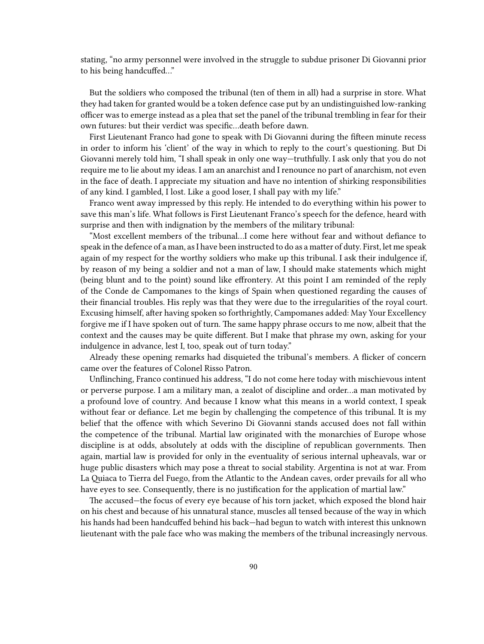stating, "no army personnel were involved in the struggle to subdue prisoner Di Giovanni prior to his being handcuffed…"

But the soldiers who composed the tribunal (ten of them in all) had a surprise in store. What they had taken for granted would be a token defence case put by an undistinguished low-ranking officer was to emerge instead as a plea that set the panel of the tribunal trembling in fear for their own futures: but their verdict was specific…death before dawn.

First Lieutenant Franco had gone to speak with Di Giovanni during the fifteen minute recess in order to inform his 'client' of the way in which to reply to the court's questioning. But Di Giovanni merely told him, "I shall speak in only one way—truthfully. I ask only that you do not require me to lie about my ideas. I am an anarchist and I renounce no part of anarchism, not even in the face of death. I appreciate my situation and have no intention of shirking responsibilities of any kind. I gambled, I lost. Like a good loser, I shall pay with my life."

Franco went away impressed by this reply. He intended to do everything within his power to save this man's life. What follows is First Lieutenant Franco's speech for the defence, heard with surprise and then with indignation by the members of the military tribunal:

"Most excellent members of the tribunal…I come here without fear and without defiance to speak in the defence of a man, as I have been instructed to do as a matter of duty. First, let me speak again of my respect for the worthy soldiers who make up this tribunal. I ask their indulgence if, by reason of my being a soldier and not a man of law, I should make statements which might (being blunt and to the point) sound like effrontery. At this point I am reminded of the reply of the Conde de Campomanes to the kings of Spain when questioned regarding the causes of their financial troubles. His reply was that they were due to the irregularities of the royal court. Excusing himself, after having spoken so forthrightly, Campomanes added: May Your Excellency forgive me if I have spoken out of turn. The same happy phrase occurs to me now, albeit that the context and the causes may be quite different. But I make that phrase my own, asking for your indulgence in advance, lest I, too, speak out of turn today."

Already these opening remarks had disquieted the tribunal's members. A flicker of concern came over the features of Colonel Risso Patron.

Unflinching, Franco continued his address, "I do not come here today with mischievous intent or perverse purpose. I am a military man, a zealot of discipline and order…a man motivated by a profound love of country. And because I know what this means in a world context, I speak without fear or defiance. Let me begin by challenging the competence of this tribunal. It is my belief that the offence with which Severino Di Giovanni stands accused does not fall within the competence of the tribunal. Martial law originated with the monarchies of Europe whose discipline is at odds, absolutely at odds with the discipline of republican governments. Then again, martial law is provided for only in the eventuality of serious internal upheavals, war or huge public disasters which may pose a threat to social stability. Argentina is not at war. From La Quiaca to Tierra del Fuego, from the Atlantic to the Andean caves, order prevails for all who have eyes to see. Consequently, there is no justification for the application of martial law."

The accused—the focus of every eye because of his torn jacket, which exposed the blond hair on his chest and because of his unnatural stance, muscles all tensed because of the way in which his hands had been handcuffed behind his back—had begun to watch with interest this unknown lieutenant with the pale face who was making the members of the tribunal increasingly nervous.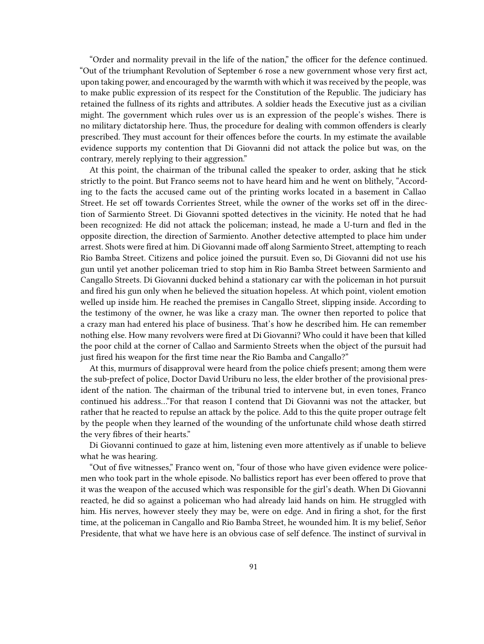"Order and normality prevail in the life of the nation," the officer for the defence continued. "Out of the triumphant Revolution of September 6 rose a new government whose very first act, upon taking power, and encouraged by the warmth with which it was received by the people, was to make public expression of its respect for the Constitution of the Republic. The judiciary has retained the fullness of its rights and attributes. A soldier heads the Executive just as a civilian might. The government which rules over us is an expression of the people's wishes. There is no military dictatorship here. Thus, the procedure for dealing with common offenders is clearly prescribed. They must account for their offences before the courts. In my estimate the available evidence supports my contention that Di Giovanni did not attack the police but was, on the contrary, merely replying to their aggression."

At this point, the chairman of the tribunal called the speaker to order, asking that he stick strictly to the point. But Franco seems not to have heard him and he went on blithely, "According to the facts the accused came out of the printing works located in a basement in Callao Street. He set off towards Corrientes Street, while the owner of the works set off in the direction of Sarmiento Street. Di Giovanni spotted detectives in the vicinity. He noted that he had been recognized: He did not attack the policeman; instead, he made a U-turn and fled in the opposite direction, the direction of Sarmiento. Another detective attempted to place him under arrest. Shots were fired at him. Di Giovanni made off along Sarmiento Street, attempting to reach Rio Bamba Street. Citizens and police joined the pursuit. Even so, Di Giovanni did not use his gun until yet another policeman tried to stop him in Rio Bamba Street between Sarmiento and Cangallo Streets. Di Giovanni ducked behind a stationary car with the policeman in hot pursuit and fired his gun only when he believed the situation hopeless. At which point, violent emotion welled up inside him. He reached the premises in Cangallo Street, slipping inside. According to the testimony of the owner, he was like a crazy man. The owner then reported to police that a crazy man had entered his place of business. That's how he described him. He can remember nothing else. How many revolvers were fired at Di Giovanni? Who could it have been that killed the poor child at the corner of Callao and Sarmiento Streets when the object of the pursuit had just fired his weapon for the first time near the Rio Bamba and Cangallo?"

At this, murmurs of disapproval were heard from the police chiefs present; among them were the sub-prefect of police, Doctor David Uriburu no less, the elder brother of the provisional president of the nation. The chairman of the tribunal tried to intervene but, in even tones, Franco continued his address…"For that reason I contend that Di Giovanni was not the attacker, but rather that he reacted to repulse an attack by the police. Add to this the quite proper outrage felt by the people when they learned of the wounding of the unfortunate child whose death stirred the very fibres of their hearts."

Di Giovanni continued to gaze at him, listening even more attentively as if unable to believe what he was hearing.

"Out of five witnesses," Franco went on, "four of those who have given evidence were policemen who took part in the whole episode. No ballistics report has ever been offered to prove that it was the weapon of the accused which was responsible for the girl's death. When Di Giovanni reacted, he did so against a policeman who had already laid hands on him. He struggled with him. His nerves, however steely they may be, were on edge. And in firing a shot, for the first time, at the policeman in Cangallo and Rio Bamba Street, he wounded him. It is my belief, Señor Presidente, that what we have here is an obvious case of self defence. The instinct of survival in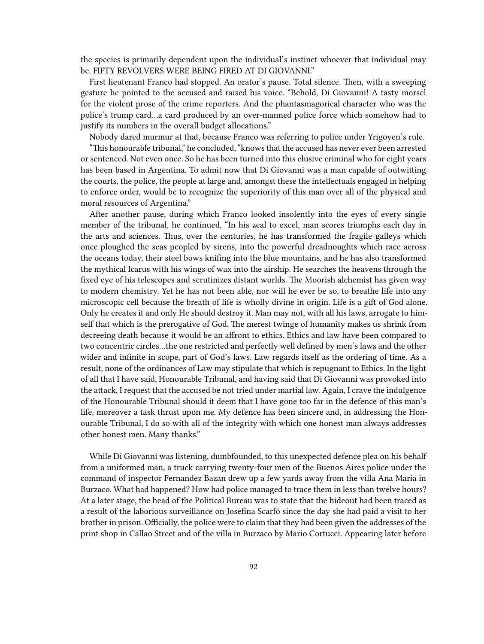the species is primarily dependent upon the individual's instinct whoever that individual may be. FIFTY REVOLVERS WERE BEING FIRED AT DI GIOVANNI."

First lieutenant Franco had stopped. An orator's pause. Total silence. Then, with a sweeping gesture he pointed to the accused and raised his voice. "Behold, Di Giovanni! A tasty morsel for the violent prose of the crime reporters. And the phantasmagorical character who was the police's trump card…a card produced by an over-manned police force which somehow had to justify its numbers in the overall budget allocations."

Nobody dared murmur at that, because Franco was referring to police under Yrigoyen's rule.

"This honourable tribunal," he concluded, "knows that the accused has never ever been arrested or sentenced. Not even once. So he has been turned into this elusive criminal who for eight years has been based in Argentina. To admit now that Di Giovanni was a man capable of outwitting the courts, the police, the people at large and, amongst these the intellectuals engaged in helping to enforce order, would be to recognize the superiority of this man over all of the physical and moral resources of Argentina."

After another pause, during which Franco looked insolently into the eyes of every single member of the tribunal, he continued, "In his zeal to excel, man scores triumphs each day in the arts and sciences. Thus, over the centuries, he has transformed the fragile galleys which once ploughed the seas peopled by sirens, into the powerful dreadnoughts which race across the oceans today, their steel bows knifing into the blue mountains, and he has also transformed the mythical Icarus with his wings of wax into the airship. He searches the heavens through the fixed eye of his telescopes and scrutinizes distant worlds. The Moorish alchemist has given way to modern chemistry. Yet he has not been able, nor will he ever be so, to breathe life into any microscopic cell because the breath of life is wholly divine in origin. Life is a gift of God alone. Only he creates it and only He should destroy it. Man may not, with all his laws, arrogate to himself that which is the prerogative of God. The merest twinge of humanity makes us shrink from decreeing death because it would be an affront to ethics. Ethics and law have been compared to two concentric circles…the one restricted and perfectly well defined by men's laws and the other wider and infinite in scope, part of God's laws. Law regards itself as the ordering of time. As a result, none of the ordinances of Law may stipulate that which is repugnant to Ethics. In the light of all that I have said, Honourable Tribunal, and having said that Di Giovanni was provoked into the attack, I request that the accused be not tried under martial law. Again, I crave the indulgence of the Honourable Tribunal should it deem that I have gone too far in the defence of this man's life, moreover a task thrust upon me. My defence has been sincere and, in addressing the Honourable Tribunal, I do so with all of the integrity with which one honest man always addresses other honest men. Many thanks."

While Di Giovanni was listening, dumbfounded, to this unexpected defence plea on his behalf from a uniformed man, a truck carrying twenty-four men of the Buenos Aires police under the command of inspector Fernandez Bazan drew up a few yards away from the villa Ana Maria in Burzaco. What had happened? How had police managed to trace them in less than twelve hours? At a later stage, the head of the Political Bureau was to state that the hideout had been traced as a result of the laborious surveillance on Josefina Scarfó since the day she had paid a visit to her brother in prison. Officially, the police were to claim that they had been given the addresses of the print shop in Callao Street and of the villa in Burzaco by Mario Cortucci. Appearing later before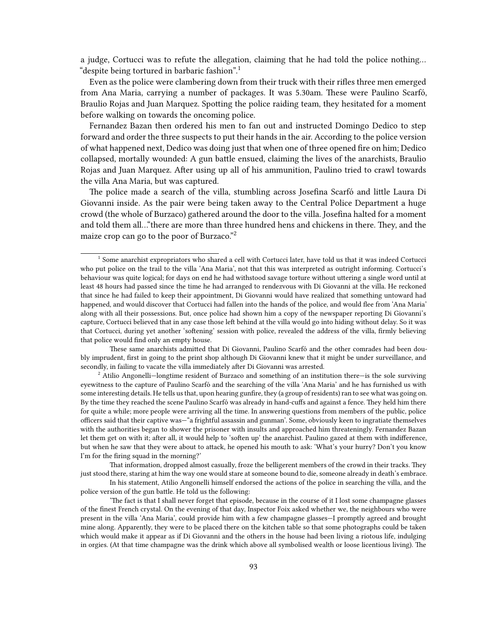a judge, Cortucci was to refute the allegation, claiming that he had told the police nothing… "despite being tortured in barbaric fashion".<sup>1</sup>

Even as the police were clambering down from their truck with their rifles three men emerged from Ana Maria, carrying a number of packages. It was 5.30am. These were Paulino Scarfó, Braulio Rojas and Juan Marquez. Spotting the police raiding team, they hesitated for a moment before walking on towards the oncoming police.

Fernandez Bazan then ordered his men to fan out and instructed Domingo Dedico to step forward and order the three suspects to put their hands in the air. According to the police version of what happened next, Dedico was doing just that when one of three opened fire on him; Dedico collapsed, mortally wounded: A gun battle ensued, claiming the lives of the anarchists, Braulio Rojas and Juan Marquez. After using up all of his ammunition, Paulino tried to crawl towards the villa Ana Maria, but was captured.

The police made a search of the villa, stumbling across Josefina Scarfó and little Laura Di Giovanni inside. As the pair were being taken away to the Central Police Department a huge crowd (the whole of Burzaco) gathered around the door to the villa. Josefina halted for a moment and told them all…"there are more than three hundred hens and chickens in there. They, and the maize crop can go to the poor of Burzaco."<sup>2</sup>

<sup>&</sup>lt;sup>1</sup> Some anarchist expropriators who shared a cell with Cortucci later, have told us that it was indeed Cortucci who put police on the trail to the villa 'Ana Maria', not that this was interpreted as outright informing. Cortucci's behaviour was quite logical; for days on end he had withstood savage torture without uttering a single word until at least 48 hours had passed since the time he had arranged to rendezvous with Di Giovanni at the villa. He reckoned that since he had failed to keep their appointment, Di Giovanni would have realized that something untoward had happened, and would discover that Cortucci had fallen into the hands of the police, and would flee from 'Ana Maria' along with all their possessions. But, once police had shown him a copy of the newspaper reporting Di Giovanni's capture, Cortucci believed that in any case those left behind at the villa would go into hiding without delay. So it was that Cortucci, during yet another 'softening' session with police, revealed the address of the villa, firmly believing that police would find only an empty house.

These same anarchists admitted that Di Giovanni, Paulino Scarfó and the other comrades had been doubly imprudent, first in going to the print shop although Di Giovanni knew that it might be under surveillance, and secondly, in failing to vacate the villa immediately after Di Giovanni was arrested.

 $2$  Atilio Angonelli—longtime resident of Burzaco and something of an institution there—is the sole surviving eyewitness to the capture of Paulino Scarfó and the searching of the villa 'Ana Maria' and he has furnished us with some interesting details. He tells us that, upon hearing gunfire, they (a group of residents) ran to see what was going on. By the time they reached the scene Paulino Scarfó was already in hand-cuffs and against a fence. They held him there for quite a while; more people were arriving all the time. In answering questions from members of the public, police officers said that their captive was—"a frightful assassin and gunman'. Some, obviously keen to ingratiate themselves with the authorities began to shower the prisoner with insults and approached him threateningly. Fernandez Bazan let them get on with it; after all, it would help to 'soften up' the anarchist. Paulino gazed at them with indifference, but when he saw that they were about to attack, he opened his mouth to ask: 'What's your hurry? Don't you know I'm for the firing squad in the morning?'

That information, dropped almost casually, froze the belligerent members of the crowd in their tracks. They just stood there, staring at him the way one would stare at someone bound to die, someone already in death's embrace.

In his statement, Atilio Angonelli himself endorsed the actions of the police in searching the villa, and the police version of the gun battle. He told us the following:

<sup>&#</sup>x27;The fact is that I shall never forget that episode, because in the course of it I lost some champagne glasses of the finest French crystal. On the evening of that day, Inspector Foix asked whether we, the neighbours who were present in the villa 'Ana Maria', could provide him with a few champagne glasses—I promptly agreed and brought mine along. Apparently, they were to be placed there on the kitchen table so that some photographs could be taken which would make it appear as if Di Giovanni and the others in the house had been living a riotous life, indulging in orgies. (At that time champagne was the drink which above all symbolised wealth or loose licentious living). The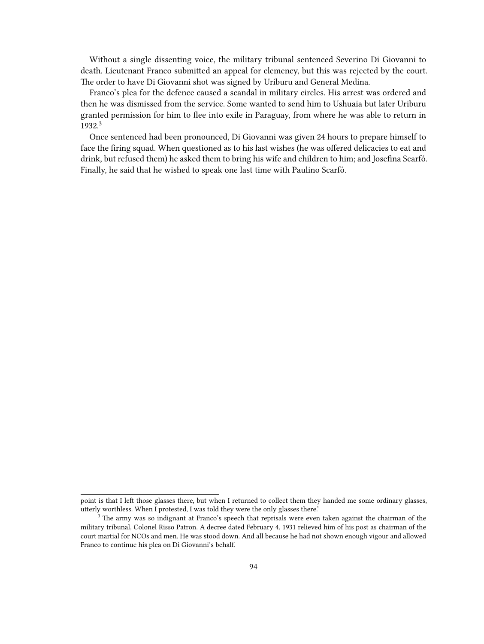Without a single dissenting voice, the military tribunal sentenced Severino Di Giovanni to death. Lieutenant Franco submitted an appeal for clemency, but this was rejected by the court. The order to have Di Giovanni shot was signed by Uriburu and General Medina.

Franco's plea for the defence caused a scandal in military circles. His arrest was ordered and then he was dismissed from the service. Some wanted to send him to Ushuaia but later Uriburu granted permission for him to flee into exile in Paraguay, from where he was able to return in 1932.<sup>3</sup>

Once sentenced had been pronounced, Di Giovanni was given 24 hours to prepare himself to face the firing squad. When questioned as to his last wishes (he was offered delicacies to eat and drink, but refused them) he asked them to bring his wife and children to him; and Josefina Scarfó. Finally, he said that he wished to speak one last time with Paulino Scarfó.

point is that I left those glasses there, but when I returned to collect them they handed me some ordinary glasses, utterly worthless. When I protested, I was told they were the only glasses there.'

<sup>&</sup>lt;sup>3</sup> The army was so indignant at Franco's speech that reprisals were even taken against the chairman of the military tribunal, Colonel Risso Patron. A decree dated February 4, 1931 relieved him of his post as chairman of the court martial for NCOs and men. He was stood down. And all because he had not shown enough vigour and allowed Franco to continue his plea on Di Giovanni's behalf.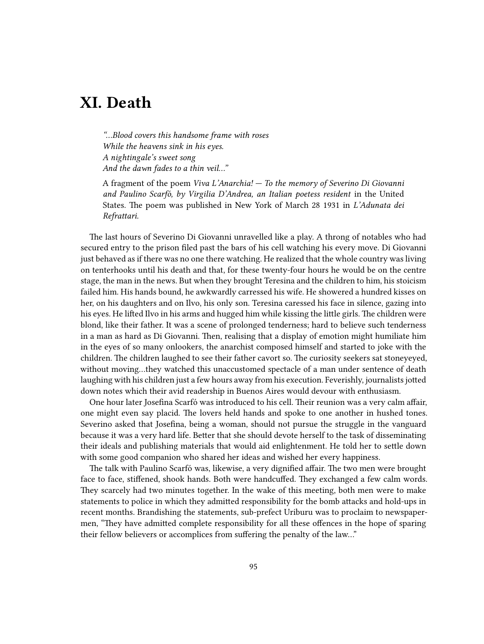## **XI. Death**

*"…Blood covers this handsome frame with roses While the heavens sink in his eyes. A nightingale's sweet song And the dawn fades to a thin veil…"*

A fragment of the poem *Viva L'Anarchia! — To the memory of Severino Di Giovanni and Paulino Scarfó, by Virgilia D'Andrea, an Italian poetess resident* in the United States. The poem was published in New York of March 28 1931 in *L'Adunata dei Refrattari.*

The last hours of Severino Di Giovanni unravelled like a play. A throng of notables who had secured entry to the prison filed past the bars of his cell watching his every move. Di Giovanni just behaved as if there was no one there watching. He realized that the whole country was living on tenterhooks until his death and that, for these twenty-four hours he would be on the centre stage, the man in the news. But when they brought Teresina and the children to him, his stoicism failed him. His hands bound, he awkwardly carressed his wife. He showered a hundred kisses on her, on his daughters and on Ilvo, his only son. Teresina caressed his face in silence, gazing into his eyes. He lifted Ilvo in his arms and hugged him while kissing the little girls. The children were blond, like their father. It was a scene of prolonged tenderness; hard to believe such tenderness in a man as hard as Di Giovanni. Then, realising that a display of emotion might humiliate him in the eyes of so many onlookers, the anarchist composed himself and started to joke with the children. The children laughed to see their father cavort so. The curiosity seekers sat stoneyeyed, without moving…they watched this unaccustomed spectacle of a man under sentence of death laughing with his children just a few hours away from his execution. Feverishly, journalists jotted down notes which their avid readership in Buenos Aires would devour with enthusiasm.

One hour later Josefina Scarfó was introduced to his cell. Their reunion was a very calm affair, one might even say placid. The lovers held hands and spoke to one another in hushed tones. Severino asked that Josefina, being a woman, should not pursue the struggle in the vanguard because it was a very hard life. Better that she should devote herself to the task of disseminating their ideals and publishing materials that would aid enlightenment. He told her to settle down with some good companion who shared her ideas and wished her every happiness.

The talk with Paulino Scarfó was, likewise, a very dignified affair. The two men were brought face to face, stiffened, shook hands. Both were handcuffed. They exchanged a few calm words. They scarcely had two minutes together. In the wake of this meeting, both men were to make statements to police in which they admitted responsibility for the bomb attacks and hold-ups in recent months. Brandishing the statements, sub-prefect Uriburu was to proclaim to newspapermen, "They have admitted complete responsibility for all these offences in the hope of sparing their fellow believers or accomplices from suffering the penalty of the law…"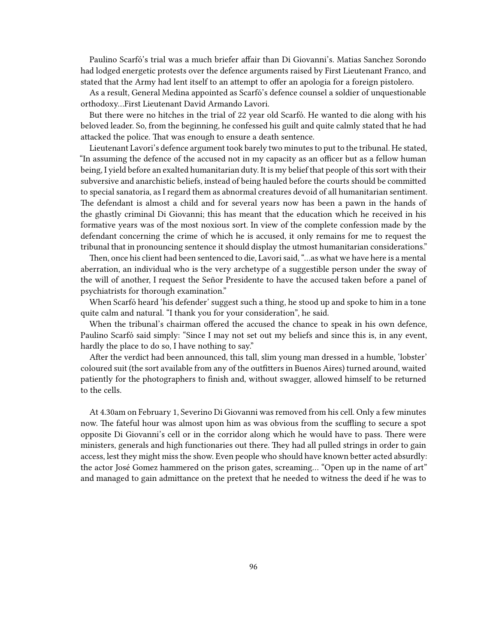Paulino Scarfó's trial was a much briefer affair than Di Giovanni's. Matias Sanchez Sorondo had lodged energetic protests over the defence arguments raised by First Lieutenant Franco, and stated that the Army had lent itself to an attempt to offer an apologia for a foreign pistolero.

As a result, General Medina appointed as Scarfó's defence counsel a soldier of unquestionable orthodoxy…First Lieutenant David Armando Lavori.

But there were no hitches in the trial of 22 year old Scarfó. He wanted to die along with his beloved leader. So, from the beginning, he confessed his guilt and quite calmly stated that he had attacked the police. That was enough to ensure a death sentence.

Lieutenant Lavori's defence argument took barely two minutes to put to the tribunal. He stated, "In assuming the defence of the accused not in my capacity as an officer but as a fellow human being, I yield before an exalted humanitarian duty. It is my belief that people of this sort with their subversive and anarchistic beliefs, instead of being hauled before the courts should be committed to special sanatoria, as I regard them as abnormal creatures devoid of all humanitarian sentiment. The defendant is almost a child and for several years now has been a pawn in the hands of the ghastly criminal Di Giovanni; this has meant that the education which he received in his formative years was of the most noxious sort. In view of the complete confession made by the defendant concerning the crime of which he is accused, it only remains for me to request the tribunal that in pronouncing sentence it should display the utmost humanitarian considerations."

Then, once his client had been sentenced to die, Lavori said, "…as what we have here is a mental aberration, an individual who is the very archetype of a suggestible person under the sway of the will of another, I request the Señor Presidente to have the accused taken before a panel of psychiatrists for thorough examination."

When Scarfó heard 'his defender' suggest such a thing, he stood up and spoke to him in a tone quite calm and natural. "I thank you for your consideration", he said.

When the tribunal's chairman offered the accused the chance to speak in his own defence, Paulino Scarfó said simply: "Since I may not set out my beliefs and since this is, in any event, hardly the place to do so, I have nothing to say."

After the verdict had been announced, this tall, slim young man dressed in a humble, 'lobster' coloured suit (the sort available from any of the outfitters in Buenos Aires) turned around, waited patiently for the photographers to finish and, without swagger, allowed himself to be returned to the cells.

At 4.30am on February 1, Severino Di Giovanni was removed from his cell. Only a few minutes now. The fateful hour was almost upon him as was obvious from the scuffling to secure a spot opposite Di Giovanni's cell or in the corridor along which he would have to pass. There were ministers, generals and high functionaries out there. They had all pulled strings in order to gain access, lest they might miss the show. Even people who should have known better acted absurdly: the actor José Gomez hammered on the prison gates, screaming… "Open up in the name of art" and managed to gain admittance on the pretext that he needed to witness the deed if he was to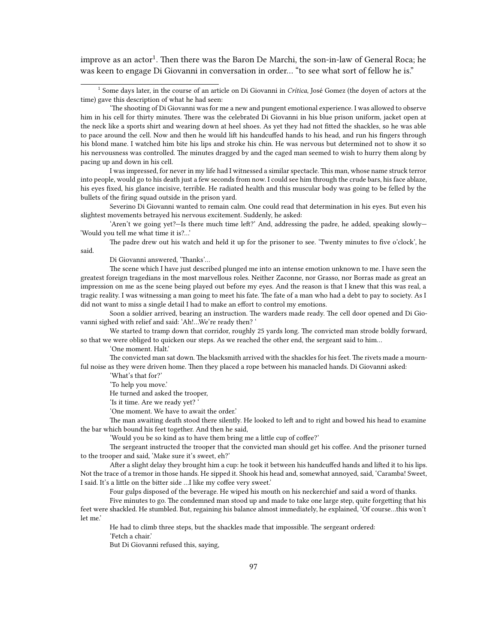improve as an actor<sup>1</sup>. Then there was the Baron De Marchi, the son-in-law of General Roca; he was keen to engage Di Giovanni in conversation in order… "to see what sort of fellow he is."

'The shooting of Di Giovanni was for me a new and pungent emotional experience. I was allowed to observe him in his cell for thirty minutes. There was the celebrated Di Giovanni in his blue prison uniform, jacket open at the neck like a sports shirt and wearing down at heel shoes. As yet they had not fitted the shackles, so he was able to pace around the cell. Now and then he would lift his handcuffed hands to his head, and run his fingers through his blond mane. I watched him bite his lips and stroke his chin. He was nervous but determined not to show it so his nervousness was controlled. The minutes dragged by and the caged man seemed to wish to hurry them along by pacing up and down in his cell.

I was impressed, for never in my life had I witnessed a similar spectacle. This man, whose name struck terror into people, would go to his death just a few seconds from now. I could see him through the crude bars, his face ablaze, his eyes fixed, his glance incisive, terrible. He radiated health and this muscular body was going to be felled by the bullets of the firing squad outside in the prison yard.

Severino Di Giovanni wanted to remain calm. One could read that determination in his eyes. But even his slightest movements betrayed his nervous excitement. Suddenly, he asked:

'Aren't we going yet?—Is there much time left?' And, addressing the padre, he added, speaking slowly— 'Would you tell me what time it is?…'

The padre drew out his watch and held it up for the prisoner to see. 'Twenty minutes to five o'clock', he said.

Di Giovanni answered, 'Thanks'…

The scene which I have just described plunged me into an intense emotion unknown to me. I have seen the greatest foreign tragedians in the most marvellous roles. Neither Zaconne, nor Grasso, nor Borras made as great an impression on me as the scene being played out before my eyes. And the reason is that I knew that this was real, a tragic reality. I was witnessing a man going to meet his fate. The fate of a man who had a debt to pay to society. As I did not want to miss a single detail I had to make an effort to control my emotions.

Soon a soldier arrived, bearing an instruction. The warders made ready. The cell door opened and Di Giovanni sighed with relief and said: 'Ah!…We're ready then? '

We started to tramp down that corridor, roughly 25 yards long. The convicted man strode boldly forward, so that we were obliged to quicken our steps. As we reached the other end, the sergeant said to him…

'One moment. Halt.'

The convicted man sat down. The blacksmith arrived with the shackles for his feet. The rivets made a mournful noise as they were driven home. Then they placed a rope between his manacled hands. Di Giovanni asked:

'What's that for?'

'To help you move.'

He turned and asked the trooper,

'Is it time. Are we ready yet? '

'One moment. We have to await the order.'

The man awaiting death stood there silently. He looked to left and to right and bowed his head to examine the bar which bound his feet together. And then he said,

'Would you be so kind as to have them bring me a little cup of coffee?'

The sergeant instructed the trooper that the convicted man should get his coffee. And the prisoner turned to the trooper and said, 'Make sure it's sweet, eh?'

After a slight delay they brought him a cup: he took it between his handcuffed hands and lifted it to his lips. Not the trace of a tremor in those hands. He sipped it. Shook his head and, somewhat annoyed, said, 'Caramba! Sweet, I said. It's a little on the bitter side …I like my coffee very sweet.'

Four gulps disposed of the beverage. He wiped his mouth on his neckerchief and said a word of thanks.

Five minutes to go. The condemned man stood up and made to take one large step, quite forgetting that his feet were shackled. He stumbled. But, regaining his balance almost immediately, he explained, 'Of course…this won't let me.'

He had to climb three steps, but the shackles made that impossible. The sergeant ordered:

'Fetch a chair.'

But Di Giovanni refused this, saying,

<sup>&</sup>lt;sup>1</sup> Some days later, in the course of an article on Di Giovanni in *Crítica*, José Gomez (the doyen of actors at the time) gave this description of what he had seen: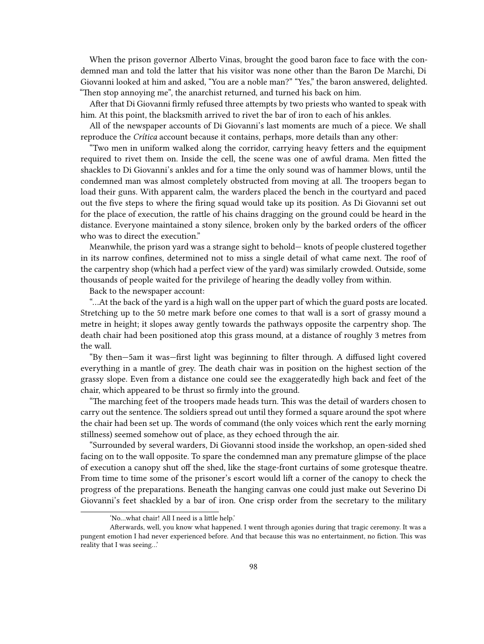When the prison governor Alberto Vinas, brought the good baron face to face with the condemned man and told the latter that his visitor was none other than the Baron De Marchi, Di Giovanni looked at him and asked, "You are a noble man?" "Yes," the baron answered, delighted. "Then stop annoying me", the anarchist returned, and turned his back on him.

After that Di Giovanni firmly refused three attempts by two priests who wanted to speak with him. At this point, the blacksmith arrived to rivet the bar of iron to each of his ankles.

All of the newspaper accounts of Di Giovanni's last moments are much of a piece. We shall reproduce the *Crítica* account because it contains, perhaps, more details than any other:

"Two men in uniform walked along the corridor, carrying heavy fetters and the equipment required to rivet them on. Inside the cell, the scene was one of awful drama. Men fitted the shackles to Di Giovanni's ankles and for a time the only sound was of hammer blows, until the condemned man was almost completely obstructed from moving at all. The troopers began to load their guns. With apparent calm, the warders placed the bench in the courtyard and paced out the five steps to where the firing squad would take up its position. As Di Giovanni set out for the place of execution, the rattle of his chains dragging on the ground could be heard in the distance. Everyone maintained a stony silence, broken only by the barked orders of the officer who was to direct the execution."

Meanwhile, the prison yard was a strange sight to behold— knots of people clustered together in its narrow confines, determined not to miss a single detail of what came next. The roof of the carpentry shop (which had a perfect view of the yard) was similarly crowded. Outside, some thousands of people waited for the privilege of hearing the deadly volley from within.

Back to the newspaper account:

"…At the back of the yard is a high wall on the upper part of which the guard posts are located. Stretching up to the 50 metre mark before one comes to that wall is a sort of grassy mound a metre in height; it slopes away gently towards the pathways opposite the carpentry shop. The death chair had been positioned atop this grass mound, at a distance of roughly 3 metres from the wall.

"By then—5am it was—first light was beginning to filter through. A diffused light covered everything in a mantle of grey. The death chair was in position on the highest section of the grassy slope. Even from a distance one could see the exaggeratedly high back and feet of the chair, which appeared to be thrust so firmly into the ground.

"The marching feet of the troopers made heads turn. This was the detail of warders chosen to carry out the sentence. The soldiers spread out until they formed a square around the spot where the chair had been set up. The words of command (the only voices which rent the early morning stillness) seemed somehow out of place, as they echoed through the air.

"Surrounded by several warders, Di Giovanni stood inside the workshop, an open-sided shed facing on to the wall opposite. To spare the condemned man any premature glimpse of the place of execution a canopy shut off the shed, like the stage-front curtains of some grotesque theatre. From time to time some of the prisoner's escort would lift a corner of the canopy to check the progress of the preparations. Beneath the hanging canvas one could just make out Severino Di Giovanni's feet shackled by a bar of iron. One crisp order from the secretary to the military

<sup>&#</sup>x27;No…what chair! All I need is a little help.'

Afterwards, well, you know what happened. I went through agonies during that tragic ceremony. It was a pungent emotion I had never experienced before. And that because this was no entertainment, no fiction. This was reality that I was seeing…'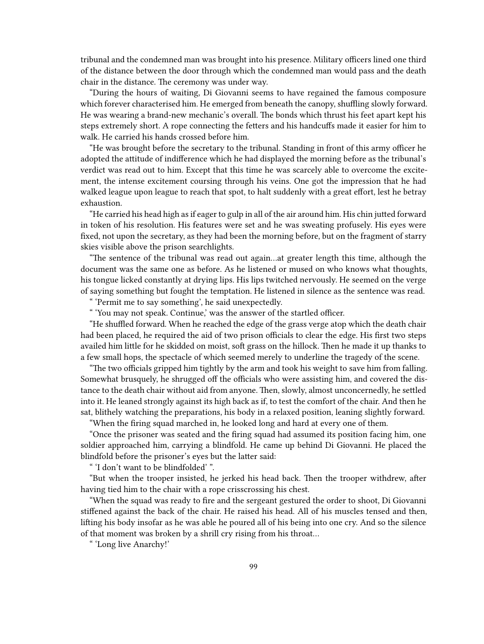tribunal and the condemned man was brought into his presence. Military officers lined one third of the distance between the door through which the condemned man would pass and the death chair in the distance. The ceremony was under way.

"During the hours of waiting, Di Giovanni seems to have regained the famous composure which forever characterised him. He emerged from beneath the canopy, shuffling slowly forward. He was wearing a brand-new mechanic's overall. The bonds which thrust his feet apart kept his steps extremely short. A rope connecting the fetters and his handcuffs made it easier for him to walk. He carried his hands crossed before him.

"He was brought before the secretary to the tribunal. Standing in front of this army officer he adopted the attitude of indifference which he had displayed the morning before as the tribunal's verdict was read out to him. Except that this time he was scarcely able to overcome the excitement, the intense excitement coursing through his veins. One got the impression that he had walked league upon league to reach that spot, to halt suddenly with a great effort, lest he betray exhaustion.

"He carried his head high as if eager to gulp in all of the air around him. His chin jutted forward in token of his resolution. His features were set and he was sweating profusely. His eyes were fixed, not upon the secretary, as they had been the morning before, but on the fragment of starry skies visible above the prison searchlights.

"The sentence of the tribunal was read out again…at greater length this time, although the document was the same one as before. As he listened or mused on who knows what thoughts, his tongue licked constantly at drying lips. His lips twitched nervously. He seemed on the verge of saying something but fought the temptation. He listened in silence as the sentence was read.

" 'Permit me to say something', he said unexpectedly.

" 'You may not speak. Continue,' was the answer of the startled officer.

"He shuffled forward. When he reached the edge of the grass verge atop which the death chair had been placed, he required the aid of two prison officials to clear the edge. His first two steps availed him little for he skidded on moist, soft grass on the hillock. Then he made it up thanks to a few small hops, the spectacle of which seemed merely to underline the tragedy of the scene.

"The two officials gripped him tightly by the arm and took his weight to save him from falling. Somewhat brusquely, he shrugged off the officials who were assisting him, and covered the distance to the death chair without aid from anyone. Then, slowly, almost unconcernedly, he settled into it. He leaned strongly against its high back as if, to test the comfort of the chair. And then he sat, blithely watching the preparations, his body in a relaxed position, leaning slightly forward. "When the firing squad marched in, he looked long and hard at every one of them.

"Once the prisoner was seated and the firing squad had assumed its position facing him, one soldier approached him, carrying a blindfold. He came up behind Di Giovanni. He placed the blindfold before the prisoner's eyes but the latter said:

" 'I don't want to be blindfolded' ".

"But when the trooper insisted, he jerked his head back. Then the trooper withdrew, after having tied him to the chair with a rope crisscrossing his chest.

"When the squad was ready to fire and the sergeant gestured the order to shoot, Di Giovanni stiffened against the back of the chair. He raised his head. All of his muscles tensed and then, lifting his body insofar as he was able he poured all of his being into one cry. And so the silence of that moment was broken by a shrill cry rising from his throat…

" 'Long live Anarchy!'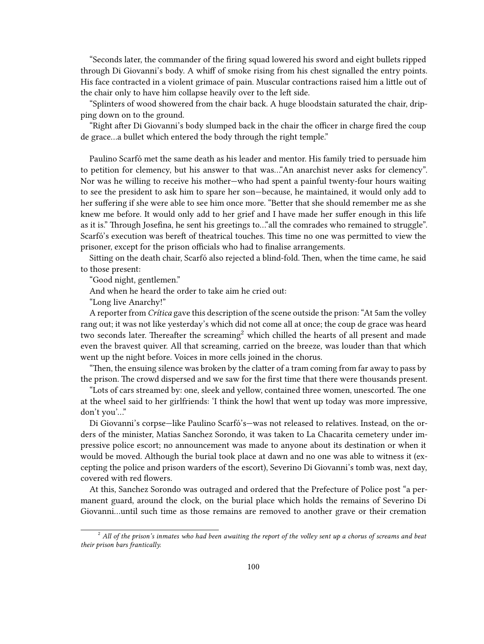"Seconds later, the commander of the firing squad lowered his sword and eight bullets ripped through Di Giovanni's body. A whiff of smoke rising from his chest signalled the entry points. His face contracted in a violent grimace of pain. Muscular contractions raised him a little out of the chair only to have him collapse heavily over to the left side.

"Splinters of wood showered from the chair back. A huge bloodstain saturated the chair, dripping down on to the ground.

"Right after Di Giovanni's body slumped back in the chair the officer in charge fired the coup de grace…a bullet which entered the body through the right temple."

Paulino Scarfó met the same death as his leader and mentor. His family tried to persuade him to petition for clemency, but his answer to that was…"An anarchist never asks for clemency". Nor was he willing to receive his mother—who had spent a painful twenty-four hours waiting to see the president to ask him to spare her son—because, he maintained, it would only add to her suffering if she were able to see him once more. "Better that she should remember me as she knew me before. It would only add to her grief and I have made her suffer enough in this life as it is." Through Josefina, he sent his greetings to…"all the comrades who remained to struggle". Scarfó's execution was bereft of theatrical touches. This time no one was permitted to view the prisoner, except for the prison officials who had to finalise arrangements.

Sitting on the death chair, Scarfó also rejected a blind-fold. Then, when the time came, he said to those present:

"Good night, gentlemen."

And when he heard the order to take aim he cried out:

"Long live Anarchy!"

A reporter from *Crítica* gave this description of the scene outside the prison: "At 5am the volley rang out; it was not like yesterday's which did not come all at once; the coup de grace was heard two seconds later. Thereafter the screaming<sup>2</sup> which chilled the hearts of all present and made even the bravest quiver. All that screaming, carried on the breeze, was louder than that which went up the night before. Voices in more cells joined in the chorus.

"Then, the ensuing silence was broken by the clatter of a tram coming from far away to pass by the prison. The crowd dispersed and we saw for the first time that there were thousands present.

"Lots of cars streamed by: one, sleek and yellow, contained three women, unescorted. The one at the wheel said to her girlfriends: 'I think the howl that went up today was more impressive, don't you'…"

Di Giovanni's corpse—like Paulino Scarfó's—was not released to relatives. Instead, on the orders of the minister, Matias Sanchez Sorondo, it was taken to La Chacarita cemetery under impressive police escort; no announcement was made to anyone about its destination or when it would be moved. Although the burial took place at dawn and no one was able to witness it (excepting the police and prison warders of the escort), Severino Di Giovanni's tomb was, next day, covered with red flowers.

At this, Sanchez Sorondo was outraged and ordered that the Prefecture of Police post "a permanent guard, around the clock, on the burial place which holds the remains of Severino Di Giovanni…until such time as those remains are removed to another grave or their cremation

<sup>2</sup> *All of the prison's inmates who had been awaiting the report of the volley sent up a chorus of screams and beat their prison bars frantically.*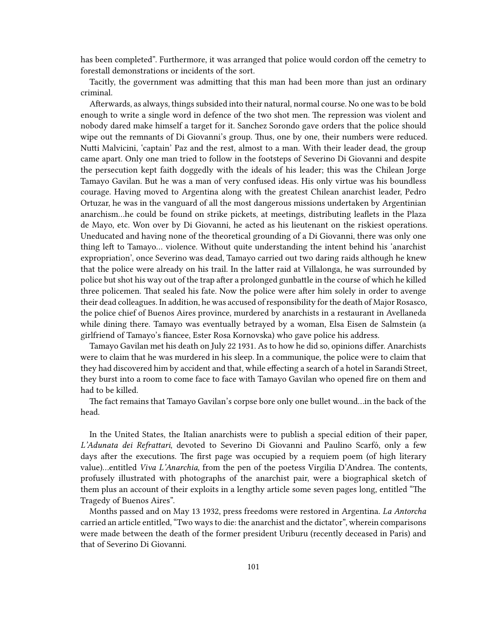has been completed". Furthermore, it was arranged that police would cordon off the cemetry to forestall demonstrations or incidents of the sort.

Tacitly, the government was admitting that this man had been more than just an ordinary criminal.

Afterwards, as always, things subsided into their natural, normal course. No one was to be bold enough to write a single word in defence of the two shot men. The repression was violent and nobody dared make himself a target for it. Sanchez Sorondo gave orders that the police should wipe out the remnants of Di Giovanni's group. Thus, one by one, their numbers were reduced. Nutti Malvicini, 'captain' Paz and the rest, almost to a man. With their leader dead, the group came apart. Only one man tried to follow in the footsteps of Severino Di Giovanni and despite the persecution kept faith doggedly with the ideals of his leader; this was the Chilean Jorge Tamayo Gavilan. But he was a man of very confused ideas. His only virtue was his boundless courage. Having moved to Argentina along with the greatest Chilean anarchist leader, Pedro Ortuzar, he was in the vanguard of all the most dangerous missions undertaken by Argentinian anarchism…he could be found on strike pickets, at meetings, distributing leaflets in the Plaza de Mayo, etc. Won over by Di Giovanni, he acted as his lieutenant on the riskiest operations. Uneducated and having none of the theoretical grounding of a Di Giovanni, there was only one thing left to Tamayo… violence. Without quite understanding the intent behind his 'anarchist expropriation', once Severino was dead, Tamayo carried out two daring raids although he knew that the police were already on his trail. In the latter raid at Villalonga, he was surrounded by police but shot his way out of the trap after a prolonged gunbattle in the course of which he killed three policemen. That sealed his fate. Now the police were after him solely in order to avenge their dead colleagues. In addition, he was accused of responsibility for the death of Major Rosasco, the police chief of Buenos Aires province, murdered by anarchists in a restaurant in Avellaneda while dining there. Tamayo was eventually betrayed by a woman, Elsa Eisen de Salmstein (a girlfriend of Tamayo's fiancee, Ester Rosa Kornovska) who gave police his address.

Tamayo Gavilan met his death on July 22 1931. As to how he did so, opinions differ. Anarchists were to claim that he was murdered in his sleep. In a communique, the police were to claim that they had discovered him by accident and that, while effecting a search of a hotel in Sarandi Street, they burst into a room to come face to face with Tamayo Gavilan who opened fire on them and had to be killed.

The fact remains that Tamayo Gavilan's corpse bore only one bullet wound…in the back of the head.

In the United States, the Italian anarchists were to publish a special edition of their paper, *L'Adunata dei Refrattari*, devoted to Severino Di Giovanni and Paulino Scarfó, only a few days after the executions. The first page was occupied by a requiem poem (of high literary value)…entitled *Viva L'Anarchia*, from the pen of the poetess Virgilia D'Andrea. The contents, profusely illustrated with photographs of the anarchist pair, were a biographical sketch of them plus an account of their exploits in a lengthy article some seven pages long, entitled "The Tragedy of Buenos Aires".

Months passed and on May 13 1932, press freedoms were restored in Argentina. *La Antorcha* carried an article entitled, "Two ways to die: the anarchist and the dictator", wherein comparisons were made between the death of the former president Uriburu (recently deceased in Paris) and that of Severino Di Giovanni.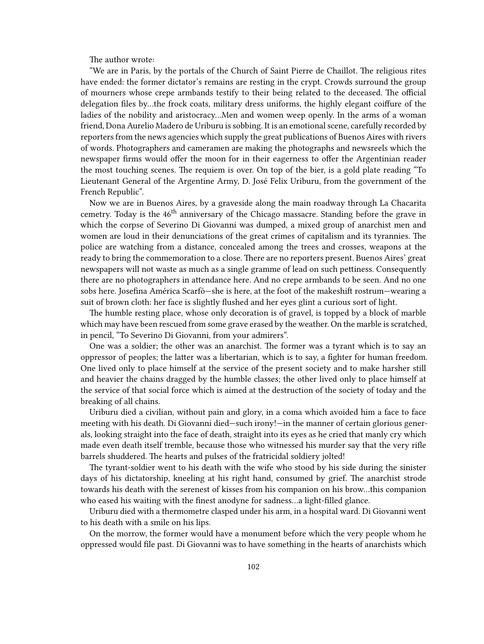The author wrote:

"We are in Paris, by the portals of the Church of Saint Pierre de Chaillot. The religious rites have ended: the former dictator's remains are resting in the crypt. Crowds surround the group of mourners whose crepe armbands testify to their being related to the deceased. The official delegation files by…the frock coats, military dress uniforms, the highly elegant coiffure of the ladies of the nobility and aristocracy…Men and women weep openly. In the arms of a woman friend, Dona Aurelio Madero de Uriburu is sobbing. It is an emotional scene, carefully recorded by reporters from the news agencies which supply the great publications of Buenos Aires with rivers of words. Photographers and cameramen are making the photographs and newsreels which the newspaper firms would offer the moon for in their eagerness to offer the Argentinian reader the most touching scenes. The requiem is over. On top of the bier, is a gold plate reading "To Lieutenant General of the Argentine Army, D. José Felix Uriburu, from the government of the French Republic".

Now we are in Buenos Aires, by a graveside along the main roadway through La Chacarita cemetry. Today is the 46<sup>th</sup> anniversary of the Chicago massacre. Standing before the grave in which the corpse of Severino Di Giovanni was dumped, a mixed group of anarchist men and women are loud in their denunciations of the great crimes of capitalism and its tyrannies. The police are watching from a distance, concealed among the trees and crosses, weapons at the ready to bring the commemoration to a close. There are no reporters present. Buenos Aires' great newspapers will not waste as much as a single gramme of lead on such pettiness. Consequently there are no photographers in attendance here. And no crepe armbands to be seen. And no one sobs here. Josefina América Scarfó—she is here, at the foot of the makeshift rostrum—wearing a suit of brown cloth: her face is slightly flushed and her eyes glint a curious sort of light.

The humble resting place, whose only decoration is of gravel, is topped by a block of marble which may have been rescued from some grave erased by the weather. On the marble is scratched, in pencil, "To Severino Di Giovanni, from your admirers".

One was a soldier; the other was an anarchist. The former was a tyrant which is to say an oppressor of peoples; the latter was a libertarian, which is to say, a fighter for human freedom. One lived only to place himself at the service of the present society and to make harsher still and heavier the chains dragged by the humble classes; the other lived only to place himself at the service of that social force which is aimed at the destruction of the society of today and the breaking of all chains.

Uriburu died a civilian, without pain and glory, in a coma which avoided him a face to face meeting with his death. Di Giovanni died—such irony!—in the manner of certain glorious generals, looking straight into the face of death, straight into its eyes as he cried that manly cry which made even death itself tremble, because those who witnessed his murder say that the very rifle barrels shuddered. The hearts and pulses of the fratricidal soldiery jolted!

The tyrant-soldier went to his death with the wife who stood by his side during the sinister days of his dictatorship, kneeling at his right hand, consumed by grief. The anarchist strode towards his death with the serenest of kisses from his companion on his brow…this companion who eased his waiting with the finest anodyne for sadness…a light-filled glance.

Uriburu died with a thermometre clasped under his arm, in a hospital ward. Di Giovanni went to his death with a smile on his lips.

On the morrow, the former would have a monument before which the very people whom he oppressed would file past. Di Giovanni was to have something in the hearts of anarchists which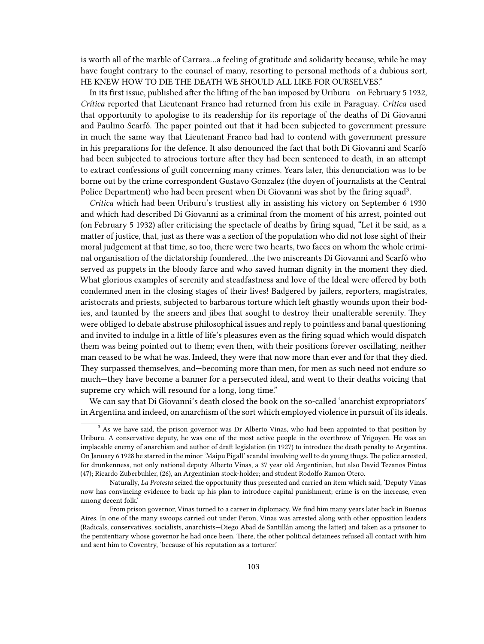is worth all of the marble of Carrara…a feeling of gratitude and solidarity because, while he may have fought contrary to the counsel of many, resorting to personal methods of a dubious sort, HE KNEW HOW TO DIE THE DEATH WE SHOULD ALL LIKE FOR OURSELVES."

In its first issue, published after the lifting of the ban imposed by Uriburu—on February 5 1932, *Crítica* reported that Lieutenant Franco had returned from his exile in Paraguay. *Crítica* used that opportunity to apologise to its readership for its reportage of the deaths of Di Giovanni and Paulino Scarfó. The paper pointed out that it had been subjected to government pressure in much the same way that Lieutenant Franco had had to contend with government pressure in his preparations for the defence. It also denounced the fact that both Di Giovanni and Scarfó had been subjected to atrocious torture after they had been sentenced to death, in an attempt to extract confessions of guilt concerning many crimes. Years later, this denunciation was to be borne out by the crime correspondent Gustavo Gonzalez (the doyen of journalists at the Central Police Department) who had been present when Di Giovanni was shot by the firing squad<sup>3</sup>.

*Crítica* which had been Uriburu's trustiest ally in assisting his victory on September 6 1930 and which had described Di Giovanni as a criminal from the moment of his arrest, pointed out (on February 5 1932) after criticising the spectacle of deaths by firing squad, "Let it be said, as a matter of justice, that, just as there was a section of the population who did not lose sight of their moral judgement at that time, so too, there were two hearts, two faces on whom the whole criminal organisation of the dictatorship foundered…the two miscreants Di Giovanni and Scarfó who served as puppets in the bloody farce and who saved human dignity in the moment they died. What glorious examples of serenity and steadfastness and love of the Ideal were offered by both condemned men in the closing stages of their lives! Badgered by jailers, reporters, magistrates, aristocrats and priests, subjected to barbarous torture which left ghastly wounds upon their bodies, and taunted by the sneers and jibes that sought to destroy their unalterable serenity. They were obliged to debate abstruse philosophical issues and reply to pointless and banal questioning and invited to indulge in a little of life's pleasures even as the firing squad which would dispatch them was being pointed out to them; even then, with their positions forever oscillating, neither man ceased to be what he was. Indeed, they were that now more than ever and for that they died. They surpassed themselves, and—becoming more than men, for men as such need not endure so much—they have become a banner for a persecuted ideal, and went to their deaths voicing that supreme cry which will resound for a long, long time."

We can say that Di Giovanni's death closed the book on the so-called 'anarchist expropriators' in Argentina and indeed, on anarchism of the sort which employed violence in pursuit of its ideals.

<sup>&</sup>lt;sup>3</sup> As we have said, the prison governor was Dr Alberto Vinas, who had been appointed to that position by Uriburu. A conservative deputy, he was one of the most active people in the overthrow of Yrigoyen. He was an implacable enemy of anarchism and author of draft legislation (in 1927) to introduce the death penalty to Argentina. On January 6 1928 he starred in the minor 'Maipu Pigall' scandal involving well to do young thugs. The police arrested, for drunkenness, not only national deputy Alberto Vinas, a 37 year old Argentinian, but also David Tezanos Pintos (47); Ricardo Zuberbuhler, (26), an Argentinian stock-holder; and student Rodolfo Ramon Otero.

Naturally, *La Protesta* seized the opportunity thus presented and carried an item which said, 'Deputy Vinas now has convincing evidence to back up his plan to introduce capital punishment; crime is on the increase, even among decent folk.'

From prison governor, Vinas turned to a career in diplomacy. We find him many years later back in Buenos Aires. In one of the many swoops carried out under Peron, Vinas was arrested along with other opposition leaders (Radicals, conservatives, socialists, anarchists—Diego Abad de Santillán among the latter) and taken as a prisoner to the penitentiary whose governor he had once been. There, the other political detainees refused all contact with him and sent him to Coventry, 'because of his reputation as a torturer.'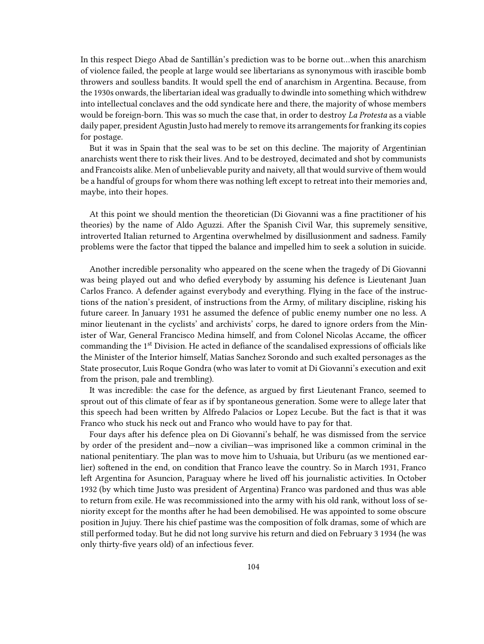In this respect Diego Abad de Santillán's prediction was to be borne out…when this anarchism of violence failed, the people at large would see libertarians as synonymous with irascible bomb throwers and soulless bandits. It would spell the end of anarchism in Argentina. Because, from the 1930s onwards, the libertarian ideal was gradually to dwindle into something which withdrew into intellectual conclaves and the odd syndicate here and there, the majority of whose members would be foreign-born. This was so much the case that, in order to destroy *La Protesta* as a viable daily paper, president Agustin Justo had merely to remove its arrangements for franking its copies for postage.

But it was in Spain that the seal was to be set on this decline. The majority of Argentinian anarchists went there to risk their lives. And to be destroyed, decimated and shot by communists and Francoists alike. Men of unbelievable purity and naivety, all that would survive of them would be a handful of groups for whom there was nothing left except to retreat into their memories and, maybe, into their hopes.

At this point we should mention the theoretician (Di Giovanni was a fine practitioner of his theories) by the name of Aldo Aguzzi. After the Spanish Civil War, this supremely sensitive, introverted Italian returned to Argentina overwhelmed by disillusionment and sadness. Family problems were the factor that tipped the balance and impelled him to seek a solution in suicide.

Another incredible personality who appeared on the scene when the tragedy of Di Giovanni was being played out and who defied everybody by assuming his defence is Lieutenant Juan Carlos Franco. A defender against everybody and everything. Flying in the face of the instructions of the nation's president, of instructions from the Army, of military discipline, risking his future career. In January 1931 he assumed the defence of public enemy number one no less. A minor lieutenant in the cyclists' and archivists' corps, he dared to ignore orders from the Minister of War, General Francisco Medina himself, and from Colonel Nicolas Accame, the officer commanding the 1<sup>st</sup> Division. He acted in defiance of the scandalised expressions of officials like the Minister of the Interior himself, Matias Sanchez Sorondo and such exalted personages as the State prosecutor, Luis Roque Gondra (who was later to vomit at Di Giovanni's execution and exit from the prison, pale and trembling).

It was incredible: the case for the defence, as argued by first Lieutenant Franco, seemed to sprout out of this climate of fear as if by spontaneous generation. Some were to allege later that this speech had been written by Alfredo Palacios or Lopez Lecube. But the fact is that it was Franco who stuck his neck out and Franco who would have to pay for that.

Four days after his defence plea on Di Giovanni's behalf, he was dismissed from the service by order of the president and—now a civilian—was imprisoned like a common criminal in the national penitentiary. The plan was to move him to Ushuaia, but Uriburu (as we mentioned earlier) softened in the end, on condition that Franco leave the country. So in March 1931, Franco left Argentina for Asuncion, Paraguay where he lived off his journalistic activities. In October 1932 (by which time Justo was president of Argentina) Franco was pardoned and thus was able to return from exile. He was recommissioned into the army with his old rank, without loss of seniority except for the months after he had been demobilised. He was appointed to some obscure position in Jujuy. There his chief pastime was the composition of folk dramas, some of which are still performed today. But he did not long survive his return and died on February 3 1934 (he was only thirty-five years old) of an infectious fever.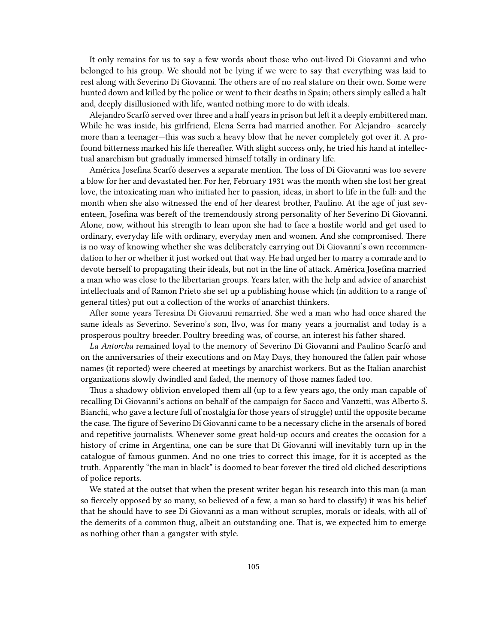It only remains for us to say a few words about those who out-lived Di Giovanni and who belonged to his group. We should not be lying if we were to say that everything was laid to rest along with Severino Di Giovanni. The others are of no real stature on their own. Some were hunted down and killed by the police or went to their deaths in Spain; others simply called a halt and, deeply disillusioned with life, wanted nothing more to do with ideals.

Alejandro Scarfó served over three and a half years in prison but left it a deeply embittered man. While he was inside, his girlfriend, Elena Serra had married another. For Alejandro—scarcely more than a teenager—this was such a heavy blow that he never completely got over it. A profound bitterness marked his life thereafter. With slight success only, he tried his hand at intellectual anarchism but gradually immersed himself totally in ordinary life.

América Josefina Scarfó deserves a separate mention. The loss of Di Giovanni was too severe a blow for her and devastated her. For her, February 1931 was the month when she lost her great love, the intoxicating man who initiated her to passion, ideas, in short to life in the full: and the month when she also witnessed the end of her dearest brother, Paulino. At the age of just seventeen, Josefina was bereft of the tremendously strong personality of her Severino Di Giovanni. Alone, now, without his strength to lean upon she had to face a hostile world and get used to ordinary, everyday life with ordinary, everyday men and women. And she compromised. There is no way of knowing whether she was deliberately carrying out Di Giovanni's own recommendation to her or whether it just worked out that way. He had urged her to marry a comrade and to devote herself to propagating their ideals, but not in the line of attack. América Josefina married a man who was close to the libertarian groups. Years later, with the help and advice of anarchist intellectuals and of Ramon Prieto she set up a publishing house which (in addition to a range of general titles) put out a collection of the works of anarchist thinkers.

After some years Teresina Di Giovanni remarried. She wed a man who had once shared the same ideals as Severino. Severino's son, Ilvo, was for many years a journalist and today is a prosperous poultry breeder. Poultry breeding was, of course, an interest his father shared.

*La Antorcha* remained loyal to the memory of Severino Di Giovanni and Paulino Scarfó and on the anniversaries of their executions and on May Days, they honoured the fallen pair whose names (it reported) were cheered at meetings by anarchist workers. But as the Italian anarchist organizations slowly dwindled and faded, the memory of those names faded too.

Thus a shadowy oblivion enveloped them all (up to a few years ago, the only man capable of recalling Di Giovanni's actions on behalf of the campaign for Sacco and Vanzetti, was Alberto S. Bianchi, who gave a lecture full of nostalgia for those years of struggle) until the opposite became the case. The figure of Severino Di Giovanni came to be a necessary cliche in the arsenals of bored and repetitive journalists. Whenever some great hold-up occurs and creates the occasion for a history of crime in Argentina, one can be sure that Di Giovanni will inevitably turn up in the catalogue of famous gunmen. And no one tries to correct this image, for it is accepted as the truth. Apparently "the man in black" is doomed to bear forever the tired old cliched descriptions of police reports.

We stated at the outset that when the present writer began his research into this man (a man so fiercely opposed by so many, so believed of a few, a man so hard to classify) it was his belief that he should have to see Di Giovanni as a man without scruples, morals or ideals, with all of the demerits of a common thug, albeit an outstanding one. That is, we expected him to emerge as nothing other than a gangster with style.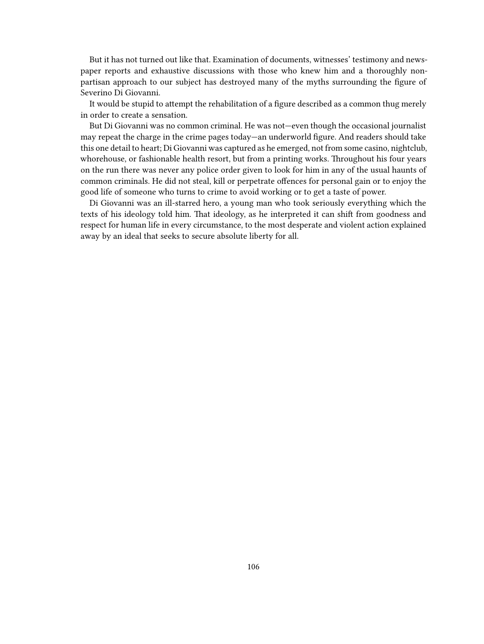But it has not turned out like that. Examination of documents, witnesses' testimony and newspaper reports and exhaustive discussions with those who knew him and a thoroughly nonpartisan approach to our subject has destroyed many of the myths surrounding the figure of Severino Di Giovanni.

It would be stupid to attempt the rehabilitation of a figure described as a common thug merely in order to create a sensation.

But Di Giovanni was no common criminal. He was not—even though the occasional journalist may repeat the charge in the crime pages today—an underworld figure. And readers should take this one detail to heart; Di Giovanni was captured as he emerged, not from some casino, nightclub, whorehouse, or fashionable health resort, but from a printing works. Throughout his four years on the run there was never any police order given to look for him in any of the usual haunts of common criminals. He did not steal, kill or perpetrate offences for personal gain or to enjoy the good life of someone who turns to crime to avoid working or to get a taste of power.

Di Giovanni was an ill-starred hero, a young man who took seriously everything which the texts of his ideology told him. That ideology, as he interpreted it can shift from goodness and respect for human life in every circumstance, to the most desperate and violent action explained away by an ideal that seeks to secure absolute liberty for all.